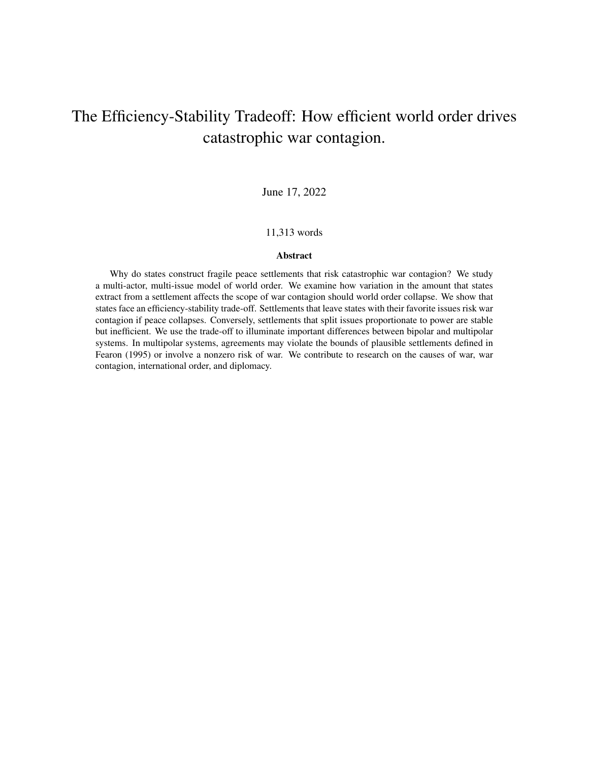# The Efficiency-Stability Tradeoff: How efficient world order drives catastrophic war contagion.

June 17, 2022

### 11,313 words

#### Abstract

Why do states construct fragile peace settlements that risk catastrophic war contagion? We study a multi-actor, multi-issue model of world order. We examine how variation in the amount that states extract from a settlement affects the scope of war contagion should world order collapse. We show that states face an efficiency-stability trade-off. Settlements that leave states with their favorite issues risk war contagion if peace collapses. Conversely, settlements that split issues proportionate to power are stable but inefficient. We use the trade-off to illuminate important differences between bipolar and multipolar systems. In multipolar systems, agreements may violate the bounds of plausible settlements defined in Fearon (1995) or involve a nonzero risk of war. We contribute to research on the causes of war, war contagion, international order, and diplomacy.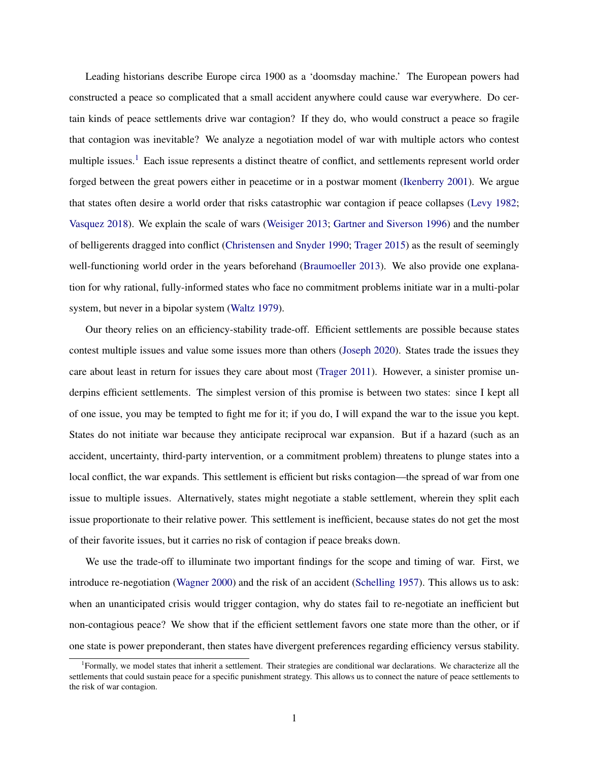Leading historians describe Europe circa 1900 as a 'doomsday machine.' The European powers had constructed a peace so complicated that a small accident anywhere could cause war everywhere. Do certain kinds of peace settlements drive war contagion? If they do, who would construct a peace so fragile that contagion was inevitable? We analyze a negotiation model of war with multiple actors who contest multiple issues.[1](#page-1-0) Each issue represents a distinct theatre of conflict, and settlements represent world order forged between the great powers either in peacetime or in a postwar moment [\(Ikenberry](#page-35-0) [2001\)](#page-35-0). We argue that states often desire a world order that risks catastrophic war contagion if peace collapses [\(Levy](#page-35-1) [1982;](#page-35-1) [Vasquez](#page-37-0) [2018\)](#page-37-0). We explain the scale of wars [\(Weisiger](#page-37-1) [2013;](#page-37-1) [Gartner and Siverson](#page-35-2) [1996\)](#page-35-2) and the number of belligerents dragged into conflict [\(Christensen and Snyder](#page-34-0) [1990;](#page-34-0) [Trager](#page-37-2) [2015\)](#page-37-2) as the result of seemingly well-functioning world order in the years beforehand [\(Braumoeller](#page-34-1) [2013\)](#page-34-1). We also provide one explanation for why rational, fully-informed states who face no commitment problems initiate war in a multi-polar system, but never in a bipolar system [\(Waltz](#page-37-3) [1979\)](#page-37-3).

Our theory relies on an efficiency-stability trade-off. Efficient settlements are possible because states contest multiple issues and value some issues more than others [\(Joseph](#page-35-3) [2020\)](#page-35-3). States trade the issues they care about least in return for issues they care about most [\(Trager](#page-37-4) [2011\)](#page-37-4). However, a sinister promise underpins efficient settlements. The simplest version of this promise is between two states: since I kept all of one issue, you may be tempted to fight me for it; if you do, I will expand the war to the issue you kept. States do not initiate war because they anticipate reciprocal war expansion. But if a hazard (such as an accident, uncertainty, third-party intervention, or a commitment problem) threatens to plunge states into a local conflict, the war expands. This settlement is efficient but risks contagion—the spread of war from one issue to multiple issues. Alternatively, states might negotiate a stable settlement, wherein they split each issue proportionate to their relative power. This settlement is inefficient, because states do not get the most of their favorite issues, but it carries no risk of contagion if peace breaks down.

We use the trade-off to illuminate two important findings for the scope and timing of war. First, we introduce re-negotiation [\(Wagner](#page-37-5) [2000\)](#page-37-5) and the risk of an accident [\(Schelling](#page-36-0) [1957\)](#page-36-0). This allows us to ask: when an unanticipated crisis would trigger contagion, why do states fail to re-negotiate an inefficient but non-contagious peace? We show that if the efficient settlement favors one state more than the other, or if one state is power preponderant, then states have divergent preferences regarding efficiency versus stability.

<span id="page-1-0"></span><sup>&</sup>lt;sup>1</sup>Formally, we model states that inherit a settlement. Their strategies are conditional war declarations. We characterize all the settlements that could sustain peace for a specific punishment strategy. This allows us to connect the nature of peace settlements to the risk of war contagion.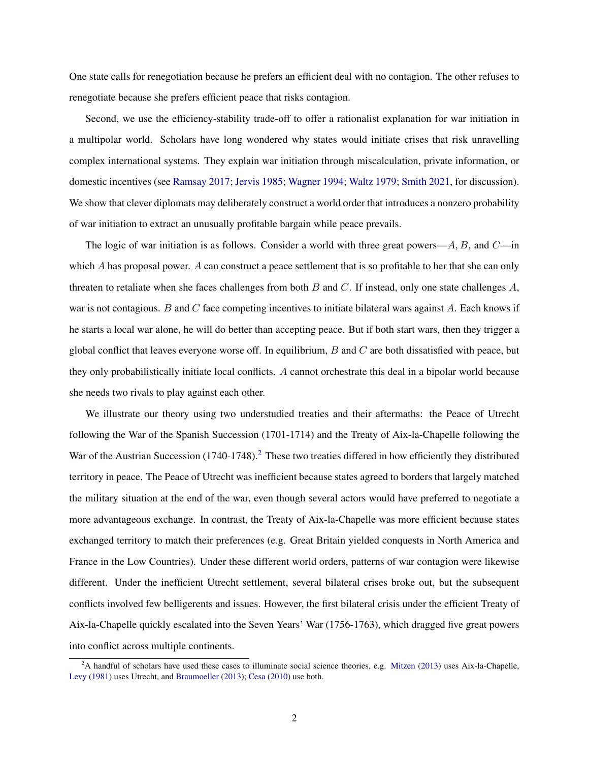One state calls for renegotiation because he prefers an efficient deal with no contagion. The other refuses to renegotiate because she prefers efficient peace that risks contagion.

Second, we use the efficiency-stability trade-off to offer a rationalist explanation for war initiation in a multipolar world. Scholars have long wondered why states would initiate crises that risk unravelling complex international systems. They explain war initiation through miscalculation, private information, or domestic incentives (see [Ramsay](#page-36-1) [2017;](#page-36-1) [Jervis](#page-35-4) [1985;](#page-35-4) [Wagner](#page-37-6) [1994;](#page-37-6) [Waltz](#page-37-3) [1979;](#page-37-3) [Smith](#page-37-7) [2021,](#page-37-7) for discussion). We show that clever diplomats may deliberately construct a world order that introduces a nonzero probability of war initiation to extract an unusually profitable bargain while peace prevails.

The logic of war initiation is as follows. Consider a world with three great powers— $A, B$ , and  $C$ —in which A has proposal power. A can construct a peace settlement that is so profitable to her that she can only threaten to retaliate when she faces challenges from both  $B$  and  $C$ . If instead, only one state challenges  $A$ , war is not contagious. B and C face competing incentives to initiate bilateral wars against  $A$ . Each knows if he starts a local war alone, he will do better than accepting peace. But if both start wars, then they trigger a global conflict that leaves everyone worse off. In equilibrium,  $B$  and  $C$  are both dissatisfied with peace, but they only probabilistically initiate local conflicts. A cannot orchestrate this deal in a bipolar world because she needs two rivals to play against each other.

We illustrate our theory using two understudied treaties and their aftermaths: the Peace of Utrecht following the War of the Spanish Succession (1701-1714) and the Treaty of Aix-la-Chapelle following the War of the Austrian Succession (1740-1748).<sup>[2](#page-2-0)</sup> These two treaties differed in how efficiently they distributed territory in peace. The Peace of Utrecht was inefficient because states agreed to borders that largely matched the military situation at the end of the war, even though several actors would have preferred to negotiate a more advantageous exchange. In contrast, the Treaty of Aix-la-Chapelle was more efficient because states exchanged territory to match their preferences (e.g. Great Britain yielded conquests in North America and France in the Low Countries). Under these different world orders, patterns of war contagion were likewise different. Under the inefficient Utrecht settlement, several bilateral crises broke out, but the subsequent conflicts involved few belligerents and issues. However, the first bilateral crisis under the efficient Treaty of Aix-la-Chapelle quickly escalated into the Seven Years' War (1756-1763), which dragged five great powers into conflict across multiple continents.

<span id="page-2-0"></span> $2A$  handful of scholars have used these cases to illuminate social science theories, e.g. [Mitzen](#page-36-2) [\(2013\)](#page-36-2) uses Aix-la-Chapelle, [Levy](#page-35-5) [\(1981\)](#page-35-5) uses Utrecht, and [Braumoeller](#page-34-1) [\(2013\)](#page-34-1); [Cesa](#page-34-2) [\(2010\)](#page-34-2) use both.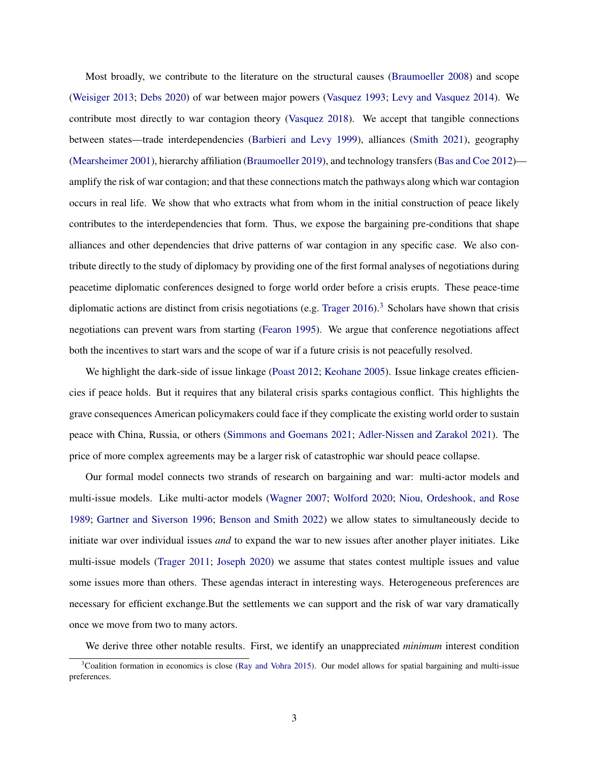Most broadly, we contribute to the literature on the structural causes [\(Braumoeller](#page-34-3) [2008\)](#page-34-3) and scope [\(Weisiger](#page-37-1) [2013;](#page-37-1) [Debs](#page-34-4) [2020\)](#page-34-4) of war between major powers [\(Vasquez](#page-37-8) [1993;](#page-37-8) [Levy and Vasquez](#page-35-6) [2014\)](#page-35-6). We contribute most directly to war contagion theory [\(Vasquez](#page-37-0) [2018\)](#page-37-0). We accept that tangible connections between states—trade interdependencies [\(Barbieri and Levy](#page-34-5) [1999\)](#page-34-5), alliances [\(Smith](#page-37-7) [2021\)](#page-37-7), geography [\(Mearsheimer](#page-36-3) [2001\)](#page-36-3), hierarchy affiliation [\(Braumoeller](#page-34-6) [2019\)](#page-34-6), and technology transfers [\(Bas and Coe](#page-34-7) [2012\)](#page-34-7) amplify the risk of war contagion; and that these connections match the pathways along which war contagion occurs in real life. We show that who extracts what from whom in the initial construction of peace likely contributes to the interdependencies that form. Thus, we expose the bargaining pre-conditions that shape alliances and other dependencies that drive patterns of war contagion in any specific case. We also contribute directly to the study of diplomacy by providing one of the first formal analyses of negotiations during peacetime diplomatic conferences designed to forge world order before a crisis erupts. These peace-time diplomatic actions are distinct from crisis negotiations (e.g. [Trager](#page-37-9)  $2016$ ).<sup>[3](#page-3-0)</sup> Scholars have shown that crisis negotiations can prevent wars from starting [\(Fearon](#page-34-8) [1995\)](#page-34-8). We argue that conference negotiations affect both the incentives to start wars and the scope of war if a future crisis is not peacefully resolved.

We highlight the dark-side of issue linkage [\(Poast](#page-36-4) [2012;](#page-36-4) [Keohane](#page-35-7) [2005\)](#page-35-7). Issue linkage creates efficiencies if peace holds. But it requires that any bilateral crisis sparks contagious conflict. This highlights the grave consequences American policymakers could face if they complicate the existing world order to sustain peace with China, Russia, or others [\(Simmons and Goemans](#page-36-5) [2021;](#page-36-5) [Adler-Nissen and Zarakol](#page-34-9) [2021\)](#page-34-9). The price of more complex agreements may be a larger risk of catastrophic war should peace collapse.

Our formal model connects two strands of research on bargaining and war: multi-actor models and multi-issue models. Like multi-actor models [\(Wagner](#page-37-10) [2007;](#page-37-10) [Wolford](#page-38-0) [2020;](#page-38-0) [Niou, Ordeshook, and Rose](#page-36-6) [1989;](#page-36-6) [Gartner and Siverson](#page-35-2) [1996;](#page-35-2) [Benson and Smith](#page-34-10) [2022\)](#page-34-10) we allow states to simultaneously decide to initiate war over individual issues *and* to expand the war to new issues after another player initiates. Like multi-issue models [\(Trager](#page-37-4) [2011;](#page-37-4) [Joseph](#page-35-3) [2020\)](#page-35-3) we assume that states contest multiple issues and value some issues more than others. These agendas interact in interesting ways. Heterogeneous preferences are necessary for efficient exchange.But the settlements we can support and the risk of war vary dramatically once we move from two to many actors.

We derive three other notable results. First, we identify an unappreciated *minimum* interest condition

<span id="page-3-0"></span> $3$ Coalition formation in economics is close [\(Ray and Vohra](#page-36-7) [2015\)](#page-36-7). Our model allows for spatial bargaining and multi-issue preferences.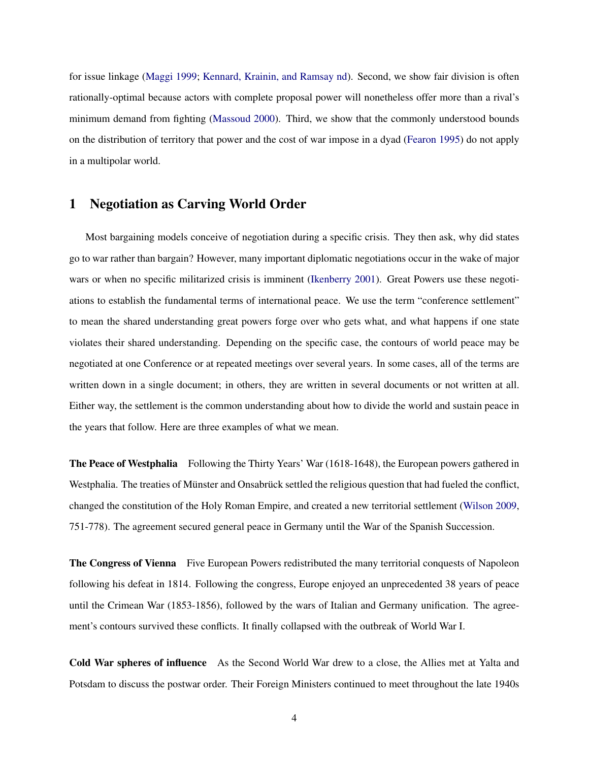for issue linkage [\(Maggi](#page-35-8) [1999;](#page-35-8) [Kennard, Krainin, and Ramsay](#page-35-9) [nd\)](#page-35-9). Second, we show fair division is often rationally-optimal because actors with complete proposal power will nonetheless offer more than a rival's minimum demand from fighting [\(Massoud](#page-36-8) [2000\)](#page-36-8). Third, we show that the commonly understood bounds on the distribution of territory that power and the cost of war impose in a dyad [\(Fearon](#page-34-8) [1995\)](#page-34-8) do not apply in a multipolar world.

# 1 Negotiation as Carving World Order

Most bargaining models conceive of negotiation during a specific crisis. They then ask, why did states go to war rather than bargain? However, many important diplomatic negotiations occur in the wake of major wars or when no specific militarized crisis is imminent [\(Ikenberry](#page-35-0) [2001\)](#page-35-0). Great Powers use these negotiations to establish the fundamental terms of international peace. We use the term "conference settlement" to mean the shared understanding great powers forge over who gets what, and what happens if one state violates their shared understanding. Depending on the specific case, the contours of world peace may be negotiated at one Conference or at repeated meetings over several years. In some cases, all of the terms are written down in a single document; in others, they are written in several documents or not written at all. Either way, the settlement is the common understanding about how to divide the world and sustain peace in the years that follow. Here are three examples of what we mean.

The Peace of Westphalia Following the Thirty Years' War (1618-1648), the European powers gathered in Westphalia. The treaties of Münster and Onsabrück settled the religious question that had fueled the conflict, changed the constitution of the Holy Roman Empire, and created a new territorial settlement [\(Wilson](#page-37-11) [2009,](#page-37-11) 751-778). The agreement secured general peace in Germany until the War of the Spanish Succession.

The Congress of Vienna Five European Powers redistributed the many territorial conquests of Napoleon following his defeat in 1814. Following the congress, Europe enjoyed an unprecedented 38 years of peace until the Crimean War (1853-1856), followed by the wars of Italian and Germany unification. The agreement's contours survived these conflicts. It finally collapsed with the outbreak of World War I.

Cold War spheres of influence As the Second World War drew to a close, the Allies met at Yalta and Potsdam to discuss the postwar order. Their Foreign Ministers continued to meet throughout the late 1940s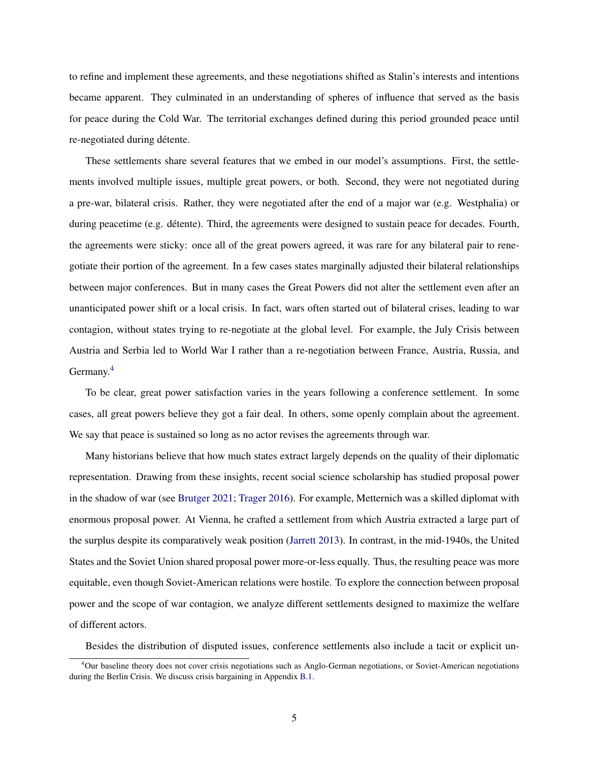to refine and implement these agreements, and these negotiations shifted as Stalin's interests and intentions became apparent. They culminated in an understanding of spheres of influence that served as the basis for peace during the Cold War. The territorial exchanges defined during this period grounded peace until re-negotiated during détente.

These settlements share several features that we embed in our model's assumptions. First, the settlements involved multiple issues, multiple great powers, or both. Second, they were not negotiated during a pre-war, bilateral crisis. Rather, they were negotiated after the end of a major war (e.g. Westphalia) or during peacetime (e.g. détente). Third, the agreements were designed to sustain peace for decades. Fourth, the agreements were sticky: once all of the great powers agreed, it was rare for any bilateral pair to renegotiate their portion of the agreement. In a few cases states marginally adjusted their bilateral relationships between major conferences. But in many cases the Great Powers did not alter the settlement even after an unanticipated power shift or a local crisis. In fact, wars often started out of bilateral crises, leading to war contagion, without states trying to re-negotiate at the global level. For example, the July Crisis between Austria and Serbia led to World War I rather than a re-negotiation between France, Austria, Russia, and Germany.[4](#page-5-0)

To be clear, great power satisfaction varies in the years following a conference settlement. In some cases, all great powers believe they got a fair deal. In others, some openly complain about the agreement. We say that peace is sustained so long as no actor revises the agreements through war.

Many historians believe that how much states extract largely depends on the quality of their diplomatic representation. Drawing from these insights, recent social science scholarship has studied proposal power in the shadow of war (see [Brutger](#page-34-11) [2021;](#page-34-11) [Trager](#page-37-9) [2016\)](#page-37-9). For example, Metternich was a skilled diplomat with enormous proposal power. At Vienna, he crafted a settlement from which Austria extracted a large part of the surplus despite its comparatively weak position [\(Jarrett](#page-35-10) [2013\)](#page-35-10). In contrast, in the mid-1940s, the United States and the Soviet Union shared proposal power more-or-less equally. Thus, the resulting peace was more equitable, even though Soviet-American relations were hostile. To explore the connection between proposal power and the scope of war contagion, we analyze different settlements designed to maximize the welfare of different actors.

Besides the distribution of disputed issues, conference settlements also include a tacit or explicit un-

<span id="page-5-0"></span><sup>&</sup>lt;sup>4</sup>Our baseline theory does not cover crisis negotiations such as Anglo-German negotiations, or Soviet-American negotiations during the Berlin Crisis. We discuss crisis bargaining in Appendix [B.1.](#page-43-0)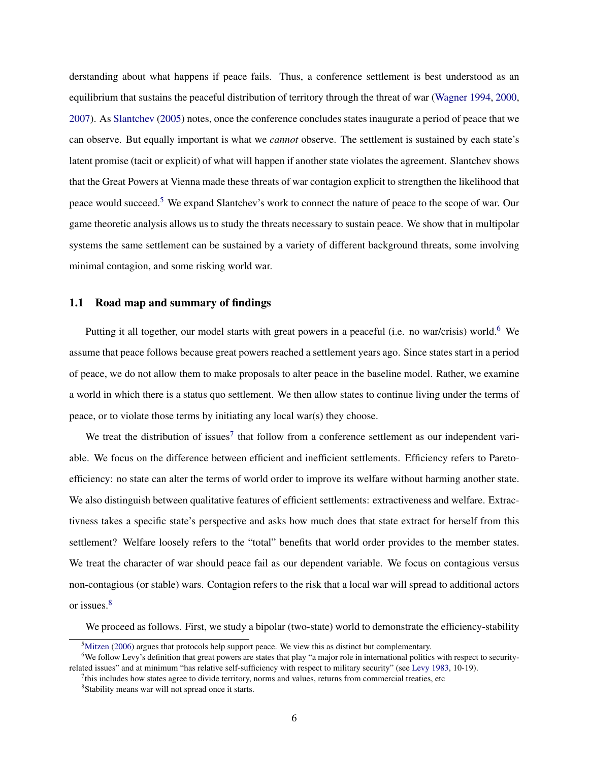derstanding about what happens if peace fails. Thus, a conference settlement is best understood as an equilibrium that sustains the peaceful distribution of territory through the threat of war [\(Wagner](#page-37-6) [1994,](#page-37-6) [2000,](#page-37-5) [2007\)](#page-37-10). As [Slantchev](#page-37-12) [\(2005\)](#page-37-12) notes, once the conference concludes states inaugurate a period of peace that we can observe. But equally important is what we *cannot* observe. The settlement is sustained by each state's latent promise (tacit or explicit) of what will happen if another state violates the agreement. Slantchev shows that the Great Powers at Vienna made these threats of war contagion explicit to strengthen the likelihood that peace would succeed.[5](#page-6-0) We expand Slantchev's work to connect the nature of peace to the scope of war. Our game theoretic analysis allows us to study the threats necessary to sustain peace. We show that in multipolar systems the same settlement can be sustained by a variety of different background threats, some involving minimal contagion, and some risking world war.

# 1.1 Road map and summary of findings

Putting it all together, our model starts with great powers in a peaceful (i.e. no war/crisis) world.<sup>[6](#page-6-1)</sup> We assume that peace follows because great powers reached a settlement years ago. Since states start in a period of peace, we do not allow them to make proposals to alter peace in the baseline model. Rather, we examine a world in which there is a status quo settlement. We then allow states to continue living under the terms of peace, or to violate those terms by initiating any local war(s) they choose.

We treat the distribution of issues<sup>[7](#page-6-2)</sup> that follow from a conference settlement as our independent variable. We focus on the difference between efficient and inefficient settlements. Efficiency refers to Paretoefficiency: no state can alter the terms of world order to improve its welfare without harming another state. We also distinguish between qualitative features of efficient settlements: extractiveness and welfare. Extractivness takes a specific state's perspective and asks how much does that state extract for herself from this settlement? Welfare loosely refers to the "total" benefits that world order provides to the member states. We treat the character of war should peace fail as our dependent variable. We focus on contagious versus non-contagious (or stable) wars. Contagion refers to the risk that a local war will spread to additional actors or issues.[8](#page-6-3)

We proceed as follows. First, we study a bipolar (two-state) world to demonstrate the efficiency-stability

<span id="page-6-1"></span><span id="page-6-0"></span> $<sup>5</sup>$ [Mitzen](#page-36-9) [\(2006\)](#page-36-9) argues that protocols help support peace. We view this as distinct but complementary.</sup>

<sup>6</sup>We follow Levy's definition that great powers are states that play "a major role in international politics with respect to securityrelated issues" and at minimum "has relative self-sufficiency with respect to military security" (see [Levy](#page-35-11) [1983,](#page-35-11) 10-19).

<span id="page-6-2"></span><sup>&</sup>lt;sup>7</sup>this includes how states agree to divide territory, norms and values, returns from commercial treaties, etc

<span id="page-6-3"></span><sup>&</sup>lt;sup>8</sup> Stability means war will not spread once it starts.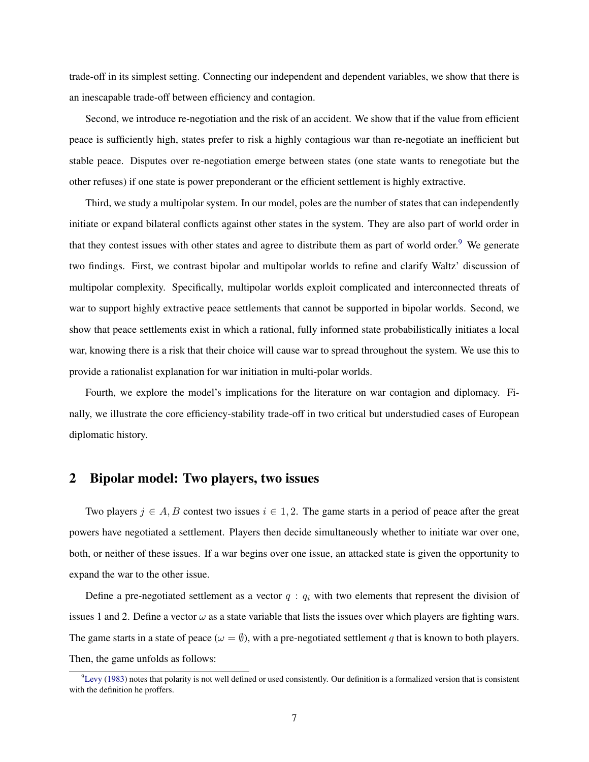trade-off in its simplest setting. Connecting our independent and dependent variables, we show that there is an inescapable trade-off between efficiency and contagion.

Second, we introduce re-negotiation and the risk of an accident. We show that if the value from efficient peace is sufficiently high, states prefer to risk a highly contagious war than re-negotiate an inefficient but stable peace. Disputes over re-negotiation emerge between states (one state wants to renegotiate but the other refuses) if one state is power preponderant or the efficient settlement is highly extractive.

Third, we study a multipolar system. In our model, poles are the number of states that can independently initiate or expand bilateral conflicts against other states in the system. They are also part of world order in that they contest issues with other states and agree to distribute them as part of world order.<sup>[9](#page-7-0)</sup> We generate two findings. First, we contrast bipolar and multipolar worlds to refine and clarify Waltz' discussion of multipolar complexity. Specifically, multipolar worlds exploit complicated and interconnected threats of war to support highly extractive peace settlements that cannot be supported in bipolar worlds. Second, we show that peace settlements exist in which a rational, fully informed state probabilistically initiates a local war, knowing there is a risk that their choice will cause war to spread throughout the system. We use this to provide a rationalist explanation for war initiation in multi-polar worlds.

Fourth, we explore the model's implications for the literature on war contagion and diplomacy. Finally, we illustrate the core efficiency-stability trade-off in two critical but understudied cases of European diplomatic history.

# 2 Bipolar model: Two players, two issues

Two players  $j \in A$ , B contest two issues  $i \in 1, 2$ . The game starts in a period of peace after the great powers have negotiated a settlement. Players then decide simultaneously whether to initiate war over one, both, or neither of these issues. If a war begins over one issue, an attacked state is given the opportunity to expand the war to the other issue.

Define a pre-negotiated settlement as a vector  $q : q_i$  with two elements that represent the division of issues 1 and 2. Define a vector  $\omega$  as a state variable that lists the issues over which players are fighting wars. The game starts in a state of peace ( $\omega = \emptyset$ ), with a pre-negotiated settlement q that is known to both players. Then, the game unfolds as follows:

<span id="page-7-0"></span> $^{9}$ [Levy](#page-35-11) [\(1983\)](#page-35-11) notes that polarity is not well defined or used consistently. Our definition is a formalized version that is consistent with the definition he proffers.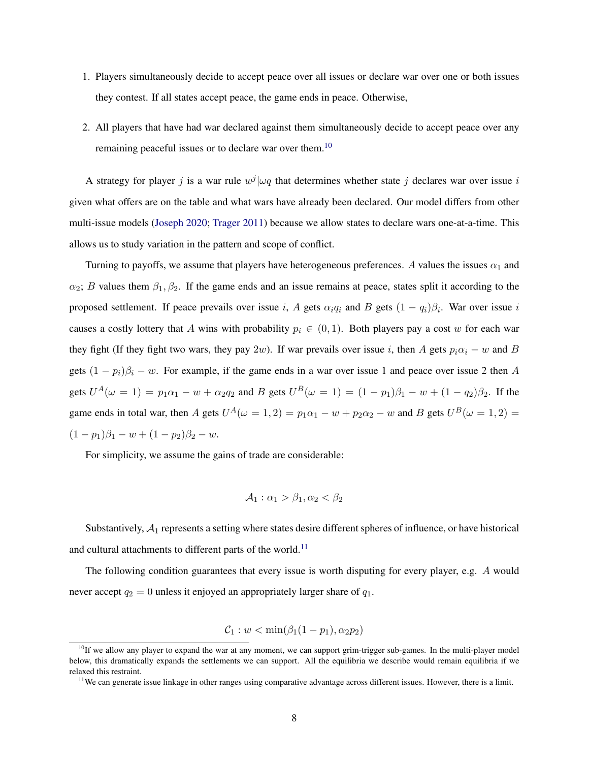- 1. Players simultaneously decide to accept peace over all issues or declare war over one or both issues they contest. If all states accept peace, the game ends in peace. Otherwise,
- <span id="page-8-2"></span>2. All players that have had war declared against them simultaneously decide to accept peace over any remaining peaceful issues or to declare war over them.<sup>[10](#page-8-0)</sup>

A strategy for player j is a war rule  $w^j|\omega q$  that determines whether state j declares war over issue i given what offers are on the table and what wars have already been declared. Our model differs from other multi-issue models [\(Joseph](#page-35-3) [2020;](#page-35-3) [Trager](#page-37-4) [2011\)](#page-37-4) because we allow states to declare wars one-at-a-time. This allows us to study variation in the pattern and scope of conflict.

Turning to payoffs, we assume that players have heterogeneous preferences. A values the issues  $\alpha_1$  and  $\alpha_2$ ; B values them  $\beta_1, \beta_2$ . If the game ends and an issue remains at peace, states split it according to the proposed settlement. If peace prevails over issue i, A gets  $\alpha_i q_i$  and B gets  $(1 - q_i)\beta_i$ . War over issue i causes a costly lottery that A wins with probability  $p_i \in (0,1)$ . Both players pay a cost w for each war they fight (If they fight two wars, they pay 2w). If war prevails over issue i, then A gets  $p_i\alpha_i - w$  and B gets  $(1 - p_i)\beta_i - w$ . For example, if the game ends in a war over issue 1 and peace over issue 2 then A gets  $U^A(\omega = 1) = p_1 \alpha_1 - w + \alpha_2 q_2$  and B gets  $U^B(\omega = 1) = (1 - p_1)\beta_1 - w + (1 - q_2)\beta_2$ . If the game ends in total war, then A gets  $U^A(\omega = 1, 2) = p_1\alpha_1 - w + p_2\alpha_2 - w$  and B gets  $U^B(\omega = 1, 2) =$  $(1-p_1)\beta_1 - w + (1-p_2)\beta_2 - w.$ 

For simplicity, we assume the gains of trade are considerable:

$$
\mathcal{A}_1: \alpha_1 > \beta_1, \alpha_2 < \beta_2
$$

Substantively,  $A_1$  represents a setting where states desire different spheres of influence, or have historical and cultural attachments to different parts of the world.<sup>[11](#page-8-1)</sup>

The following condition guarantees that every issue is worth disputing for every player, e.g. A would never accept  $q_2 = 0$  unless it enjoyed an appropriately larger share of  $q_1$ .

$$
C_1: w < \min(\beta_1(1-p_1), \alpha_2p_2)
$$

<span id="page-8-0"></span><sup>&</sup>lt;sup>10</sup>If we allow any player to expand the war at any moment, we can support grim-trigger sub-games. In the multi-player model below, this dramatically expands the settlements we can support. All the equilibria we describe would remain equilibria if we relaxed this restraint.

<span id="page-8-1"></span><sup>&</sup>lt;sup>11</sup>We can generate issue linkage in other ranges using comparative advantage across different issues. However, there is a limit.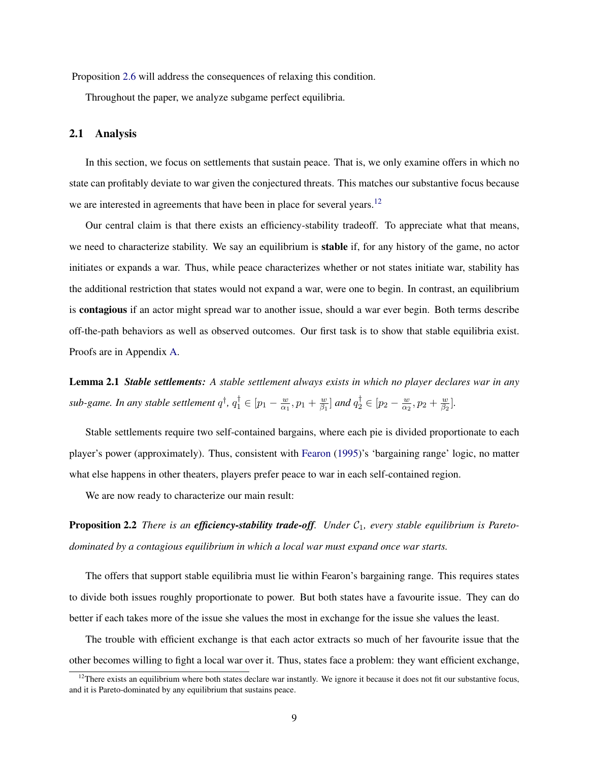Proposition [2.6](#page-11-0) will address the consequences of relaxing this condition.

Throughout the paper, we analyze subgame perfect equilibria.

### <span id="page-9-3"></span>2.1 Analysis

In this section, we focus on settlements that sustain peace. That is, we only examine offers in which no state can profitably deviate to war given the conjectured threats. This matches our substantive focus because we are interested in agreements that have been in place for several years.<sup>[12](#page-9-0)</sup>

Our central claim is that there exists an efficiency-stability tradeoff. To appreciate what that means, we need to characterize stability. We say an equilibrium is stable if, for any history of the game, no actor initiates or expands a war. Thus, while peace characterizes whether or not states initiate war, stability has the additional restriction that states would not expand a war, were one to begin. In contrast, an equilibrium is contagious if an actor might spread war to another issue, should a war ever begin. Both terms describe off-the-path behaviors as well as observed outcomes. Our first task is to show that stable equilibria exist. Proofs are in Appendix [A.](#page-39-0)

<span id="page-9-1"></span>Lemma 2.1 *Stable settlements: A stable settlement always exists in which no player declares war in any* sub-game. In any stable settlement  $q^{\dagger}$ ,  $q^{\dagger}_{1} \in [p_{1} - \frac{w}{\alpha_{1}}]$  $\frac{w}{\alpha_1}, p_1 + \frac{w}{\beta_1}$  $\frac{w}{\beta_1}$ ] and  $q_2^{\dagger} \in [p_2 - \frac{w}{\alpha_2}]$  $\frac{w}{\alpha_2}, p_2 + \frac{w}{\beta_2}$  $\frac{w}{\beta_2}$ .

Stable settlements require two self-contained bargains, where each pie is divided proportionate to each player's power (approximately). Thus, consistent with [Fearon](#page-34-8) [\(1995\)](#page-34-8)'s 'bargaining range' logic, no matter what else happens in other theaters, players prefer peace to war in each self-contained region.

<span id="page-9-2"></span>We are now ready to characterize our main result:

**Proposition 2.2** *There is an efficiency-stability trade-off.* Under  $C_1$ , every stable equilibrium is Pareto*dominated by a contagious equilibrium in which a local war must expand once war starts.*

The offers that support stable equilibria must lie within Fearon's bargaining range. This requires states to divide both issues roughly proportionate to power. But both states have a favourite issue. They can do better if each takes more of the issue she values the most in exchange for the issue she values the least.

The trouble with efficient exchange is that each actor extracts so much of her favourite issue that the other becomes willing to fight a local war over it. Thus, states face a problem: they want efficient exchange,

<span id="page-9-0"></span> $12$ There exists an equilibrium where both states declare war instantly. We ignore it because it does not fit our substantive focus, and it is Pareto-dominated by any equilibrium that sustains peace.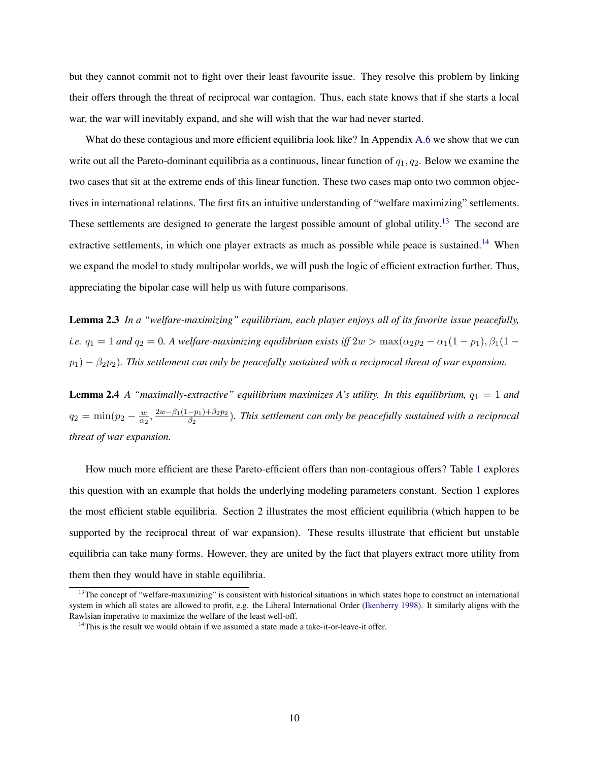but they cannot commit not to fight over their least favourite issue. They resolve this problem by linking their offers through the threat of reciprocal war contagion. Thus, each state knows that if she starts a local war, the war will inevitably expand, and she will wish that the war had never started.

What do these contagious and more efficient equilibria look like? In Appendix [A.6](#page-42-0) we show that we can write out all the Pareto-dominant equilibria as a continuous, linear function of  $q_1, q_2$ . Below we examine the two cases that sit at the extreme ends of this linear function. These two cases map onto two common objectives in international relations. The first fits an intuitive understanding of "welfare maximizing" settlements. These settlements are designed to generate the largest possible amount of global utility.<sup>[13](#page-10-0)</sup> The second are extractive settlements, in which one player extracts as much as possible while peace is sustained.<sup>[14](#page-10-1)</sup> When we expand the model to study multipolar worlds, we will push the logic of efficient extraction further. Thus, appreciating the bipolar case will help us with future comparisons.

<span id="page-10-2"></span>Lemma 2.3 *In a "welfare-maximizing" equilibrium, each player enjoys all of its favorite issue peacefully, i.e.*  $q_1 = 1$  *and*  $q_2 = 0$ *. A welfare-maximizing equilibrium exists iff*  $2w > \max(\alpha_2 p_2 - \alpha_1(1 - p_1), \beta_1(1 - p_2))$  $p_1$ )  $-\beta_2 p_2$ ). This settlement can only be peacefully sustained with a reciprocal threat of war expansion.

<span id="page-10-3"></span>**Lemma 2.4** A "maximally-extractive" equilibrium maximizes A's utility. In this equilibrium,  $q_1 = 1$  and  $q_2 = \min(p_2 - \frac{w}{\alpha}$  $\frac{w}{\alpha_2}$ ,  $\frac{2w-\beta_1(1-p_1)+\beta_2p_2}{\beta_2}$  $\frac{-p_1)+p_2p_2}{\beta_2}$ ). This settlement can only be peacefully sustained with a reciprocal *threat of war expansion.*

How much more efficient are these Pareto-efficient offers than non-contagious offers? Table [1](#page-11-1) explores this question with an example that holds the underlying modeling parameters constant. Section 1 explores the most efficient stable equilibria. Section 2 illustrates the most efficient equilibria (which happen to be supported by the reciprocal threat of war expansion). These results illustrate that efficient but unstable equilibria can take many forms. However, they are united by the fact that players extract more utility from them then they would have in stable equilibria.

<span id="page-10-0"></span><sup>&</sup>lt;sup>13</sup>The concept of "welfare-maximizing" is consistent with historical situations in which states hope to construct an international system in which all states are allowed to profit, e.g. the Liberal International Order [\(Ikenberry](#page-35-12) [1998\)](#page-35-12). It similarly aligns with the Rawlsian imperative to maximize the welfare of the least well-off.

<span id="page-10-1"></span> $14$ This is the result we would obtain if we assumed a state made a take-it-or-leave-it offer.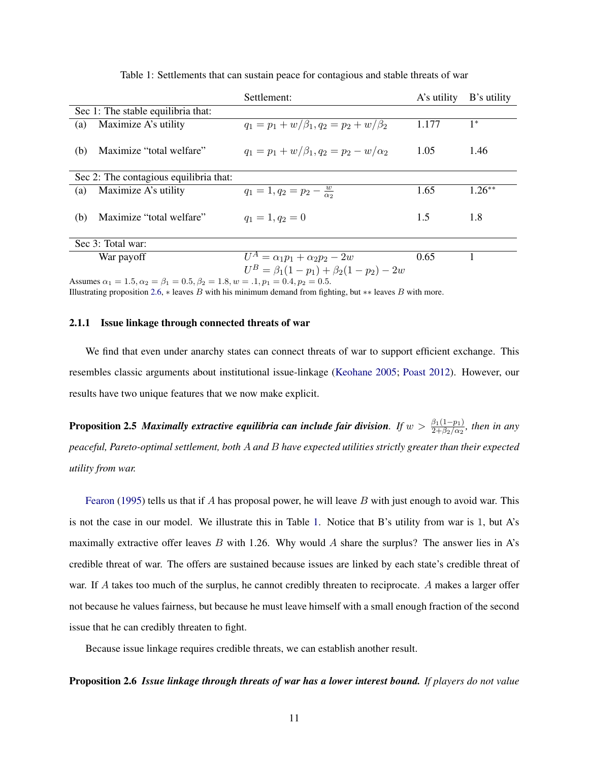<span id="page-11-1"></span>

|     |                                                                                                  | Settlement:                                     | A's utility | B's utility |  |
|-----|--------------------------------------------------------------------------------------------------|-------------------------------------------------|-------------|-------------|--|
|     | Sec 1: The stable equilibria that:                                                               |                                                 |             |             |  |
| (a) | Maximize A's utility                                                                             | $q_1 = p_1 + w/\beta_1, q_2 = p_2 + w/\beta_2$  | 1.177       | $1^*$       |  |
| (b) | Maximize "total welfare"                                                                         | $q_1 = p_1 + w/\beta_1, q_2 = p_2 - w/\alpha_2$ | 1.05        | 1.46        |  |
|     | Sec 2: The contagious equilibria that:                                                           |                                                 |             |             |  |
| (a) | Maximize A's utility                                                                             | $q_1 = 1, q_2 = p_2 - \frac{w}{\alpha_2}$       | 1.65        | $1.26**$    |  |
| (b) | Maximize "total welfare"                                                                         | $q_1 = 1, q_2 = 0$                              | 1.5         | 1.8         |  |
|     | Sec 3: Total war:                                                                                |                                                 |             |             |  |
|     | War payoff                                                                                       | $U^A = \alpha_1 p_1 + \alpha_2 p_2 - 2w$        | 0.65        |             |  |
|     |                                                                                                  | $U^B = \beta_1(1-p_1) + \beta_2(1-p_2) - 2w$    |             |             |  |
|     | Assumes $\alpha_1 = 1.5, \alpha_2 = \beta_1 = 0.5, \beta_2 = 1.8, w = .1, p_1 = 0.4, p_2 = 0.5.$ |                                                 |             |             |  |

Table 1: Settlements that can sustain peace for contagious and stable threats of war

Illustrating proposition [2.6,](#page-11-0)  $\ast$  leaves B with his minimum demand from fighting, but  $\ast\ast$  leaves B with more.

#### 2.1.1 Issue linkage through connected threats of war

We find that even under anarchy states can connect threats of war to support efficient exchange. This resembles classic arguments about institutional issue-linkage [\(Keohane](#page-35-7) [2005;](#page-35-7) [Poast](#page-36-4) [2012\)](#page-36-4). However, our results have two unique features that we now make explicit.

**Proposition 2.5** *Maximally extractive equilibria can include fair division.* If  $w > \frac{\beta_1(1-p_1)}{2+\beta_2/\alpha_2}$ , then in any *peaceful, Pareto-optimal settlement, both* A *and* B *have expected utilities strictly greater than their expected utility from war.*

[Fearon](#page-34-8) [\(1995\)](#page-34-8) tells us that if A has proposal power, he will leave B with just enough to avoid war. This is not the case in our model. We illustrate this in Table [1.](#page-11-1) Notice that B's utility from war is 1, but A's maximally extractive offer leaves B with 1.26. Why would A share the surplus? The answer lies in A's credible threat of war. The offers are sustained because issues are linked by each state's credible threat of war. If A takes too much of the surplus, he cannot credibly threaten to reciprocate. A makes a larger offer not because he values fairness, but because he must leave himself with a small enough fraction of the second issue that he can credibly threaten to fight.

<span id="page-11-0"></span>Because issue linkage requires credible threats, we can establish another result.

Proposition 2.6 *Issue linkage through threats of war has a lower interest bound. If players do not value*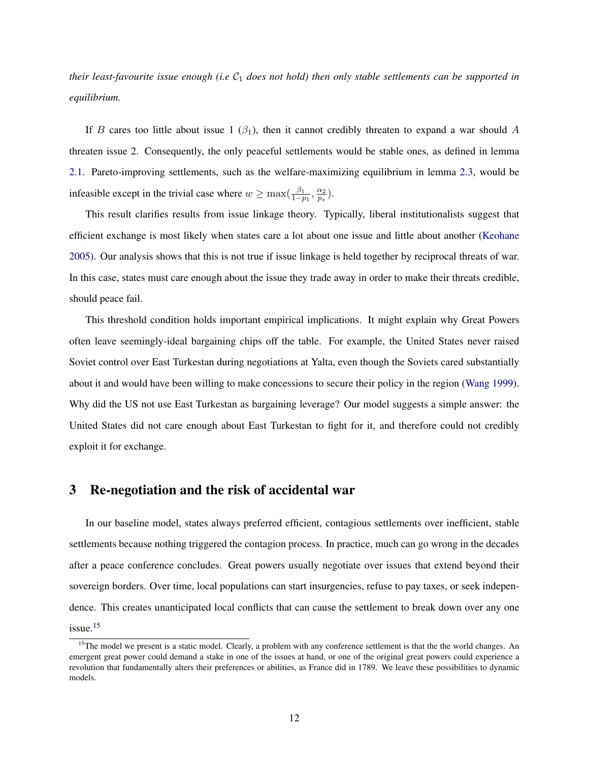*their least-favourite issue enough (i.e C<sub>1</sub> does not hold) then only stable settlements can be supported in equilibrium.*

If B cares too little about issue 1 ( $\beta_1$ ), then it cannot credibly threaten to expand a war should A threaten issue 2. Consequently, the only peaceful settlements would be stable ones, as defined in lemma [2.1.](#page-9-1) Pareto-improving settlements, such as the welfare-maximizing equilibrium in lemma [2.3,](#page-10-2) would be infeasible except in the trivial case where  $w \ge \max(\frac{\beta_1}{1-p_1}, \frac{\alpha_2}{p_s})$  $\frac{\alpha_2}{p_s}).$ 

This result clarifies results from issue linkage theory. Typically, liberal institutionalists suggest that efficient exchange is most likely when states care a lot about one issue and little about another [\(Keohane](#page-35-7) [2005\)](#page-35-7). Our analysis shows that this is not true if issue linkage is held together by reciprocal threats of war. In this case, states must care enough about the issue they trade away in order to make their threats credible, should peace fail.

This threshold condition holds important empirical implications. It might explain why Great Powers often leave seemingly-ideal bargaining chips off the table. For example, the United States never raised Soviet control over East Turkestan during negotiations at Yalta, even though the Soviets cared substantially about it and would have been willing to make concessions to secure their policy in the region [\(Wang](#page-37-13) [1999\)](#page-37-13). Why did the US not use East Turkestan as bargaining leverage? Our model suggests a simple answer: the United States did not care enough about East Turkestan to fight for it, and therefore could not credibly exploit it for exchange.

# <span id="page-12-1"></span>3 Re-negotiation and the risk of accidental war

In our baseline model, states always preferred efficient, contagious settlements over inefficient, stable settlements because nothing triggered the contagion process. In practice, much can go wrong in the decades after a peace conference concludes. Great powers usually negotiate over issues that extend beyond their sovereign borders. Over time, local populations can start insurgencies, refuse to pay taxes, or seek independence. This creates unanticipated local conflicts that can cause the settlement to break down over any one issue. $15$ 

<span id="page-12-0"></span> $15$ The model we present is a static model. Clearly, a problem with any conference settlement is that the the world changes. An emergent great power could demand a stake in one of the issues at hand, or one of the original great powers could experience a revolution that fundamentally alters their preferences or abilities, as France did in 1789. We leave these possibilities to dynamic models.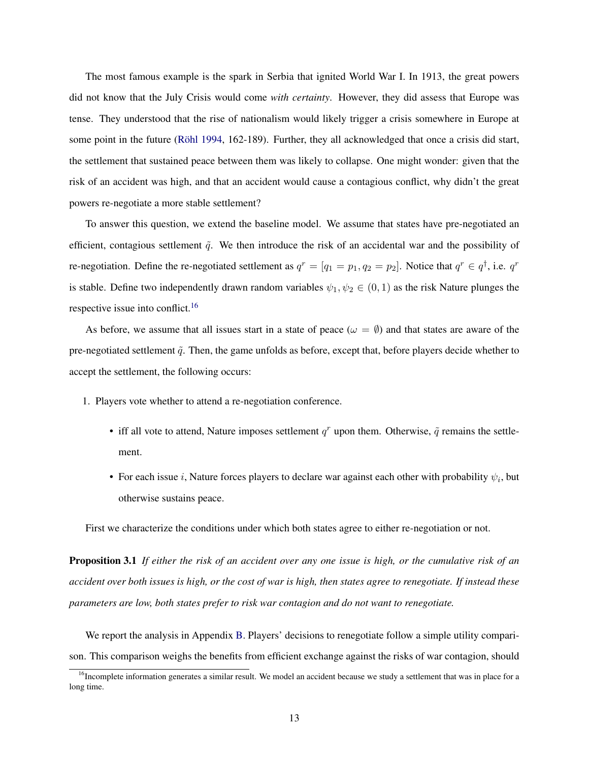The most famous example is the spark in Serbia that ignited World War I. In 1913, the great powers did not know that the July Crisis would come *with certainty*. However, they did assess that Europe was tense. They understood that the rise of nationalism would likely trigger a crisis somewhere in Europe at some point in the future (Röhl [1994,](#page-36-10) 162-189). Further, they all acknowledged that once a crisis did start, the settlement that sustained peace between them was likely to collapse. One might wonder: given that the risk of an accident was high, and that an accident would cause a contagious conflict, why didn't the great powers re-negotiate a more stable settlement?

To answer this question, we extend the baseline model. We assume that states have pre-negotiated an efficient, contagious settlement  $\tilde{q}$ . We then introduce the risk of an accidental war and the possibility of re-negotiation. Define the re-negotiated settlement as  $q^r = [q_1 = p_1, q_2 = p_2]$ . Notice that  $q^r \in q^{\dagger}$ , i.e.  $q^r$ is stable. Define two independently drawn random variables  $\psi_1, \psi_2 \in (0, 1)$  as the risk Nature plunges the respective issue into conflict.<sup>[16](#page-13-0)</sup>

As before, we assume that all issues start in a state of peace ( $\omega = \emptyset$ ) and that states are aware of the pre-negotiated settlement  $\tilde{q}$ . Then, the game unfolds as before, except that, before players decide whether to accept the settlement, the following occurs:

- 1. Players vote whether to attend a re-negotiation conference.
	- iff all vote to attend, Nature imposes settlement  $q<sup>r</sup>$  upon them. Otherwise,  $\tilde{q}$  remains the settlement.
	- For each issue *i*, Nature forces players to declare war against each other with probability  $\psi_i$ , but otherwise sustains peace.

First we characterize the conditions under which both states agree to either re-negotiation or not.

Proposition 3.1 *If either the risk of an accident over any one issue is high, or the cumulative risk of an accident over both issues is high, or the cost of war is high, then states agree to renegotiate. If instead these parameters are low, both states prefer to risk war contagion and do not want to renegotiate.*

We report the analysis in Appendix [B.](#page-42-1) Players' decisions to renegotiate follow a simple utility comparison. This comparison weighs the benefits from efficient exchange against the risks of war contagion, should

<span id="page-13-0"></span><sup>&</sup>lt;sup>16</sup>Incomplete information generates a similar result. We model an accident because we study a settlement that was in place for a long time.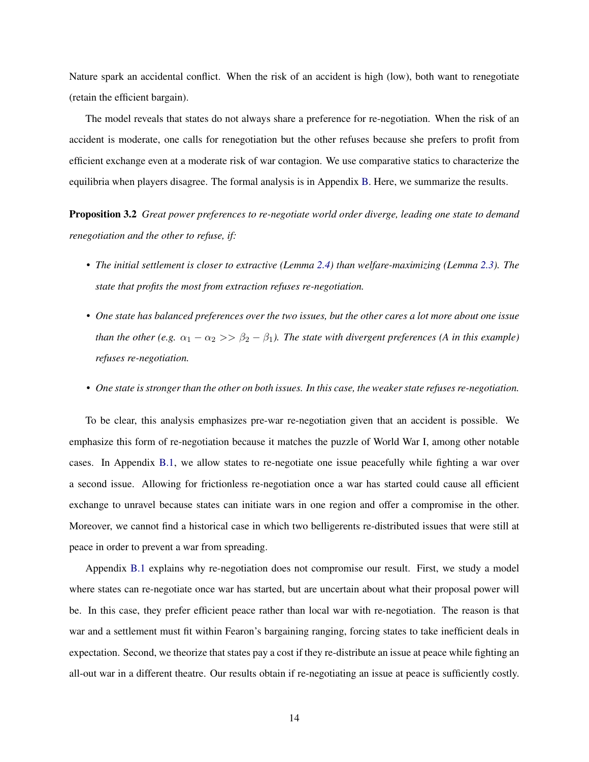Nature spark an accidental conflict. When the risk of an accident is high (low), both want to renegotiate (retain the efficient bargain).

The model reveals that states do not always share a preference for re-negotiation. When the risk of an accident is moderate, one calls for renegotiation but the other refuses because she prefers to profit from efficient exchange even at a moderate risk of war contagion. We use comparative statics to characterize the equilibria when players disagree. The formal analysis is in Appendix [B.](#page-42-1) Here, we summarize the results.

Proposition 3.2 *Great power preferences to re-negotiate world order diverge, leading one state to demand renegotiation and the other to refuse, if:*

- *The initial settlement is closer to extractive (Lemma [2.4\)](#page-10-3) than welfare-maximizing (Lemma [2.3\)](#page-10-2). The state that profits the most from extraction refuses re-negotiation.*
- *One state has balanced preferences over the two issues, but the other cares a lot more about one issue than the other (e.g.*  $\alpha_1 - \alpha_2 >> \beta_2 - \beta_1$ ). The state with divergent preferences (A in this example) *refuses re-negotiation.*
- *One state is stronger than the other on both issues. In this case, the weaker state refuses re-negotiation.*

To be clear, this analysis emphasizes pre-war re-negotiation given that an accident is possible. We emphasize this form of re-negotiation because it matches the puzzle of World War I, among other notable cases. In Appendix [B.1,](#page-43-0) we allow states to re-negotiate one issue peacefully while fighting a war over a second issue. Allowing for frictionless re-negotiation once a war has started could cause all efficient exchange to unravel because states can initiate wars in one region and offer a compromise in the other. Moreover, we cannot find a historical case in which two belligerents re-distributed issues that were still at peace in order to prevent a war from spreading.

Appendix [B.1](#page-43-0) explains why re-negotiation does not compromise our result. First, we study a model where states can re-negotiate once war has started, but are uncertain about what their proposal power will be. In this case, they prefer efficient peace rather than local war with re-negotiation. The reason is that war and a settlement must fit within Fearon's bargaining ranging, forcing states to take inefficient deals in expectation. Second, we theorize that states pay a cost if they re-distribute an issue at peace while fighting an all-out war in a different theatre. Our results obtain if re-negotiating an issue at peace is sufficiently costly.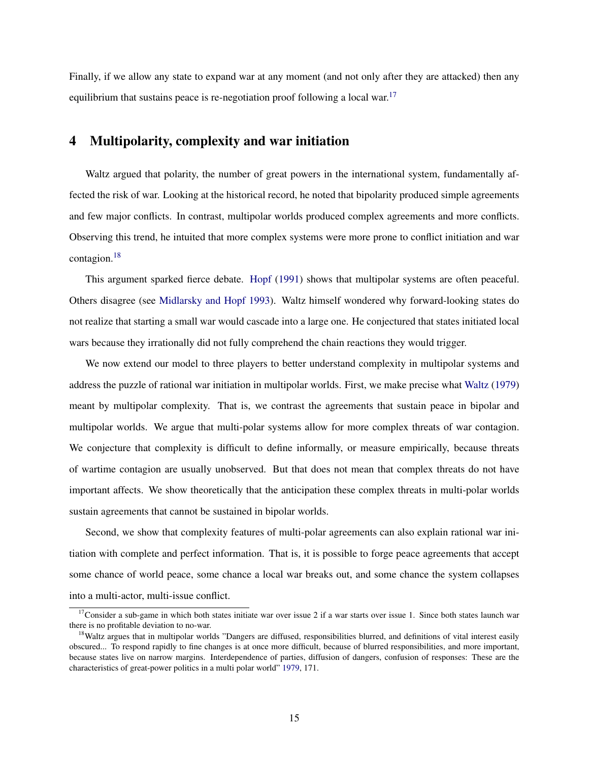Finally, if we allow any state to expand war at any moment (and not only after they are attacked) then any equilibrium that sustains peace is re-negotiation proof following a local war.<sup>[17](#page-15-0)</sup>

# 4 Multipolarity, complexity and war initiation

Waltz argued that polarity, the number of great powers in the international system, fundamentally affected the risk of war. Looking at the historical record, he noted that bipolarity produced simple agreements and few major conflicts. In contrast, multipolar worlds produced complex agreements and more conflicts. Observing this trend, he intuited that more complex systems were more prone to conflict initiation and war contagion.[18](#page-15-1)

This argument sparked fierce debate. [Hopf](#page-35-13) [\(1991\)](#page-35-13) shows that multipolar systems are often peaceful. Others disagree (see [Midlarsky and Hopf](#page-36-11) [1993\)](#page-36-11). Waltz himself wondered why forward-looking states do not realize that starting a small war would cascade into a large one. He conjectured that states initiated local wars because they irrationally did not fully comprehend the chain reactions they would trigger.

We now extend our model to three players to better understand complexity in multipolar systems and address the puzzle of rational war initiation in multipolar worlds. First, we make precise what [Waltz](#page-37-3) [\(1979\)](#page-37-3) meant by multipolar complexity. That is, we contrast the agreements that sustain peace in bipolar and multipolar worlds. We argue that multi-polar systems allow for more complex threats of war contagion. We conjecture that complexity is difficult to define informally, or measure empirically, because threats of wartime contagion are usually unobserved. But that does not mean that complex threats do not have important affects. We show theoretically that the anticipation these complex threats in multi-polar worlds sustain agreements that cannot be sustained in bipolar worlds.

Second, we show that complexity features of multi-polar agreements can also explain rational war initiation with complete and perfect information. That is, it is possible to forge peace agreements that accept some chance of world peace, some chance a local war breaks out, and some chance the system collapses into a multi-actor, multi-issue conflict.

<span id="page-15-0"></span> $17$ Consider a sub-game in which both states initiate war over issue 2 if a war starts over issue 1. Since both states launch war there is no profitable deviation to no-war.

<span id="page-15-1"></span><sup>&</sup>lt;sup>18</sup>Waltz argues that in multipolar worlds "Dangers are diffused, responsibilities blurred, and definitions of vital interest easily obscured... To respond rapidly to fine changes is at once more difficult, because of blurred responsibilities, and more important, because states live on narrow margins. Interdependence of parties, diffusion of dangers, confusion of responses: These are the characteristics of great-power politics in a multi polar world" [1979,](#page-37-3) 171.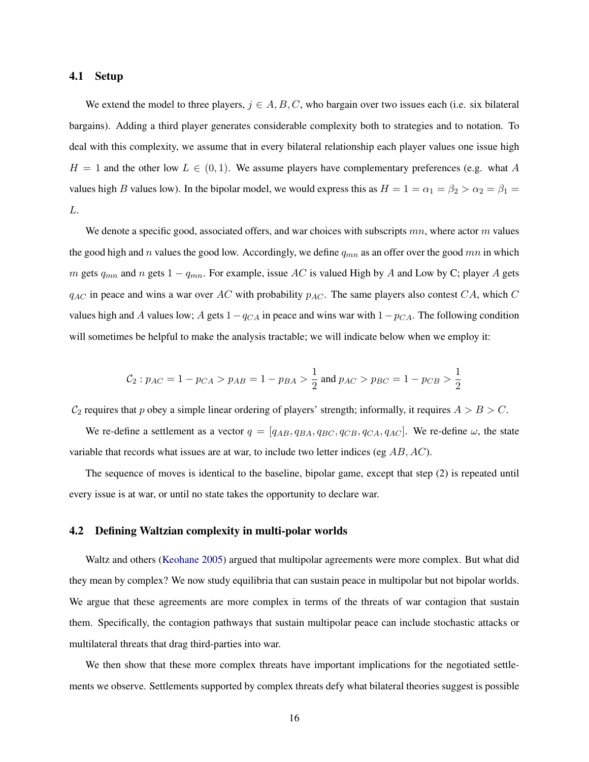### 4.1 Setup

We extend the model to three players,  $j \in A, B, C$ , who bargain over two issues each (i.e. six bilateral bargains). Adding a third player generates considerable complexity both to strategies and to notation. To deal with this complexity, we assume that in every bilateral relationship each player values one issue high  $H = 1$  and the other low  $L \in (0, 1)$ . We assume players have complementary preferences (e.g. what A values high B values low). In the bipolar model, we would express this as  $H = 1 = \alpha_1 = \beta_2 > \alpha_2 = \beta_1 =$ L.

We denote a specific good, associated offers, and war choices with subscripts  $mn$ , where actor m values the good high and n values the good low. Accordingly, we define  $q_{mn}$  as an offer over the good mn in which m gets  $q_{mn}$  and n gets  $1 - q_{mn}$ . For example, issue AC is valued High by A and Low by C; player A gets  $q_{AC}$  in peace and wins a war over AC with probability  $p_{AC}$ . The same players also contest CA, which C values high and A values low; A gets  $1-q<sub>CA</sub>$  in peace and wins war with  $1-p<sub>CA</sub>$ . The following condition will sometimes be helpful to make the analysis tractable; we will indicate below when we employ it:

$$
C_2: p_{AC} = 1 - p_{CA} > p_{AB} = 1 - p_{BA} > \frac{1}{2} \text{ and } p_{AC} > p_{BC} = 1 - p_{CB} > \frac{1}{2}
$$

 $C_2$  requires that p obey a simple linear ordering of players' strength; informally, it requires  $A > B > C$ .

We re-define a settlement as a vector  $q = [q_{AB}, q_{BA}, q_{BC}, q_{CB}, q_{CA}, q_{AC}]$ . We re-define  $\omega$ , the state variable that records what issues are at war, to include two letter indices (eg  $AB$ ,  $AC$ ).

The sequence of moves is identical to the baseline, bipolar game, except that step (2) is repeated until every issue is at war, or until no state takes the opportunity to declare war.

#### 4.2 Defining Waltzian complexity in multi-polar worlds

Waltz and others [\(Keohane](#page-35-7) [2005\)](#page-35-7) argued that multipolar agreements were more complex. But what did they mean by complex? We now study equilibria that can sustain peace in multipolar but not bipolar worlds. We argue that these agreements are more complex in terms of the threats of war contagion that sustain them. Specifically, the contagion pathways that sustain multipolar peace can include stochastic attacks or multilateral threats that drag third-parties into war.

We then show that these more complex threats have important implications for the negotiated settlements we observe. Settlements supported by complex threats defy what bilateral theories suggest is possible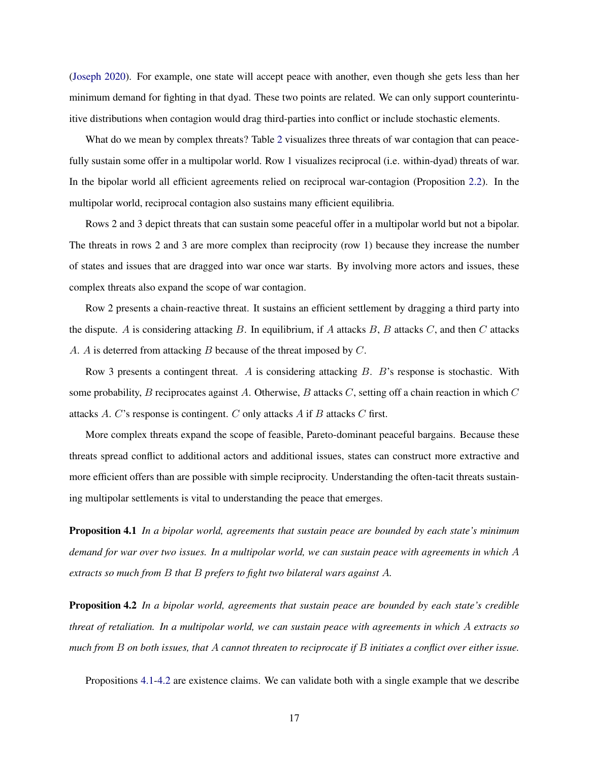[\(Joseph](#page-35-3) [2020\)](#page-35-3). For example, one state will accept peace with another, even though she gets less than her minimum demand for fighting in that dyad. These two points are related. We can only support counterintuitive distributions when contagion would drag third-parties into conflict or include stochastic elements.

What do we mean by complex threats? Table [2](#page-18-0) visualizes three threats of war contagion that can peacefully sustain some offer in a multipolar world. Row 1 visualizes reciprocal (i.e. within-dyad) threats of war. In the bipolar world all efficient agreements relied on reciprocal war-contagion (Proposition [2.2\)](#page-9-2). In the multipolar world, reciprocal contagion also sustains many efficient equilibria.

Rows 2 and 3 depict threats that can sustain some peaceful offer in a multipolar world but not a bipolar. The threats in rows 2 and 3 are more complex than reciprocity (row 1) because they increase the number of states and issues that are dragged into war once war starts. By involving more actors and issues, these complex threats also expand the scope of war contagion.

Row 2 presents a chain-reactive threat. It sustains an efficient settlement by dragging a third party into the dispute. A is considering attacking  $B$ . In equilibrium, if  $A$  attacks  $B$ ,  $B$  attacks  $C$ , and then  $C$  attacks A. A is deterred from attacking B because of the threat imposed by C.

Row 3 presents a contingent threat. A is considering attacking  $B$ . B's response is stochastic. With some probability,  $B$  reciprocates against  $A$ . Otherwise,  $B$  attacks  $C$ , setting off a chain reaction in which  $C$ attacks A. C's response is contingent. C only attacks A if B attacks C first.

More complex threats expand the scope of feasible, Pareto-dominant peaceful bargains. Because these threats spread conflict to additional actors and additional issues, states can construct more extractive and more efficient offers than are possible with simple reciprocity. Understanding the often-tacit threats sustaining multipolar settlements is vital to understanding the peace that emerges.

<span id="page-17-0"></span>Proposition 4.1 *In a bipolar world, agreements that sustain peace are bounded by each state's minimum demand for war over two issues. In a multipolar world, we can sustain peace with agreements in which* A *extracts so much from* B *that* B *prefers to fight two bilateral wars against* A*.*

<span id="page-17-1"></span>Proposition 4.2 *In a bipolar world, agreements that sustain peace are bounded by each state's credible threat of retaliation. In a multipolar world, we can sustain peace with agreements in which* A *extracts so much from* B *on both issues, that* A *cannot threaten to reciprocate if* B *initiates a conflict over either issue.*

Propositions [4.1-](#page-17-0)[4.2](#page-17-1) are existence claims. We can validate both with a single example that we describe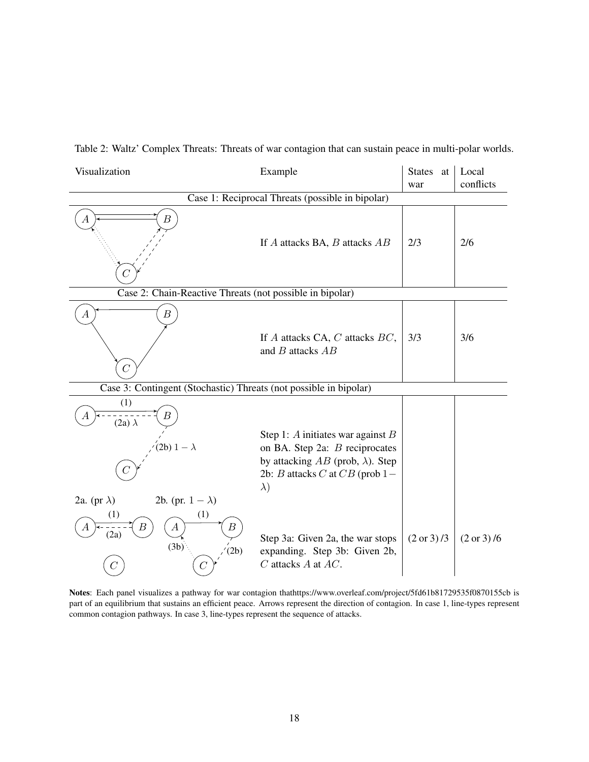<span id="page-18-0"></span>

|  | Table 2: Waltz' Complex Threats: Threats of war contagion that can sustain peace in multi-polar worlds. |  |  |
|--|---------------------------------------------------------------------------------------------------------|--|--|
|  |                                                                                                         |  |  |

| Visualization                                                         | Example                                                                                                                                                                | States at<br>war | Local<br>conflicts |  |
|-----------------------------------------------------------------------|------------------------------------------------------------------------------------------------------------------------------------------------------------------------|------------------|--------------------|--|
| Case 1: Reciprocal Threats (possible in bipolar)                      |                                                                                                                                                                        |                  |                    |  |
| В<br>А                                                                | If $A$ attacks BA, $B$ attacks $AB$                                                                                                                                    | 2/3              | 2/6                |  |
| Case 2: Chain-Reactive Threats (not possible in bipolar)              |                                                                                                                                                                        |                  |                    |  |
| $\boldsymbol{B}$<br>$\boldsymbol{A}$                                  | If $A$ attacks CA, $C$ attacks $BC$ ,<br>and $B$ attacks $AB$                                                                                                          | 3/3              | 3/6                |  |
| Case 3: Contingent (Stochastic) Threats (not possible in bipolar)     |                                                                                                                                                                        |                  |                    |  |
| (1)<br>В<br>$(2a)$ $\lambda$<br>2b) $1 - \lambda$                     | Step 1: A initiates war against $B$<br>on BA. Step 2a: B reciprocates<br>by attacking $AB$ (prob, $\lambda$ ). Step<br>2b: B attacks C at $CB$ (prob 1 –<br>$\lambda)$ |                  |                    |  |
| 2a. (pr $\lambda$ )<br>2b. (pr. $1 - \lambda$ )                       |                                                                                                                                                                        |                  |                    |  |
| (1)<br>(1)<br>В<br>$\boldsymbol{A}$<br>Β<br>A<br>(2a)<br>(3b)<br>(2b) | Step 3a: Given 2a, the war stops<br>expanding. Step 3b: Given 2b,<br>$C$ attacks $A$ at $AC$ .                                                                         | (2 or 3)/3       | (2 or 3)/6         |  |

Notes: Each panel visualizes a pathway for war contagion thathttps://www.overleaf.com/project/5fd61b81729535f0870155cb is part of an equilibrium that sustains an efficient peace. Arrows represent the direction of contagion. In case 1, line-types represent common contagion pathways. In case 3, line-types represent the sequence of attacks.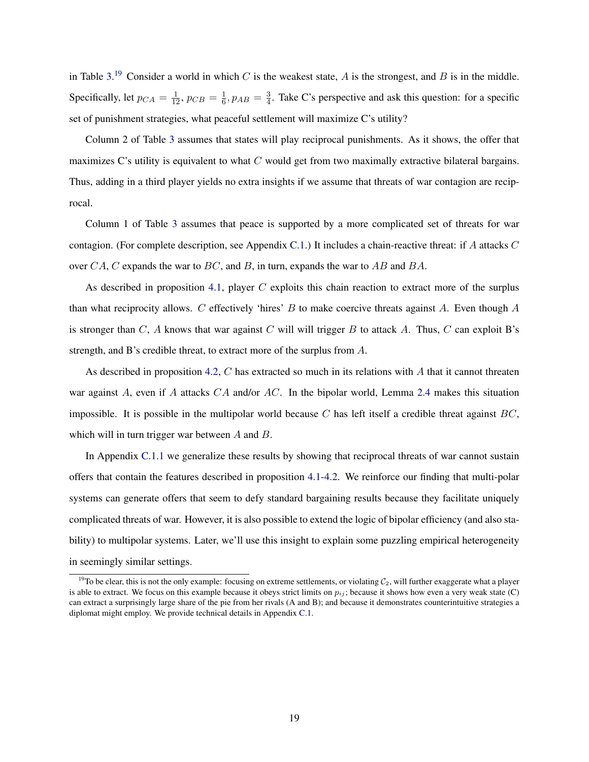in Table [3.](#page-20-0)<sup>[19](#page-19-0)</sup> Consider a world in which C is the weakest state, A is the strongest, and B is in the middle. Specifically, let  $p_{CA} = \frac{1}{12}$ ,  $p_{CB} = \frac{1}{6}$  $\frac{1}{6}$ ,  $p_{AB} = \frac{3}{4}$  $\frac{3}{4}$ . Take C's perspective and ask this question: for a specific set of punishment strategies, what peaceful settlement will maximize C's utility?

Column 2 of Table [3](#page-20-0) assumes that states will play reciprocal punishments. As it shows, the offer that maximizes C's utility is equivalent to what  $C$  would get from two maximally extractive bilateral bargains. Thus, adding in a third player yields no extra insights if we assume that threats of war contagion are reciprocal.

Column 1 of Table [3](#page-20-0) assumes that peace is supported by a more complicated set of threats for war contagion. (For complete description, see Appendix [C.1.](#page-44-0)) It includes a chain-reactive threat: if A attacks  $C$ over CA, C expands the war to BC, and B, in turn, expands the war to AB and BA.

As described in proposition [4.1,](#page-17-0) player  $C$  exploits this chain reaction to extract more of the surplus than what reciprocity allows.  $C$  effectively 'hires'  $B$  to make coercive threats against  $A$ . Even though  $A$ is stronger than  $C$ , A knows that war against C will will trigger B to attack A. Thus, C can exploit B's strength, and B's credible threat, to extract more of the surplus from A.

As described in proposition [4.2,](#page-17-1) C has extracted so much in its relations with A that it cannot threaten war against A, even if A attacks  $CA$  and/or  $AC$ . In the bipolar world, Lemma [2.4](#page-10-3) makes this situation impossible. It is possible in the multipolar world because C has left itself a credible threat against  $BC$ , which will in turn trigger war between A and B.

In Appendix [C.1.1](#page-45-0) we generalize these results by showing that reciprocal threats of war cannot sustain offers that contain the features described in proposition [4.1](#page-17-0)[-4.2.](#page-17-1) We reinforce our finding that multi-polar systems can generate offers that seem to defy standard bargaining results because they facilitate uniquely complicated threats of war. However, it is also possible to extend the logic of bipolar efficiency (and also stability) to multipolar systems. Later, we'll use this insight to explain some puzzling empirical heterogeneity in seemingly similar settings.

<span id="page-19-0"></span><sup>&</sup>lt;sup>19</sup>To be clear, this is not the only example: focusing on extreme settlements, or violating  $C_2$ , will further exaggerate what a player is able to extract. We focus on this example because it obeys strict limits on  $p_{ij}$ ; because it shows how even a very weak state (C) can extract a surprisingly large share of the pie from her rivals (A and B); and because it demonstrates counterintuitive strategies a diplomat might employ. We provide technical details in Appendix [C.1.](#page-44-0)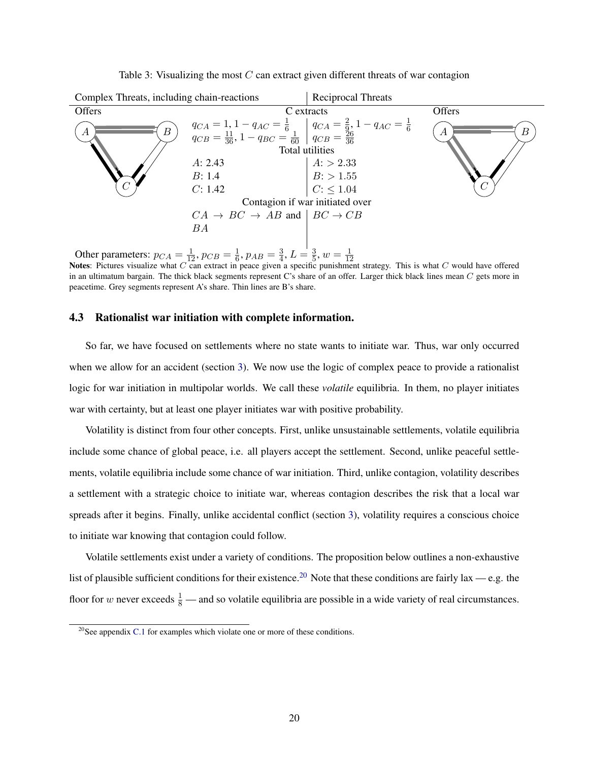<span id="page-20-0"></span>

Table 3: Visualizing the most  $C$  can extract given different threats of war contagion

Other parameters:  $p_{CA} = \frac{1}{12}$ ,  $p_{CB} = \frac{1}{6}$  $\frac{1}{6}$ ,  $p_{AB} = \frac{3}{4}$  $\frac{3}{4}$ ,  $L = \frac{3}{5}$  $\frac{3}{5}$ ,  $w = \frac{1}{12}$ 

Notes: Pictures visualize what C can extract in peace given a specific punishment strategy. This is what C would have offered<br>Notes: Pictures visualize what C can extract in peace given a specific punishment strategy. Thi in an ultimatum bargain. The thick black segments represent C's share of an offer. Larger thick black lines mean C gets more in peacetime. Grey segments represent A's share. Thin lines are B's share.

# 4.3 Rationalist war initiation with complete information.

So far, we have focused on settlements where no state wants to initiate war. Thus, war only occurred when we allow for an accident (section [3\)](#page-12-1). We now use the logic of complex peace to provide a rationalist logic for war initiation in multipolar worlds. We call these *volatile* equilibria. In them, no player initiates war with certainty, but at least one player initiates war with positive probability.

Volatility is distinct from four other concepts. First, unlike unsustainable settlements, volatile equilibria include some chance of global peace, i.e. all players accept the settlement. Second, unlike peaceful settlements, volatile equilibria include some chance of war initiation. Third, unlike contagion, volatility describes a settlement with a strategic choice to initiate war, whereas contagion describes the risk that a local war spreads after it begins. Finally, unlike accidental conflict (section [3\)](#page-12-1), volatility requires a conscious choice to initiate war knowing that contagion could follow.

Volatile settlements exist under a variety of conditions. The proposition below outlines a non-exhaustive list of plausible sufficient conditions for their existence.<sup>[20](#page-20-1)</sup> Note that these conditions are fairly lax — e.g. the floor for w never exceeds  $\frac{1}{8}$  — and so volatile equilibria are possible in a wide variety of real circumstances.

<span id="page-20-2"></span><span id="page-20-1"></span> $^{20}$ See appendix [C.1](#page-44-0) for examples which violate one or more of these conditions.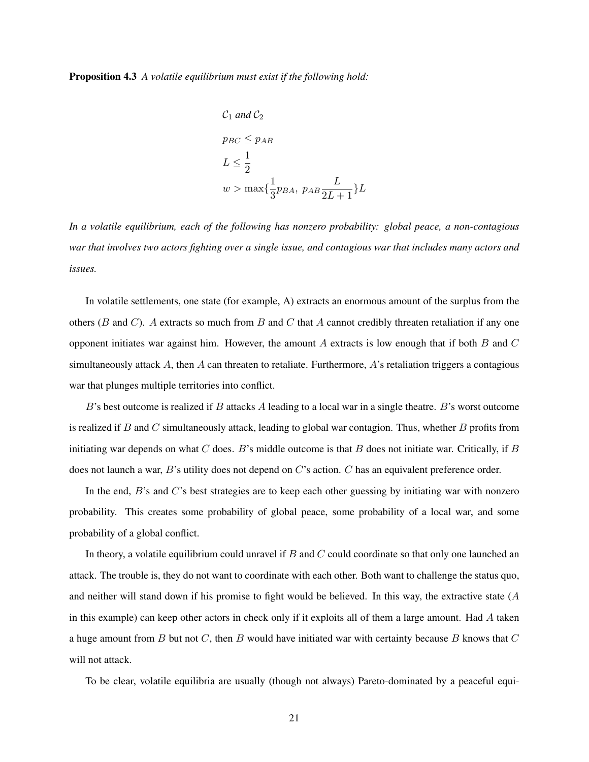Proposition 4.3 *A volatile equilibrium must exist if the following hold:*

$$
C_1 \text{ and } C_2
$$
\n
$$
p_{BC} \le p_{AB}
$$
\n
$$
L \le \frac{1}{2}
$$
\n
$$
w > \max\{\frac{1}{3}p_{BA}, \ p_{AB}\frac{L}{2L+1}\}L
$$

*In a volatile equilibrium, each of the following has nonzero probability: global peace, a non-contagious war that involves two actors fighting over a single issue, and contagious war that includes many actors and issues.*

In volatile settlements, one state (for example, A) extracts an enormous amount of the surplus from the others ( $B$  and  $C$ ). A extracts so much from  $B$  and  $C$  that  $A$  cannot credibly threaten retaliation if any one opponent initiates war against him. However, the amount  $A$  extracts is low enough that if both  $B$  and  $C$ simultaneously attack A, then A can threaten to retaliate. Furthermore, A's retaliation triggers a contagious war that plunges multiple territories into conflict.

 $B$ 's best outcome is realized if  $B$  attacks  $\overline{A}$  leading to a local war in a single theatre.  $B$ 's worst outcome is realized if  $B$  and  $C$  simultaneously attack, leading to global war contagion. Thus, whether  $B$  profits from initiating war depends on what  $C$  does.  $B$ 's middle outcome is that  $B$  does not initiate war. Critically, if  $B$ does not launch a war, B's utility does not depend on C's action. C has an equivalent preference order.

In the end, B's and C's best strategies are to keep each other guessing by initiating war with nonzero probability. This creates some probability of global peace, some probability of a local war, and some probability of a global conflict.

In theory, a volatile equilibrium could unravel if  $B$  and  $C$  could coordinate so that only one launched an attack. The trouble is, they do not want to coordinate with each other. Both want to challenge the status quo, and neither will stand down if his promise to fight would be believed. In this way, the extractive state  $(A)$ in this example) can keep other actors in check only if it exploits all of them a large amount. Had A taken a huge amount from  $B$  but not  $C$ , then  $B$  would have initiated war with certainty because  $B$  knows that  $C$ will not attack.

To be clear, volatile equilibria are usually (though not always) Pareto-dominated by a peaceful equi-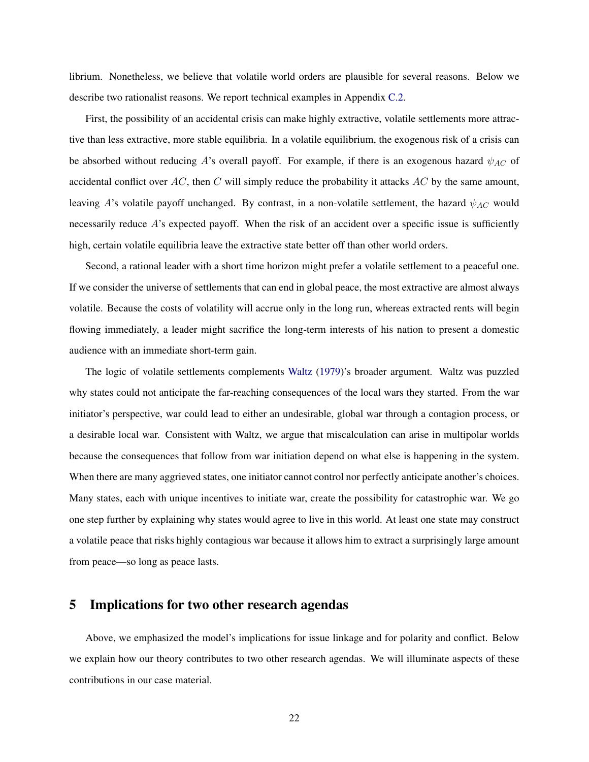librium. Nonetheless, we believe that volatile world orders are plausible for several reasons. Below we describe two rationalist reasons. We report technical examples in Appendix [C.2.](#page-46-0)

First, the possibility of an accidental crisis can make highly extractive, volatile settlements more attractive than less extractive, more stable equilibria. In a volatile equilibrium, the exogenous risk of a crisis can be absorbed without reducing A's overall payoff. For example, if there is an exogenous hazard  $\psi_{AC}$  of accidental conflict over  $AC$ , then C will simply reduce the probability it attacks  $AC$  by the same amount, leaving A's volatile payoff unchanged. By contrast, in a non-volatile settlement, the hazard  $\psi_{AC}$  would necessarily reduce  $A$ 's expected payoff. When the risk of an accident over a specific issue is sufficiently high, certain volatile equilibria leave the extractive state better off than other world orders.

Second, a rational leader with a short time horizon might prefer a volatile settlement to a peaceful one. If we consider the universe of settlements that can end in global peace, the most extractive are almost always volatile. Because the costs of volatility will accrue only in the long run, whereas extracted rents will begin flowing immediately, a leader might sacrifice the long-term interests of his nation to present a domestic audience with an immediate short-term gain.

The logic of volatile settlements complements [Waltz](#page-37-3) [\(1979\)](#page-37-3)'s broader argument. Waltz was puzzled why states could not anticipate the far-reaching consequences of the local wars they started. From the war initiator's perspective, war could lead to either an undesirable, global war through a contagion process, or a desirable local war. Consistent with Waltz, we argue that miscalculation can arise in multipolar worlds because the consequences that follow from war initiation depend on what else is happening in the system. When there are many aggrieved states, one initiator cannot control nor perfectly anticipate another's choices. Many states, each with unique incentives to initiate war, create the possibility for catastrophic war. We go one step further by explaining why states would agree to live in this world. At least one state may construct a volatile peace that risks highly contagious war because it allows him to extract a surprisingly large amount from peace—so long as peace lasts.

# <span id="page-22-0"></span>5 Implications for two other research agendas

Above, we emphasized the model's implications for issue linkage and for polarity and conflict. Below we explain how our theory contributes to two other research agendas. We will illuminate aspects of these contributions in our case material.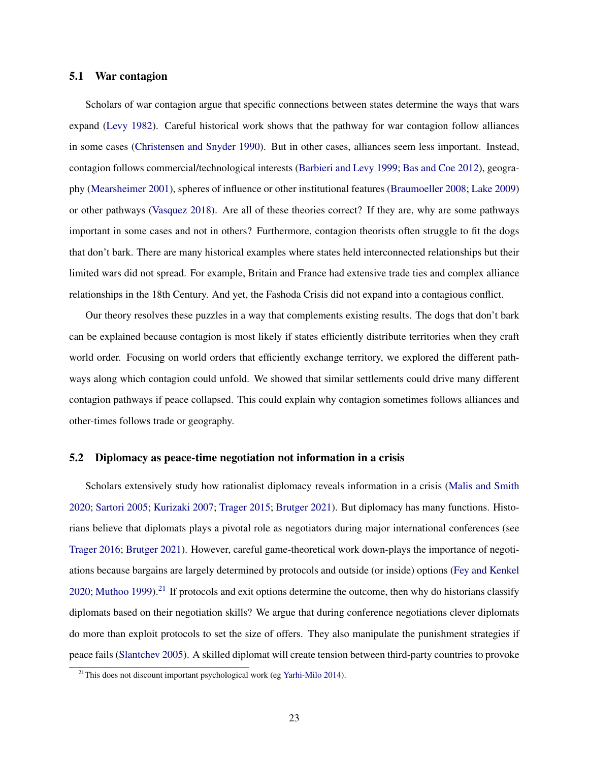# 5.1 War contagion

Scholars of war contagion argue that specific connections between states determine the ways that wars expand [\(Levy](#page-35-1) [1982\)](#page-35-1). Careful historical work shows that the pathway for war contagion follow alliances in some cases [\(Christensen and Snyder](#page-34-0) [1990\)](#page-34-0). But in other cases, alliances seem less important. Instead, contagion follows commercial/technological interests [\(Barbieri and Levy](#page-34-5) [1999;](#page-34-5) [Bas and Coe](#page-34-7) [2012\)](#page-34-7), geography [\(Mearsheimer](#page-36-3) [2001\)](#page-36-3), spheres of influence or other institutional features [\(Braumoeller](#page-34-3) [2008;](#page-34-3) [Lake](#page-35-14) [2009\)](#page-35-14) or other pathways [\(Vasquez](#page-37-0) [2018\)](#page-37-0). Are all of these theories correct? If they are, why are some pathways important in some cases and not in others? Furthermore, contagion theorists often struggle to fit the dogs that don't bark. There are many historical examples where states held interconnected relationships but their limited wars did not spread. For example, Britain and France had extensive trade ties and complex alliance relationships in the 18th Century. And yet, the Fashoda Crisis did not expand into a contagious conflict.

Our theory resolves these puzzles in a way that complements existing results. The dogs that don't bark can be explained because contagion is most likely if states efficiently distribute territories when they craft world order. Focusing on world orders that efficiently exchange territory, we explored the different pathways along which contagion could unfold. We showed that similar settlements could drive many different contagion pathways if peace collapsed. This could explain why contagion sometimes follows alliances and other-times follows trade or geography.

## 5.2 Diplomacy as peace-time negotiation not information in a crisis

Scholars extensively study how rationalist diplomacy reveals information in a crisis [\(Malis and Smith](#page-36-12) [2020;](#page-36-12) [Sartori](#page-36-13) [2005;](#page-36-13) [Kurizaki](#page-35-15) [2007;](#page-35-15) [Trager](#page-37-2) [2015;](#page-37-2) [Brutger](#page-34-11) [2021\)](#page-34-11). But diplomacy has many functions. Historians believe that diplomats plays a pivotal role as negotiators during major international conferences (see [Trager](#page-37-9) [2016;](#page-37-9) [Brutger](#page-34-11) [2021\)](#page-34-11). However, careful game-theoretical work down-plays the importance of negotiations because bargains are largely determined by protocols and outside (or inside) options [\(Fey and Kenkel](#page-34-12) [2020;](#page-34-12) [Muthoo](#page-36-14) [1999\)](#page-36-14).<sup>[21](#page-23-0)</sup> If protocols and exit options determine the outcome, then why do historians classify diplomats based on their negotiation skills? We argue that during conference negotiations clever diplomats do more than exploit protocols to set the size of offers. They also manipulate the punishment strategies if peace fails [\(Slantchev](#page-37-12) [2005\)](#page-37-12). A skilled diplomat will create tension between third-party countries to provoke

<span id="page-23-0"></span> $^{21}$ This does not discount important psychological work (eg [Yarhi-Milo](#page-38-1) [2014\)](#page-38-1).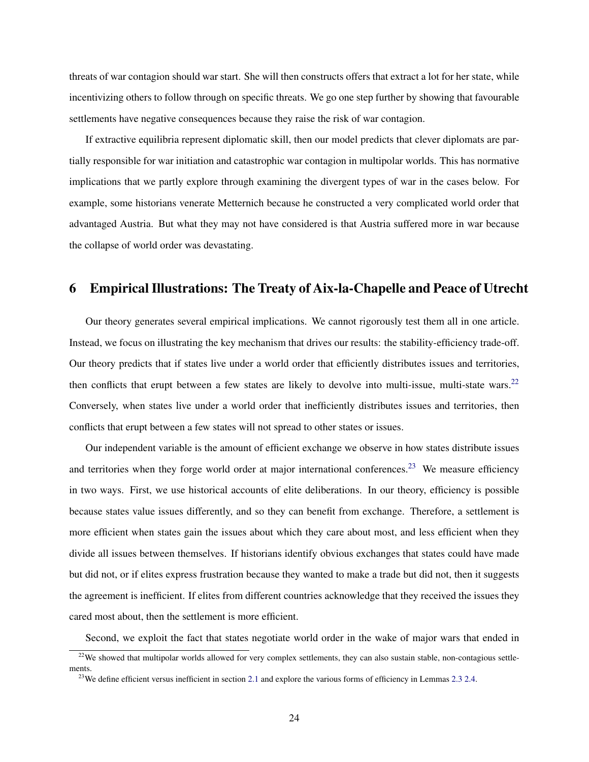threats of war contagion should war start. She will then constructs offers that extract a lot for her state, while incentivizing others to follow through on specific threats. We go one step further by showing that favourable settlements have negative consequences because they raise the risk of war contagion.

If extractive equilibria represent diplomatic skill, then our model predicts that clever diplomats are partially responsible for war initiation and catastrophic war contagion in multipolar worlds. This has normative implications that we partly explore through examining the divergent types of war in the cases below. For example, some historians venerate Metternich because he constructed a very complicated world order that advantaged Austria. But what they may not have considered is that Austria suffered more in war because the collapse of world order was devastating.

# <span id="page-24-2"></span>6 Empirical Illustrations: The Treaty of Aix-la-Chapelle and Peace of Utrecht

Our theory generates several empirical implications. We cannot rigorously test them all in one article. Instead, we focus on illustrating the key mechanism that drives our results: the stability-efficiency trade-off. Our theory predicts that if states live under a world order that efficiently distributes issues and territories, then conflicts that erupt between a few states are likely to devolve into multi-issue, multi-state wars.<sup>[22](#page-24-0)</sup> Conversely, when states live under a world order that inefficiently distributes issues and territories, then conflicts that erupt between a few states will not spread to other states or issues.

Our independent variable is the amount of efficient exchange we observe in how states distribute issues and territories when they forge world order at major international conferences.<sup>[23](#page-24-1)</sup> We measure efficiency in two ways. First, we use historical accounts of elite deliberations. In our theory, efficiency is possible because states value issues differently, and so they can benefit from exchange. Therefore, a settlement is more efficient when states gain the issues about which they care about most, and less efficient when they divide all issues between themselves. If historians identify obvious exchanges that states could have made but did not, or if elites express frustration because they wanted to make a trade but did not, then it suggests the agreement is inefficient. If elites from different countries acknowledge that they received the issues they cared most about, then the settlement is more efficient.

Second, we exploit the fact that states negotiate world order in the wake of major wars that ended in

<span id="page-24-0"></span><sup>&</sup>lt;sup>22</sup>We showed that multipolar worlds allowed for very complex settlements, they can also sustain stable, non-contagious settlements.

<span id="page-24-1"></span><sup>&</sup>lt;sup>23</sup>We define efficient versus inefficient in section [2.1](#page-9-3) and explore the various forms of efficiency in Lemmas [2.3](#page-10-2) [2.4.](#page-10-3)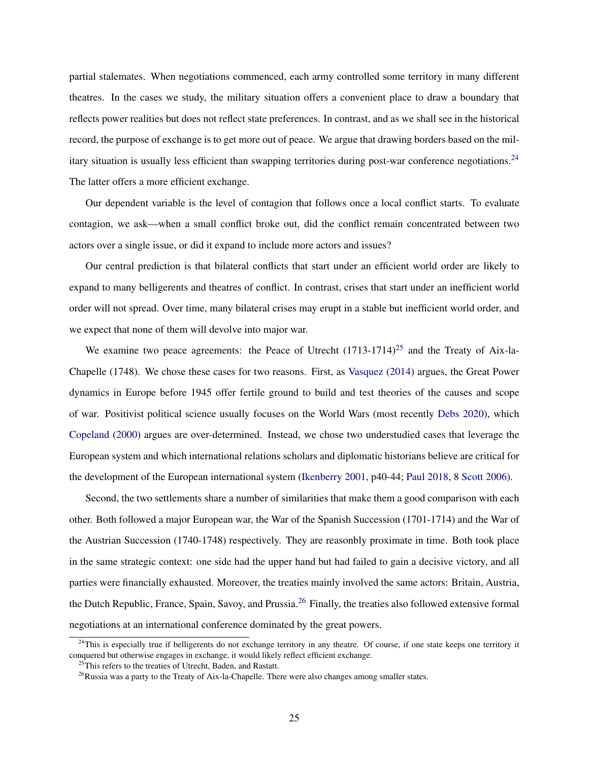partial stalemates. When negotiations commenced, each army controlled some territory in many different theatres. In the cases we study, the military situation offers a convenient place to draw a boundary that reflects power realities but does not reflect state preferences. In contrast, and as we shall see in the historical record, the purpose of exchange is to get more out of peace. We argue that drawing borders based on the military situation is usually less efficient than swapping territories during post-war conference negotiations.[24](#page-25-0) The latter offers a more efficient exchange.

Our dependent variable is the level of contagion that follows once a local conflict starts. To evaluate contagion, we ask—when a small conflict broke out, did the conflict remain concentrated between two actors over a single issue, or did it expand to include more actors and issues?

Our central prediction is that bilateral conflicts that start under an efficient world order are likely to expand to many belligerents and theatres of conflict. In contrast, crises that start under an inefficient world order will not spread. Over time, many bilateral crises may erupt in a stable but inefficient world order, and we expect that none of them will devolve into major war.

We examine two peace agreements: the Peace of Utrecht  $(1713-1714)^{25}$  $(1713-1714)^{25}$  $(1713-1714)^{25}$  and the Treaty of Aix-la-Chapelle (1748). We chose these cases for two reasons. First, as [Vasquez](#page-37-14) [\(2014\)](#page-37-14) argues, the Great Power dynamics in Europe before 1945 offer fertile ground to build and test theories of the causes and scope of war. Positivist political science usually focuses on the World Wars (most recently [Debs](#page-34-4) [2020\)](#page-34-4), which [Copeland](#page-34-13) [\(2000\)](#page-34-13) argues are over-determined. Instead, we chose two understudied cases that leverage the European system and which international relations scholars and diplomatic historians believe are critical for the development of the European international system [\(Ikenberry](#page-35-0) [2001,](#page-35-0) p40-44; [Paul](#page-36-15) [2018,](#page-36-15) 8 [Scott](#page-36-16) [2006\)](#page-36-16).

Second, the two settlements share a number of similarities that make them a good comparison with each other. Both followed a major European war, the War of the Spanish Succession (1701-1714) and the War of the Austrian Succession (1740-1748) respectively. They are reasonbly proximate in time. Both took place in the same strategic context: one side had the upper hand but had failed to gain a decisive victory, and all parties were financially exhausted. Moreover, the treaties mainly involved the same actors: Britain, Austria, the Dutch Republic, France, Spain, Savoy, and Prussia.[26](#page-25-2) Finally, the treaties also followed extensive formal negotiations at an international conference dominated by the great powers.

<span id="page-25-0"></span> $24$ This is especially true if belligerents do not exchange territory in any theatre. Of course, if one state keeps one territory it conquered but otherwise engages in exchange, it would likely reflect efficient exchange.

<span id="page-25-1"></span><sup>&</sup>lt;sup>25</sup>This refers to the treaties of Utrecht, Baden, and Rastatt.

<span id="page-25-2"></span> $^{26}$ Russia was a party to the Treaty of Aix-la-Chapelle. There were also changes among smaller states.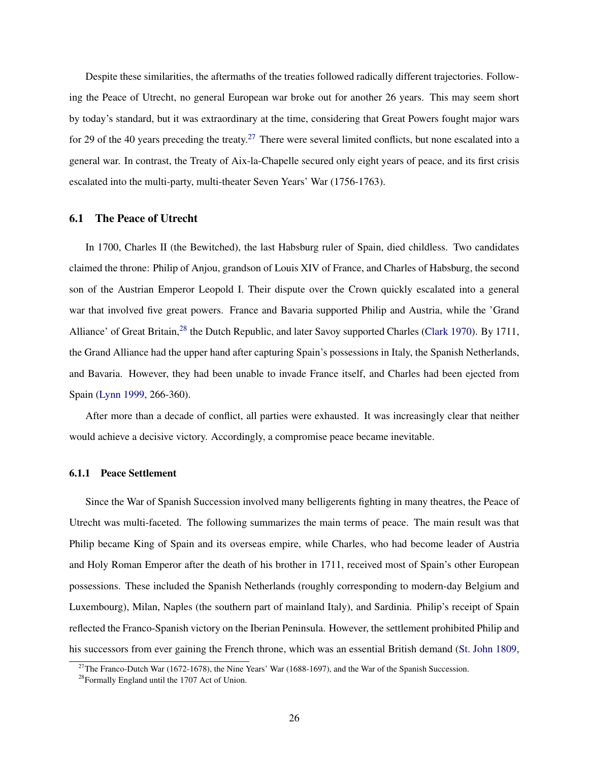Despite these similarities, the aftermaths of the treaties followed radically different trajectories. Following the Peace of Utrecht, no general European war broke out for another 26 years. This may seem short by today's standard, but it was extraordinary at the time, considering that Great Powers fought major wars for 29 of the 40 years preceding the treaty.<sup>[27](#page-26-0)</sup> There were several limited conflicts, but none escalated into a general war. In contrast, the Treaty of Aix-la-Chapelle secured only eight years of peace, and its first crisis escalated into the multi-party, multi-theater Seven Years' War (1756-1763).

# 6.1 The Peace of Utrecht

In 1700, Charles II (the Bewitched), the last Habsburg ruler of Spain, died childless. Two candidates claimed the throne: Philip of Anjou, grandson of Louis XIV of France, and Charles of Habsburg, the second son of the Austrian Emperor Leopold I. Their dispute over the Crown quickly escalated into a general war that involved five great powers. France and Bavaria supported Philip and Austria, while the 'Grand Alliance' of Great Britain,<sup>[28](#page-26-1)</sup> the Dutch Republic, and later Savoy supported Charles [\(Clark](#page-34-14) [1970\)](#page-34-14). By 1711, the Grand Alliance had the upper hand after capturing Spain's possessions in Italy, the Spanish Netherlands, and Bavaria. However, they had been unable to invade France itself, and Charles had been ejected from Spain [\(Lynn](#page-35-16) [1999,](#page-35-16) 266-360).

After more than a decade of conflict, all parties were exhausted. It was increasingly clear that neither would achieve a decisive victory. Accordingly, a compromise peace became inevitable.

# 6.1.1 Peace Settlement

Since the War of Spanish Succession involved many belligerents fighting in many theatres, the Peace of Utrecht was multi-faceted. The following summarizes the main terms of peace. The main result was that Philip became King of Spain and its overseas empire, while Charles, who had become leader of Austria and Holy Roman Emperor after the death of his brother in 1711, received most of Spain's other European possessions. These included the Spanish Netherlands (roughly corresponding to modern-day Belgium and Luxembourg), Milan, Naples (the southern part of mainland Italy), and Sardinia. Philip's receipt of Spain reflected the Franco-Spanish victory on the Iberian Peninsula. However, the settlement prohibited Philip and his successors from ever gaining the French throne, which was an essential British demand [\(St. John](#page-37-15) [1809,](#page-37-15)

<span id="page-26-0"></span><sup>&</sup>lt;sup>27</sup>The Franco-Dutch War (1672-1678), the Nine Years' War (1688-1697), and the War of the Spanish Succession.

<span id="page-26-1"></span><sup>28</sup>Formally England until the 1707 Act of Union.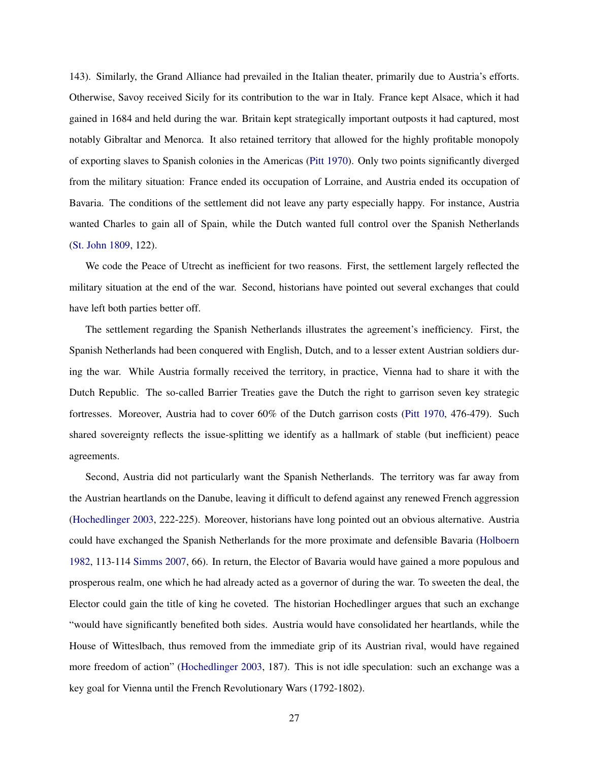143). Similarly, the Grand Alliance had prevailed in the Italian theater, primarily due to Austria's efforts. Otherwise, Savoy received Sicily for its contribution to the war in Italy. France kept Alsace, which it had gained in 1684 and held during the war. Britain kept strategically important outposts it had captured, most notably Gibraltar and Menorca. It also retained territory that allowed for the highly profitable monopoly of exporting slaves to Spanish colonies in the Americas [\(Pitt](#page-36-17) [1970\)](#page-36-17). Only two points significantly diverged from the military situation: France ended its occupation of Lorraine, and Austria ended its occupation of Bavaria. The conditions of the settlement did not leave any party especially happy. For instance, Austria wanted Charles to gain all of Spain, while the Dutch wanted full control over the Spanish Netherlands [\(St. John](#page-37-15) [1809,](#page-37-15) 122).

We code the Peace of Utrecht as inefficient for two reasons. First, the settlement largely reflected the military situation at the end of the war. Second, historians have pointed out several exchanges that could have left both parties better off.

The settlement regarding the Spanish Netherlands illustrates the agreement's inefficiency. First, the Spanish Netherlands had been conquered with English, Dutch, and to a lesser extent Austrian soldiers during the war. While Austria formally received the territory, in practice, Vienna had to share it with the Dutch Republic. The so-called Barrier Treaties gave the Dutch the right to garrison seven key strategic fortresses. Moreover, Austria had to cover 60% of the Dutch garrison costs [\(Pitt](#page-36-17) [1970,](#page-36-17) 476-479). Such shared sovereignty reflects the issue-splitting we identify as a hallmark of stable (but inefficient) peace agreements.

Second, Austria did not particularly want the Spanish Netherlands. The territory was far away from the Austrian heartlands on the Danube, leaving it difficult to defend against any renewed French aggression [\(Hochedlinger](#page-35-17) [2003,](#page-35-17) 222-225). Moreover, historians have long pointed out an obvious alternative. Austria could have exchanged the Spanish Netherlands for the more proximate and defensible Bavaria [\(Holboern](#page-35-18) [1982,](#page-35-18) 113-114 [Simms](#page-36-18) [2007,](#page-36-18) 66). In return, the Elector of Bavaria would have gained a more populous and prosperous realm, one which he had already acted as a governor of during the war. To sweeten the deal, the Elector could gain the title of king he coveted. The historian Hochedlinger argues that such an exchange "would have significantly benefited both sides. Austria would have consolidated her heartlands, while the House of Witteslbach, thus removed from the immediate grip of its Austrian rival, would have regained more freedom of action" [\(Hochedlinger](#page-35-17) [2003,](#page-35-17) 187). This is not idle speculation: such an exchange was a key goal for Vienna until the French Revolutionary Wars (1792-1802).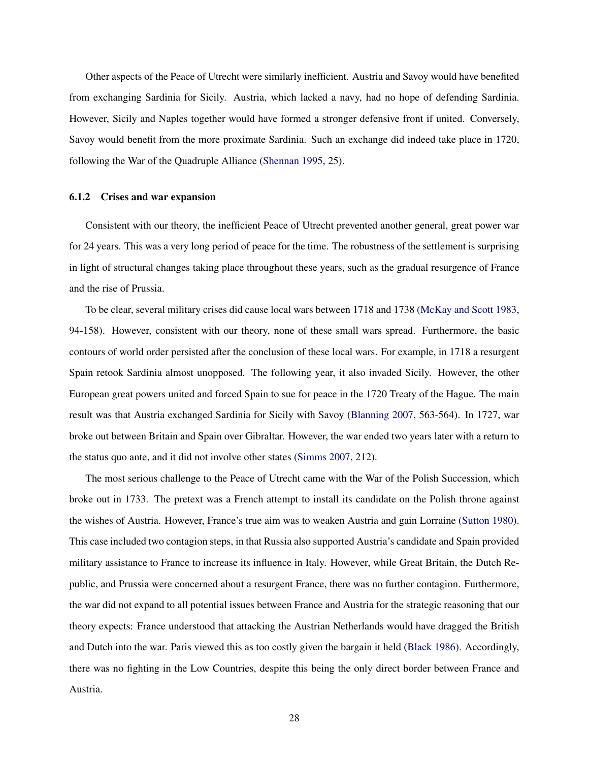Other aspects of the Peace of Utrecht were similarly inefficient. Austria and Savoy would have benefited from exchanging Sardinia for Sicily. Austria, which lacked a navy, had no hope of defending Sardinia. However, Sicily and Naples together would have formed a stronger defensive front if united. Conversely, Savoy would benefit from the more proximate Sardinia. Such an exchange did indeed take place in 1720, following the War of the Quadruple Alliance [\(Shennan](#page-36-19) [1995,](#page-36-19) 25).

#### 6.1.2 Crises and war expansion

Consistent with our theory, the inefficient Peace of Utrecht prevented another general, great power war for 24 years. This was a very long period of peace for the time. The robustness of the settlement is surprising in light of structural changes taking place throughout these years, such as the gradual resurgence of France and the rise of Prussia.

To be clear, several military crises did cause local wars between 1718 and 1738 [\(McKay and Scott](#page-36-20) [1983,](#page-36-20) 94-158). However, consistent with our theory, none of these small wars spread. Furthermore, the basic contours of world order persisted after the conclusion of these local wars. For example, in 1718 a resurgent Spain retook Sardinia almost unopposed. The following year, it also invaded Sicily. However, the other European great powers united and forced Spain to sue for peace in the 1720 Treaty of the Hague. The main result was that Austria exchanged Sardinia for Sicily with Savoy [\(Blanning](#page-34-15) [2007,](#page-34-15) 563-564). In 1727, war broke out between Britain and Spain over Gibraltar. However, the war ended two years later with a return to the status quo ante, and it did not involve other states [\(Simms](#page-36-18) [2007,](#page-36-18) 212).

The most serious challenge to the Peace of Utrecht came with the War of the Polish Succession, which broke out in 1733. The pretext was a French attempt to install its candidate on the Polish throne against the wishes of Austria. However, France's true aim was to weaken Austria and gain Lorraine [\(Sutton](#page-37-16) [1980\)](#page-37-16). This case included two contagion steps, in that Russia also supported Austria's candidate and Spain provided military assistance to France to increase its influence in Italy. However, while Great Britain, the Dutch Republic, and Prussia were concerned about a resurgent France, there was no further contagion. Furthermore, the war did not expand to all potential issues between France and Austria for the strategic reasoning that our theory expects: France understood that attacking the Austrian Netherlands would have dragged the British and Dutch into the war. Paris viewed this as too costly given the bargain it held [\(Black](#page-34-16) [1986\)](#page-34-16). Accordingly, there was no fighting in the Low Countries, despite this being the only direct border between France and Austria.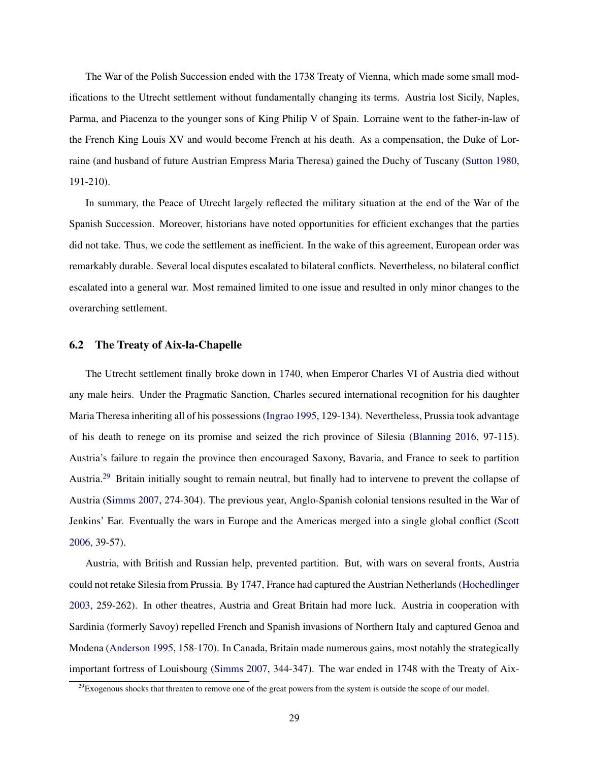The War of the Polish Succession ended with the 1738 Treaty of Vienna, which made some small modifications to the Utrecht settlement without fundamentally changing its terms. Austria lost Sicily, Naples, Parma, and Piacenza to the younger sons of King Philip V of Spain. Lorraine went to the father-in-law of the French King Louis XV and would become French at his death. As a compensation, the Duke of Lorraine (and husband of future Austrian Empress Maria Theresa) gained the Duchy of Tuscany [\(Sutton](#page-37-16) [1980,](#page-37-16) 191-210).

In summary, the Peace of Utrecht largely reflected the military situation at the end of the War of the Spanish Succession. Moreover, historians have noted opportunities for efficient exchanges that the parties did not take. Thus, we code the settlement as inefficient. In the wake of this agreement, European order was remarkably durable. Several local disputes escalated to bilateral conflicts. Nevertheless, no bilateral conflict escalated into a general war. Most remained limited to one issue and resulted in only minor changes to the overarching settlement.

### 6.2 The Treaty of Aix-la-Chapelle

The Utrecht settlement finally broke down in 1740, when Emperor Charles VI of Austria died without any male heirs. Under the Pragmatic Sanction, Charles secured international recognition for his daughter Maria Theresa inheriting all of his possessions [\(Ingrao](#page-35-19) [1995,](#page-35-19) 129-134). Nevertheless, Prussia took advantage of his death to renege on its promise and seized the rich province of Silesia [\(Blanning](#page-34-17) [2016,](#page-34-17) 97-115). Austria's failure to regain the province then encouraged Saxony, Bavaria, and France to seek to partition Austria.[29](#page-29-0) Britain initially sought to remain neutral, but finally had to intervene to prevent the collapse of Austria [\(Simms](#page-36-18) [2007,](#page-36-18) 274-304). The previous year, Anglo-Spanish colonial tensions resulted in the War of Jenkins' Ear. Eventually the wars in Europe and the Americas merged into a single global conflict [\(Scott](#page-36-16) [2006,](#page-36-16) 39-57).

Austria, with British and Russian help, prevented partition. But, with wars on several fronts, Austria could not retake Silesia from Prussia. By 1747, France had captured the Austrian Netherlands [\(Hochedlinger](#page-35-17) [2003,](#page-35-17) 259-262). In other theatres, Austria and Great Britain had more luck. Austria in cooperation with Sardinia (formerly Savoy) repelled French and Spanish invasions of Northern Italy and captured Genoa and Modena [\(Anderson](#page-34-18) [1995,](#page-34-18) 158-170). In Canada, Britain made numerous gains, most notably the strategically important fortress of Louisbourg [\(Simms](#page-36-18) [2007,](#page-36-18) 344-347). The war ended in 1748 with the Treaty of Aix-

<span id="page-29-0"></span> $29$ Exogenous shocks that threaten to remove one of the great powers from the system is outside the scope of our model.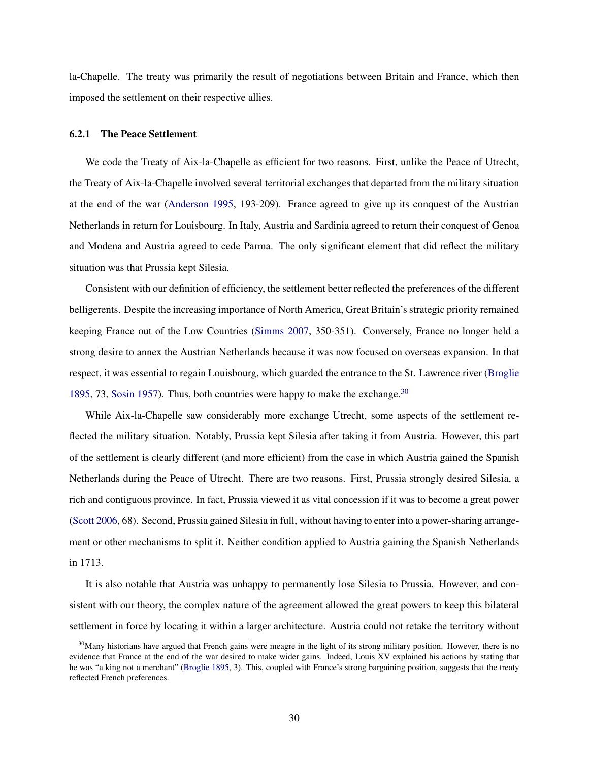la-Chapelle. The treaty was primarily the result of negotiations between Britain and France, which then imposed the settlement on their respective allies.

# 6.2.1 The Peace Settlement

We code the Treaty of Aix-la-Chapelle as efficient for two reasons. First, unlike the Peace of Utrecht, the Treaty of Aix-la-Chapelle involved several territorial exchanges that departed from the military situation at the end of the war [\(Anderson](#page-34-18) [1995,](#page-34-18) 193-209). France agreed to give up its conquest of the Austrian Netherlands in return for Louisbourg. In Italy, Austria and Sardinia agreed to return their conquest of Genoa and Modena and Austria agreed to cede Parma. The only significant element that did reflect the military situation was that Prussia kept Silesia.

Consistent with our definition of efficiency, the settlement better reflected the preferences of the different belligerents. Despite the increasing importance of North America, Great Britain's strategic priority remained keeping France out of the Low Countries [\(Simms](#page-36-18) [2007,](#page-36-18) 350-351). Conversely, France no longer held a strong desire to annex the Austrian Netherlands because it was now focused on overseas expansion. In that respect, it was essential to regain Louisbourg, which guarded the entrance to the St. Lawrence river [\(Broglie](#page-34-19) [1895,](#page-34-19) 73, [Sosin](#page-37-17) [1957\)](#page-37-17). Thus, both countries were happy to make the exchange.<sup>[30](#page-30-0)</sup>

While Aix-la-Chapelle saw considerably more exchange Utrecht, some aspects of the settlement reflected the military situation. Notably, Prussia kept Silesia after taking it from Austria. However, this part of the settlement is clearly different (and more efficient) from the case in which Austria gained the Spanish Netherlands during the Peace of Utrecht. There are two reasons. First, Prussia strongly desired Silesia, a rich and contiguous province. In fact, Prussia viewed it as vital concession if it was to become a great power [\(Scott](#page-36-16) [2006,](#page-36-16) 68). Second, Prussia gained Silesia in full, without having to enter into a power-sharing arrangement or other mechanisms to split it. Neither condition applied to Austria gaining the Spanish Netherlands in 1713.

It is also notable that Austria was unhappy to permanently lose Silesia to Prussia. However, and consistent with our theory, the complex nature of the agreement allowed the great powers to keep this bilateral settlement in force by locating it within a larger architecture. Austria could not retake the territory without

<span id="page-30-0"></span> $30$ Many historians have argued that French gains were meagre in the light of its strong military position. However, there is no evidence that France at the end of the war desired to make wider gains. Indeed, Louis XV explained his actions by stating that he was "a king not a merchant" [\(Broglie](#page-34-19) [1895,](#page-34-19) 3). This, coupled with France's strong bargaining position, suggests that the treaty reflected French preferences.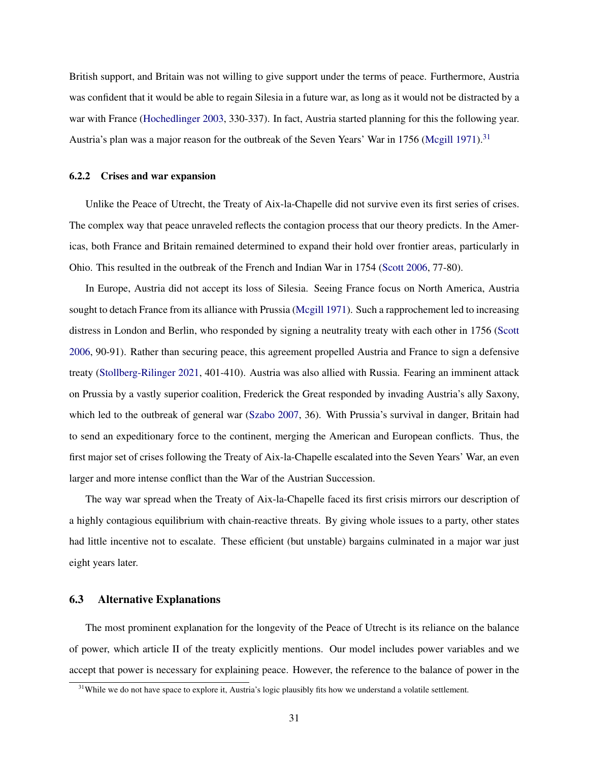British support, and Britain was not willing to give support under the terms of peace. Furthermore, Austria was confident that it would be able to regain Silesia in a future war, as long as it would not be distracted by a war with France [\(Hochedlinger](#page-35-17) [2003,](#page-35-17) 330-337). In fact, Austria started planning for this the following year. Austria's plan was a major reason for the outbreak of the Seven Years' War in 1756 [\(Mcgill](#page-36-21) [1971\)](#page-36-21).<sup>[31](#page-31-0)</sup>

### 6.2.2 Crises and war expansion

Unlike the Peace of Utrecht, the Treaty of Aix-la-Chapelle did not survive even its first series of crises. The complex way that peace unraveled reflects the contagion process that our theory predicts. In the Americas, both France and Britain remained determined to expand their hold over frontier areas, particularly in Ohio. This resulted in the outbreak of the French and Indian War in 1754 [\(Scott](#page-36-16) [2006,](#page-36-16) 77-80).

In Europe, Austria did not accept its loss of Silesia. Seeing France focus on North America, Austria sought to detach France from its alliance with Prussia [\(Mcgill](#page-36-21) [1971\)](#page-36-21). Such a rapprochement led to increasing distress in London and Berlin, who responded by signing a neutrality treaty with each other in 1756 [\(Scott](#page-36-16) [2006,](#page-36-16) 90-91). Rather than securing peace, this agreement propelled Austria and France to sign a defensive treaty [\(Stollberg-Rilinger](#page-37-18) [2021,](#page-37-18) 401-410). Austria was also allied with Russia. Fearing an imminent attack on Prussia by a vastly superior coalition, Frederick the Great responded by invading Austria's ally Saxony, which led to the outbreak of general war [\(Szabo](#page-37-19) [2007,](#page-37-19) 36). With Prussia's survival in danger, Britain had to send an expeditionary force to the continent, merging the American and European conflicts. Thus, the first major set of crises following the Treaty of Aix-la-Chapelle escalated into the Seven Years' War, an even larger and more intense conflict than the War of the Austrian Succession.

The way war spread when the Treaty of Aix-la-Chapelle faced its first crisis mirrors our description of a highly contagious equilibrium with chain-reactive threats. By giving whole issues to a party, other states had little incentive not to escalate. These efficient (but unstable) bargains culminated in a major war just eight years later.

# 6.3 Alternative Explanations

The most prominent explanation for the longevity of the Peace of Utrecht is its reliance on the balance of power, which article II of the treaty explicitly mentions. Our model includes power variables and we accept that power is necessary for explaining peace. However, the reference to the balance of power in the

<span id="page-31-0"></span> $31$ While we do not have space to explore it, Austria's logic plausibly fits how we understand a volatile settlement.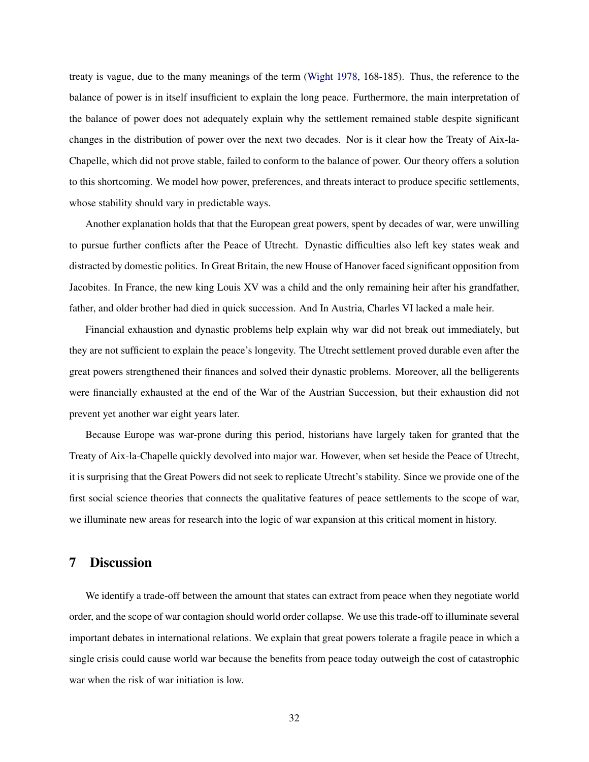treaty is vague, due to the many meanings of the term [\(Wight](#page-37-20) [1978,](#page-37-20) 168-185). Thus, the reference to the balance of power is in itself insufficient to explain the long peace. Furthermore, the main interpretation of the balance of power does not adequately explain why the settlement remained stable despite significant changes in the distribution of power over the next two decades. Nor is it clear how the Treaty of Aix-la-Chapelle, which did not prove stable, failed to conform to the balance of power. Our theory offers a solution to this shortcoming. We model how power, preferences, and threats interact to produce specific settlements, whose stability should vary in predictable ways.

Another explanation holds that that the European great powers, spent by decades of war, were unwilling to pursue further conflicts after the Peace of Utrecht. Dynastic difficulties also left key states weak and distracted by domestic politics. In Great Britain, the new House of Hanover faced significant opposition from Jacobites. In France, the new king Louis XV was a child and the only remaining heir after his grandfather, father, and older brother had died in quick succession. And In Austria, Charles VI lacked a male heir.

Financial exhaustion and dynastic problems help explain why war did not break out immediately, but they are not sufficient to explain the peace's longevity. The Utrecht settlement proved durable even after the great powers strengthened their finances and solved their dynastic problems. Moreover, all the belligerents were financially exhausted at the end of the War of the Austrian Succession, but their exhaustion did not prevent yet another war eight years later.

Because Europe was war-prone during this period, historians have largely taken for granted that the Treaty of Aix-la-Chapelle quickly devolved into major war. However, when set beside the Peace of Utrecht, it is surprising that the Great Powers did not seek to replicate Utrecht's stability. Since we provide one of the first social science theories that connects the qualitative features of peace settlements to the scope of war, we illuminate new areas for research into the logic of war expansion at this critical moment in history.

# 7 Discussion

We identify a trade-off between the amount that states can extract from peace when they negotiate world order, and the scope of war contagion should world order collapse. We use this trade-off to illuminate several important debates in international relations. We explain that great powers tolerate a fragile peace in which a single crisis could cause world war because the benefits from peace today outweigh the cost of catastrophic war when the risk of war initiation is low.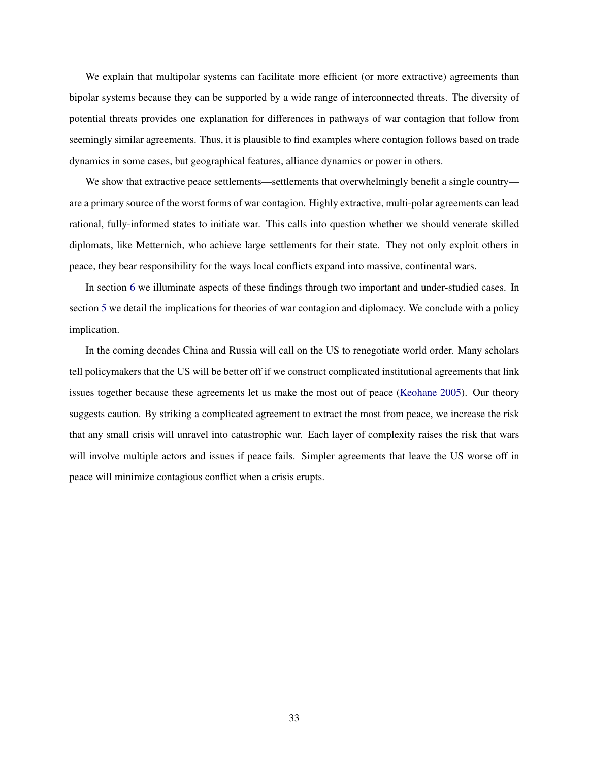We explain that multipolar systems can facilitate more efficient (or more extractive) agreements than bipolar systems because they can be supported by a wide range of interconnected threats. The diversity of potential threats provides one explanation for differences in pathways of war contagion that follow from seemingly similar agreements. Thus, it is plausible to find examples where contagion follows based on trade dynamics in some cases, but geographical features, alliance dynamics or power in others.

We show that extractive peace settlements—settlements that overwhelmingly benefit a single country are a primary source of the worst forms of war contagion. Highly extractive, multi-polar agreements can lead rational, fully-informed states to initiate war. This calls into question whether we should venerate skilled diplomats, like Metternich, who achieve large settlements for their state. They not only exploit others in peace, they bear responsibility for the ways local conflicts expand into massive, continental wars.

In section [6](#page-24-2) we illuminate aspects of these findings through two important and under-studied cases. In section [5](#page-22-0) we detail the implications for theories of war contagion and diplomacy. We conclude with a policy implication.

In the coming decades China and Russia will call on the US to renegotiate world order. Many scholars tell policymakers that the US will be better off if we construct complicated institutional agreements that link issues together because these agreements let us make the most out of peace [\(Keohane](#page-35-7) [2005\)](#page-35-7). Our theory suggests caution. By striking a complicated agreement to extract the most from peace, we increase the risk that any small crisis will unravel into catastrophic war. Each layer of complexity raises the risk that wars will involve multiple actors and issues if peace fails. Simpler agreements that leave the US worse off in peace will minimize contagious conflict when a crisis erupts.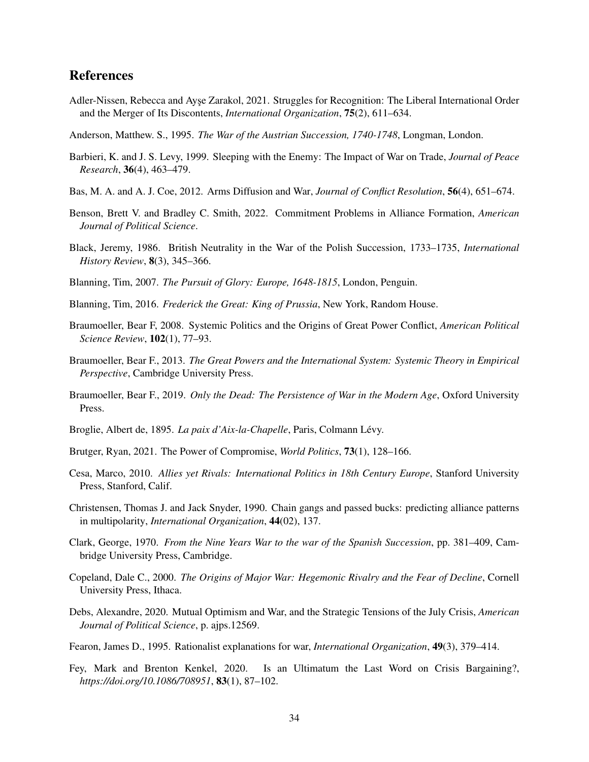# References

- <span id="page-34-9"></span>Adler-Nissen, Rebecca and Ayşe Zarakol, 2021. Struggles for Recognition: The Liberal International Order and the Merger of Its Discontents, *International Organization*, 75(2), 611–634.
- <span id="page-34-18"></span>Anderson, Matthew. S., 1995. *The War of the Austrian Succession, 1740-1748*, Longman, London.
- <span id="page-34-5"></span>Barbieri, K. and J. S. Levy, 1999. Sleeping with the Enemy: The Impact of War on Trade, *Journal of Peace Research*, 36(4), 463–479.
- <span id="page-34-7"></span>Bas, M. A. and A. J. Coe, 2012. Arms Diffusion and War, *Journal of Conflict Resolution*, 56(4), 651–674.
- <span id="page-34-10"></span>Benson, Brett V. and Bradley C. Smith, 2022. Commitment Problems in Alliance Formation, *American Journal of Political Science*.
- <span id="page-34-16"></span>Black, Jeremy, 1986. British Neutrality in the War of the Polish Succession, 1733–1735, *International History Review*, 8(3), 345–366.
- <span id="page-34-15"></span>Blanning, Tim, 2007. *The Pursuit of Glory: Europe, 1648-1815*, London, Penguin.
- <span id="page-34-17"></span>Blanning, Tim, 2016. *Frederick the Great: King of Prussia*, New York, Random House.
- <span id="page-34-3"></span>Braumoeller, Bear F, 2008. Systemic Politics and the Origins of Great Power Conflict, *American Political Science Review*, 102(1), 77–93.
- <span id="page-34-1"></span>Braumoeller, Bear F., 2013. *The Great Powers and the International System: Systemic Theory in Empirical Perspective*, Cambridge University Press.
- <span id="page-34-6"></span>Braumoeller, Bear F., 2019. *Only the Dead: The Persistence of War in the Modern Age*, Oxford University Press.
- <span id="page-34-19"></span>Broglie, Albert de, 1895. *La paix d'Aix-la-Chapelle*, Paris, Colmann Lévy.
- <span id="page-34-11"></span>Brutger, Ryan, 2021. The Power of Compromise, *World Politics*, 73(1), 128–166.
- <span id="page-34-2"></span>Cesa, Marco, 2010. *Allies yet Rivals: International Politics in 18th Century Europe*, Stanford University Press, Stanford, Calif.
- <span id="page-34-0"></span>Christensen, Thomas J. and Jack Snyder, 1990. Chain gangs and passed bucks: predicting alliance patterns in multipolarity, *International Organization*, 44(02), 137.
- <span id="page-34-14"></span>Clark, George, 1970. *From the Nine Years War to the war of the Spanish Succession*, pp. 381–409, Cambridge University Press, Cambridge.
- <span id="page-34-13"></span>Copeland, Dale C., 2000. *The Origins of Major War: Hegemonic Rivalry and the Fear of Decline*, Cornell University Press, Ithaca.
- <span id="page-34-4"></span>Debs, Alexandre, 2020. Mutual Optimism and War, and the Strategic Tensions of the July Crisis, *American Journal of Political Science*, p. ajps.12569.
- <span id="page-34-8"></span>Fearon, James D., 1995. Rationalist explanations for war, *International Organization*, 49(3), 379–414.
- <span id="page-34-12"></span>Fey, Mark and Brenton Kenkel, 2020. Is an Ultimatum the Last Word on Crisis Bargaining?, *https://doi.org/10.1086/708951*, 83(1), 87–102.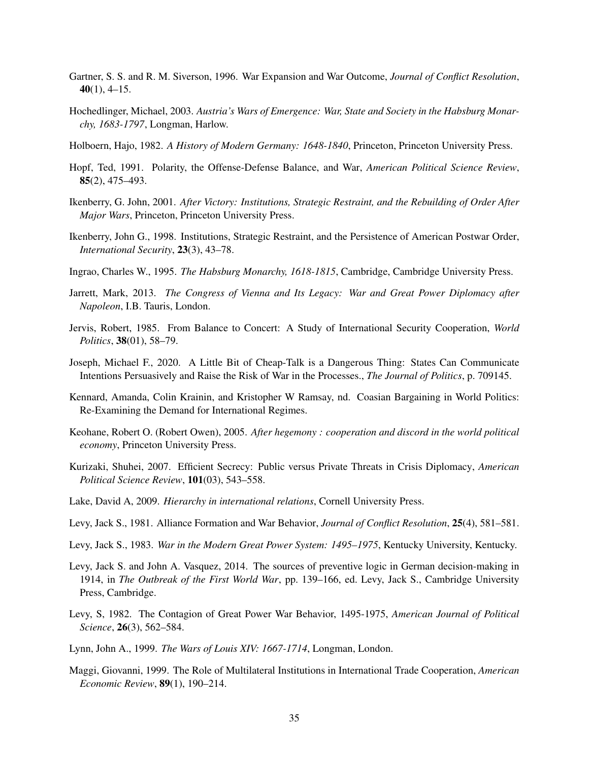- <span id="page-35-2"></span>Gartner, S. S. and R. M. Siverson, 1996. War Expansion and War Outcome, *Journal of Conflict Resolution*,  $40(1)$ , 4–15.
- <span id="page-35-17"></span>Hochedlinger, Michael, 2003. *Austria's Wars of Emergence: War, State and Society in the Habsburg Monarchy, 1683-1797*, Longman, Harlow.
- <span id="page-35-18"></span>Holboern, Hajo, 1982. *A History of Modern Germany: 1648-1840*, Princeton, Princeton University Press.
- <span id="page-35-13"></span>Hopf, Ted, 1991. Polarity, the Offense-Defense Balance, and War, *American Political Science Review*, 85(2), 475–493.
- <span id="page-35-0"></span>Ikenberry, G. John, 2001. *After Victory: Institutions, Strategic Restraint, and the Rebuilding of Order After Major Wars*, Princeton, Princeton University Press.
- <span id="page-35-12"></span>Ikenberry, John G., 1998. Institutions, Strategic Restraint, and the Persistence of American Postwar Order, *International Security*, 23(3), 43–78.
- <span id="page-35-19"></span>Ingrao, Charles W., 1995. *The Habsburg Monarchy, 1618-1815*, Cambridge, Cambridge University Press.
- <span id="page-35-10"></span>Jarrett, Mark, 2013. *The Congress of Vienna and Its Legacy: War and Great Power Diplomacy after Napoleon*, I.B. Tauris, London.
- <span id="page-35-4"></span>Jervis, Robert, 1985. From Balance to Concert: A Study of International Security Cooperation, *World Politics*, 38(01), 58–79.
- <span id="page-35-3"></span>Joseph, Michael F., 2020. A Little Bit of Cheap-Talk is a Dangerous Thing: States Can Communicate Intentions Persuasively and Raise the Risk of War in the Processes., *The Journal of Politics*, p. 709145.
- <span id="page-35-9"></span>Kennard, Amanda, Colin Krainin, and Kristopher W Ramsay, nd. Coasian Bargaining in World Politics: Re-Examining the Demand for International Regimes.
- <span id="page-35-7"></span>Keohane, Robert O. (Robert Owen), 2005. *After hegemony : cooperation and discord in the world political economy*, Princeton University Press.
- <span id="page-35-15"></span>Kurizaki, Shuhei, 2007. Efficient Secrecy: Public versus Private Threats in Crisis Diplomacy, *American Political Science Review*, 101(03), 543–558.
- <span id="page-35-14"></span>Lake, David A, 2009. *Hierarchy in international relations*, Cornell University Press.
- <span id="page-35-5"></span>Levy, Jack S., 1981. Alliance Formation and War Behavior, *Journal of Conflict Resolution*, 25(4), 581–581.
- <span id="page-35-11"></span>Levy, Jack S., 1983. *War in the Modern Great Power System: 1495–1975*, Kentucky University, Kentucky.
- <span id="page-35-6"></span>Levy, Jack S. and John A. Vasquez, 2014. The sources of preventive logic in German decision-making in 1914, in *The Outbreak of the First World War*, pp. 139–166, ed. Levy, Jack S., Cambridge University Press, Cambridge.
- <span id="page-35-1"></span>Levy, S, 1982. The Contagion of Great Power War Behavior, 1495-1975, *American Journal of Political Science*, 26(3), 562–584.
- <span id="page-35-16"></span>Lynn, John A., 1999. *The Wars of Louis XIV: 1667-1714*, Longman, London.
- <span id="page-35-8"></span>Maggi, Giovanni, 1999. The Role of Multilateral Institutions in International Trade Cooperation, *American Economic Review*, 89(1), 190–214.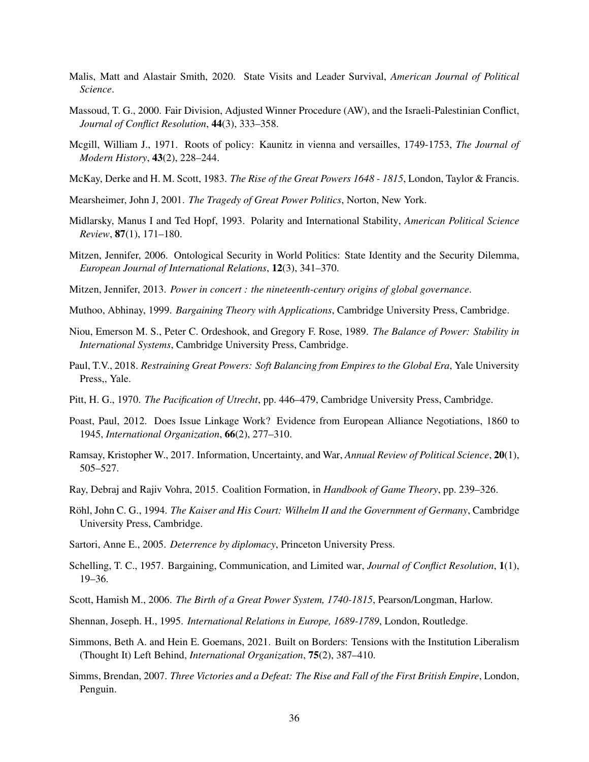- <span id="page-36-12"></span>Malis, Matt and Alastair Smith, 2020. State Visits and Leader Survival, *American Journal of Political Science*.
- <span id="page-36-8"></span>Massoud, T. G., 2000. Fair Division, Adjusted Winner Procedure (AW), and the Israeli-Palestinian Conflict, *Journal of Conflict Resolution*, 44(3), 333–358.
- <span id="page-36-21"></span>Mcgill, William J., 1971. Roots of policy: Kaunitz in vienna and versailles, 1749-1753, *The Journal of Modern History*, 43(2), 228–244.
- <span id="page-36-20"></span>McKay, Derke and H. M. Scott, 1983. *The Rise of the Great Powers 1648 - 1815*, London, Taylor & Francis.
- <span id="page-36-3"></span>Mearsheimer, John J, 2001. *The Tragedy of Great Power Politics*, Norton, New York.
- <span id="page-36-11"></span>Midlarsky, Manus I and Ted Hopf, 1993. Polarity and International Stability, *American Political Science Review*, 87(1), 171–180.
- <span id="page-36-9"></span>Mitzen, Jennifer, 2006. Ontological Security in World Politics: State Identity and the Security Dilemma, *European Journal of International Relations*, 12(3), 341–370.
- <span id="page-36-2"></span>Mitzen, Jennifer, 2013. *Power in concert : the nineteenth-century origins of global governance*.
- <span id="page-36-14"></span>Muthoo, Abhinay, 1999. *Bargaining Theory with Applications*, Cambridge University Press, Cambridge.
- <span id="page-36-6"></span>Niou, Emerson M. S., Peter C. Ordeshook, and Gregory F. Rose, 1989. *The Balance of Power: Stability in International Systems*, Cambridge University Press, Cambridge.
- <span id="page-36-15"></span>Paul, T.V., 2018. *Restraining Great Powers: Soft Balancing from Empires to the Global Era*, Yale University Press,, Yale.
- <span id="page-36-17"></span>Pitt, H. G., 1970. *The Pacification of Utrecht*, pp. 446–479, Cambridge University Press, Cambridge.
- <span id="page-36-4"></span>Poast, Paul, 2012. Does Issue Linkage Work? Evidence from European Alliance Negotiations, 1860 to 1945, *International Organization*, 66(2), 277–310.
- <span id="page-36-1"></span>Ramsay, Kristopher W., 2017. Information, Uncertainty, and War, *Annual Review of Political Science*, 20(1), 505–527.
- <span id="page-36-7"></span>Ray, Debraj and Rajiv Vohra, 2015. Coalition Formation, in *Handbook of Game Theory*, pp. 239–326.
- <span id="page-36-10"></span>Röhl, John C. G., 1994. *The Kaiser and His Court: Wilhelm II and the Government of Germany*, Cambridge University Press, Cambridge.
- <span id="page-36-13"></span>Sartori, Anne E., 2005. *Deterrence by diplomacy*, Princeton University Press.
- <span id="page-36-0"></span>Schelling, T. C., 1957. Bargaining, Communication, and Limited war, *Journal of Conflict Resolution*, 1(1), 19–36.
- <span id="page-36-16"></span>Scott, Hamish M., 2006. *The Birth of a Great Power System, 1740-1815*, Pearson/Longman, Harlow.
- <span id="page-36-19"></span>Shennan, Joseph. H., 1995. *International Relations in Europe, 1689-1789*, London, Routledge.
- <span id="page-36-5"></span>Simmons, Beth A. and Hein E. Goemans, 2021. Built on Borders: Tensions with the Institution Liberalism (Thought It) Left Behind, *International Organization*, 75(2), 387–410.
- <span id="page-36-18"></span>Simms, Brendan, 2007. *Three Victories and a Defeat: The Rise and Fall of the First British Empire*, London, Penguin.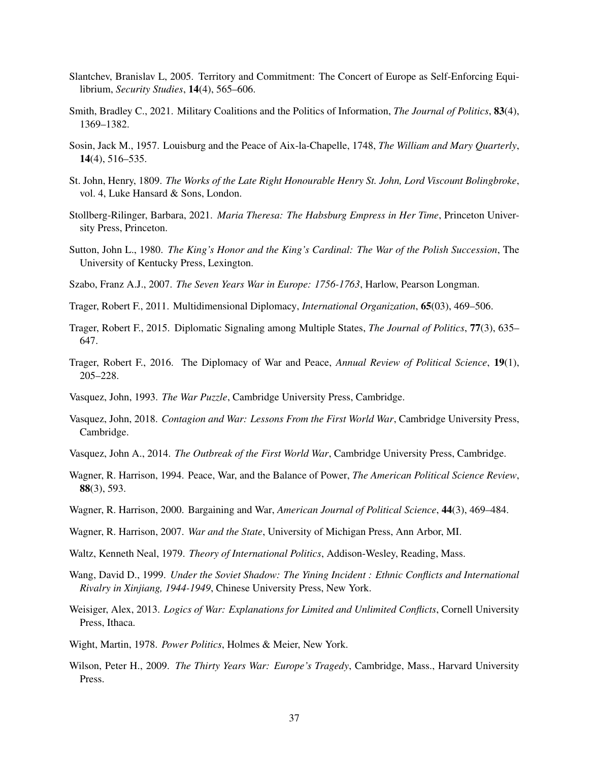- <span id="page-37-12"></span>Slantchev, Branislav L, 2005. Territory and Commitment: The Concert of Europe as Self-Enforcing Equilibrium, *Security Studies*, 14(4), 565–606.
- <span id="page-37-7"></span>Smith, Bradley C., 2021. Military Coalitions and the Politics of Information, *The Journal of Politics*, 83(4), 1369–1382.
- <span id="page-37-17"></span>Sosin, Jack M., 1957. Louisburg and the Peace of Aix-la-Chapelle, 1748, *The William and Mary Quarterly*, 14(4), 516–535.
- <span id="page-37-15"></span>St. John, Henry, 1809. *The Works of the Late Right Honourable Henry St. John, Lord Viscount Bolingbroke*, vol. 4, Luke Hansard & Sons, London.
- <span id="page-37-18"></span>Stollberg-Rilinger, Barbara, 2021. *Maria Theresa: The Habsburg Empress in Her Time*, Princeton University Press, Princeton.
- <span id="page-37-16"></span>Sutton, John L., 1980. *The King's Honor and the King's Cardinal: The War of the Polish Succession*, The University of Kentucky Press, Lexington.
- <span id="page-37-19"></span>Szabo, Franz A.J., 2007. *The Seven Years War in Europe: 1756-1763*, Harlow, Pearson Longman.
- <span id="page-37-4"></span>Trager, Robert F., 2011. Multidimensional Diplomacy, *International Organization*, 65(03), 469–506.
- <span id="page-37-2"></span>Trager, Robert F., 2015. Diplomatic Signaling among Multiple States, *The Journal of Politics*, 77(3), 635– 647.
- <span id="page-37-9"></span>Trager, Robert F., 2016. The Diplomacy of War and Peace, *Annual Review of Political Science*, 19(1), 205–228.
- <span id="page-37-8"></span>Vasquez, John, 1993. *The War Puzzle*, Cambridge University Press, Cambridge.
- <span id="page-37-0"></span>Vasquez, John, 2018. *Contagion and War: Lessons From the First World War*, Cambridge University Press, Cambridge.
- <span id="page-37-14"></span>Vasquez, John A., 2014. *The Outbreak of the First World War*, Cambridge University Press, Cambridge.
- <span id="page-37-6"></span>Wagner, R. Harrison, 1994. Peace, War, and the Balance of Power, *The American Political Science Review*, 88(3), 593.
- <span id="page-37-5"></span>Wagner, R. Harrison, 2000. Bargaining and War, *American Journal of Political Science*, 44(3), 469–484.
- <span id="page-37-10"></span>Wagner, R. Harrison, 2007. *War and the State*, University of Michigan Press, Ann Arbor, MI.
- <span id="page-37-3"></span>Waltz, Kenneth Neal, 1979. *Theory of International Politics*, Addison-Wesley, Reading, Mass.
- <span id="page-37-13"></span>Wang, David D., 1999. *Under the Soviet Shadow: The Yining Incident : Ethnic Conflicts and International Rivalry in Xinjiang, 1944-1949*, Chinese University Press, New York.
- <span id="page-37-1"></span>Weisiger, Alex, 2013. *Logics of War: Explanations for Limited and Unlimited Conflicts*, Cornell University Press, Ithaca.
- <span id="page-37-20"></span>Wight, Martin, 1978. *Power Politics*, Holmes & Meier, New York.
- <span id="page-37-11"></span>Wilson, Peter H., 2009. *The Thirty Years War: Europe's Tragedy*, Cambridge, Mass., Harvard University Press.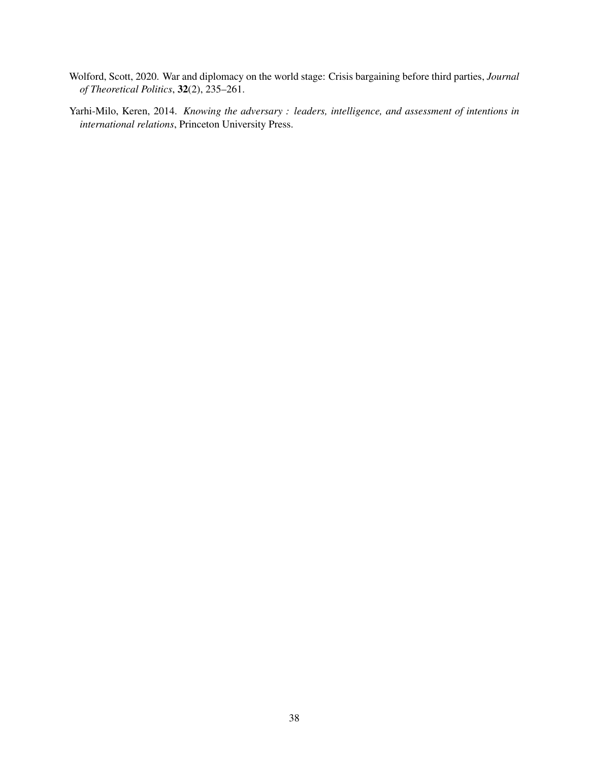- <span id="page-38-0"></span>Wolford, Scott, 2020. War and diplomacy on the world stage: Crisis bargaining before third parties, *Journal of Theoretical Politics*, 32(2), 235–261.
- <span id="page-38-1"></span>Yarhi-Milo, Keren, 2014. *Knowing the adversary : leaders, intelligence, and assessment of intentions in international relations*, Princeton University Press.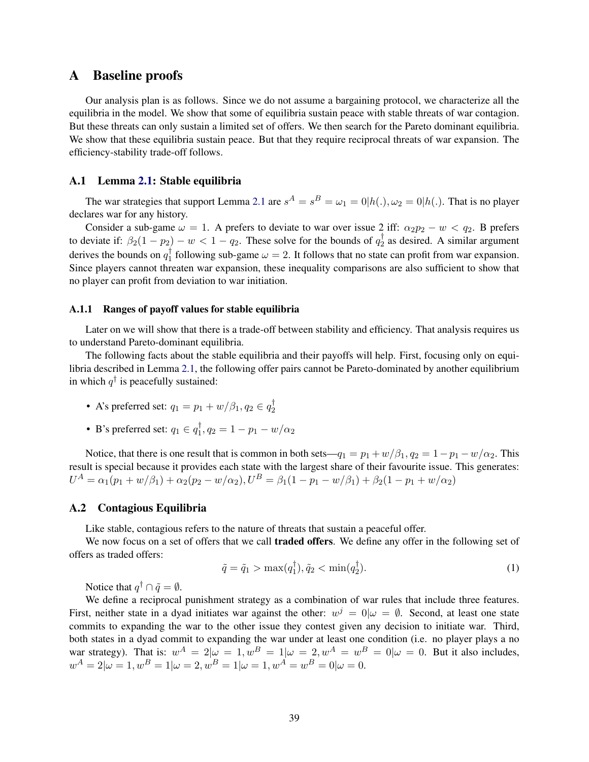# <span id="page-39-0"></span>A Baseline proofs

Our analysis plan is as follows. Since we do not assume a bargaining protocol, we characterize all the equilibria in the model. We show that some of equilibria sustain peace with stable threats of war contagion. But these threats can only sustain a limited set of offers. We then search for the Pareto dominant equilibria. We show that these equilibria sustain peace. But that they require reciprocal threats of war expansion. The efficiency-stability trade-off follows.

# <span id="page-39-1"></span>A.1 Lemma [2.1:](#page-9-1) Stable equilibria

The war strategies that support Lemma [2.1](#page-9-1) are  $s^A = s^B = \omega_1 = 0|h(.)$ ,  $\omega_2 = 0|h(.)$ . That is no player declares war for any history.

Consider a sub-game  $\omega = 1$ . A prefers to deviate to war over issue 2 iff:  $\alpha_2 p_2 - w < q_2$ . B prefers to deviate if:  $\beta_2(1-p_2) - w < 1-q_2$ . These solve for the bounds of  $q_2^{\dagger}$  $\frac{1}{2}$  as desired. A similar argument derives the bounds on  $q_1^{\dagger}$  $\int_1^T$  following sub-game  $\omega = 2$ . It follows that no state can profit from war expansion. Since players cannot threaten war expansion, these inequality comparisons are also sufficient to show that no player can profit from deviation to war initiation.

#### A.1.1 Ranges of payoff values for stable equilibria

Later on we will show that there is a trade-off between stability and efficiency. That analysis requires us to understand Pareto-dominant equilibria.

The following facts about the stable equilibria and their payoffs will help. First, focusing only on equilibria described in Lemma [2.1,](#page-9-1) the following offer pairs cannot be Pareto-dominated by another equilibrium in which  $q^{\dagger}$  is peacefully sustained:

- A's preferred set:  $q_1 = p_1 + w/\beta_1, q_2 \in q_2^{\dagger}$ 2
- B's preferred set:  $q_1 \in q_1^{\dagger}$  $\frac{1}{1}, q_2 = 1 - p_1 - w/\alpha_2$

Notice, that there is one result that is common in both sets— $q_1 = p_1 + w/\beta_1$ ,  $q_2 = 1 - p_1 - w/\alpha_2$ . This result is special because it provides each state with the largest share of their favourite issue. This generates:  $U^A = \alpha_1(p_1 + w/\beta_1) + \alpha_2(p_2 - w/\alpha_2), U^B = \beta_1(1 - p_1 - w/\beta_1) + \beta_2(1 - p_1 + w/\alpha_2)$ 

# <span id="page-39-2"></span>A.2 Contagious Equilibria

Like stable, contagious refers to the nature of threats that sustain a peaceful offer.

We now focus on a set of offers that we call **traded offers**. We define any offer in the following set of offers as traded offers:

<span id="page-39-3"></span>
$$
\tilde{q} = \tilde{q}_1 > \max(q_1^{\dagger}), \tilde{q}_2 < \min(q_2^{\dagger}). \tag{1}
$$

Notice that  $q^{\dagger} \cap \tilde{q} = \emptyset$ .

<span id="page-39-4"></span>We define a reciprocal punishment strategy as a combination of war rules that include three features. First, neither state in a dyad initiates war against the other:  $w^j = 0 | \omega = \emptyset$ . Second, at least one state commits to expanding the war to the other issue they contest given any decision to initiate war. Third, both states in a dyad commit to expanding the war under at least one condition (i.e. no player plays a no war strategy). That is:  $w^A = 2|\omega = 1, w^B = 1|\omega = 2, w^A = w^B = 0|\omega = 0$ . But it also includes,  $w^{A} = 2|\omega = 1, w^{B} = 1|\omega = 2, w^{B} = 1|\omega = 1, w^{A} = w^{B} = 0|\omega = 0.$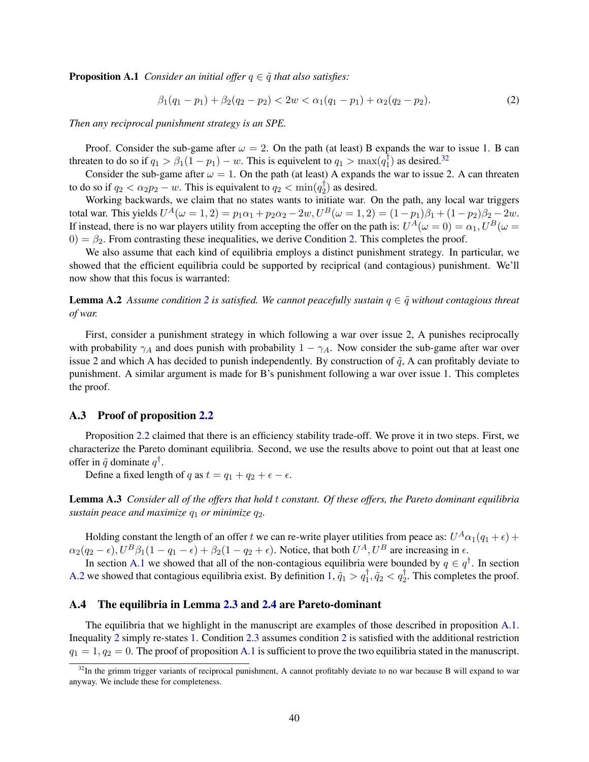**Proposition A.1** *Consider an initial offer*  $q \in \tilde{q}$  *that also satisfies:* 

<span id="page-40-1"></span>
$$
\beta_1(q_1 - p_1) + \beta_2(q_2 - p_2) < 2w < \alpha_1(q_1 - p_1) + \alpha_2(q_2 - p_2). \tag{2}
$$

*Then any reciprocal punishment strategy is an SPE.*

Proof. Consider the sub-game after  $\omega = 2$ . On the path (at least) B expands the war to issue 1. B can threaten to do so if  $q_1 > \beta_1(1 - p_1) - w$ . This is equivelent to  $q_1 > \max(q_1^{\frac{1}{1}})$  $\binom{1}{1}$  as desired.<sup>[32](#page-40-0)</sup>

Consider the sub-game after  $\omega = 1$ . On the path (at least) A expands the war to issue 2. A can threaten to do so if  $q_2 < \alpha_2 p_2 - w$ . This is equivalent to  $q_2 < \min(q_2^{\dagger})$  $2^{\binom{1}{2}}$  as desired.

Working backwards, we claim that no states wants to initiate war. On the path, any local war triggers total war. This yields  $U^{A}(\omega=1,2)=p_{1}\alpha_{1}+p_{2}\alpha_{2}-2w, U^{B}(\omega=1,2)=(1-p_{1})\beta_{1}+(1-p_{2})\beta_{2}-2w.$ If instead, there is no war players utility from accepting the offer on the path is:  $U^A(\omega=0) = \alpha_1, U^B(\omega=0)$  $0 = \beta_2$ . From contrasting these inequalities, we derive Condition [2.](#page-40-1) This completes the proof.

We also assume that each kind of equilibria employs a distinct punishment strategy. In particular, we showed that the efficient equilibria could be supported by reciprical (and contagious) punishment. We'll now show that this focus is warranted:

**Lemma A.[2](#page-40-1)** Assume condition 2 is satisfied. We cannot peacefully sustain  $q \in \tilde{q}$  without contagious threat *of war.*

First, consider a punishment strategy in which following a war over issue 2, A punishes reciprocally with probability  $\gamma_A$  and does punish with probability  $1 - \gamma_A$ . Now consider the sub-game after war over issue 2 and which A has decided to punish independently. By construction of  $\tilde{q}$ , A can profitably deviate to punishment. A similar argument is made for B's punishment following a war over issue 1. This completes the proof.

### A.3 Proof of proposition [2.2](#page-9-2)

Proposition [2.2](#page-9-2) claimed that there is an efficiency stability trade-off. We prove it in two steps. First, we characterize the Pareto dominant equilibria. Second, we use the results above to point out that at least one offer in  $\tilde{q}$  dominate  $q^{\dagger}$ .

Define a fixed length of q as  $t = q_1 + q_2 + \epsilon - \epsilon$ .

Lemma A.3 *Consider all of the offers that hold* t *constant. Of these offers, the Pareto dominant equilibria sustain peace and maximize*  $q_1$  *or minimize*  $q_2$ *.* 

Holding constant the length of an offer  $t$  we can re-write player utilities from peace as:  $U^A\alpha_1(q_1+\epsilon)+$  $\alpha_2(q_2-\epsilon)$ ,  $U^B\beta_1(1-q_1-\epsilon)+\beta_2(1-q_2+\epsilon)$ . Notice, that both  $U^A$ ,  $U^B$  are increasing in  $\epsilon$ .

In section [A.1](#page-39-1) we showed that all of the non-contagious equilibria were bounded by  $q \in q^{\dagger}$ . In section [A.2](#page-39-2) we showed that contagious equilibria exist. By definition  $1, \tilde{q}_1 > q_1^{\dagger}, \tilde{q}_2 < q_2^{\dagger}$  $1, \tilde{q}_1 > q_1^{\dagger}, \tilde{q}_2 < q_2^{\dagger}$ . This completes the proof.

### A.4 The equilibria in Lemma [2.3](#page-10-2) and [2.4](#page-10-3) are Pareto-dominant

The equilibria that we highlight in the manuscript are examples of those described in proposition [A.1.](#page-39-4) Inequality [2](#page-8-2) simply re-states [1.](#page-39-3) Condition [2.3](#page-10-2) assumes condition [2](#page-40-1) is satisfied with the additional restriction  $q_1 = 1, q_2 = 0$ . The proof of proposition [A.1](#page-39-4) is sufficient to prove the two equilibria stated in the manuscript.

<span id="page-40-0"></span><sup>&</sup>lt;sup>32</sup>In the grimm trigger variants of reciprocal punishment, A cannot profitably deviate to no war because B will expand to war anyway. We include these for completeness.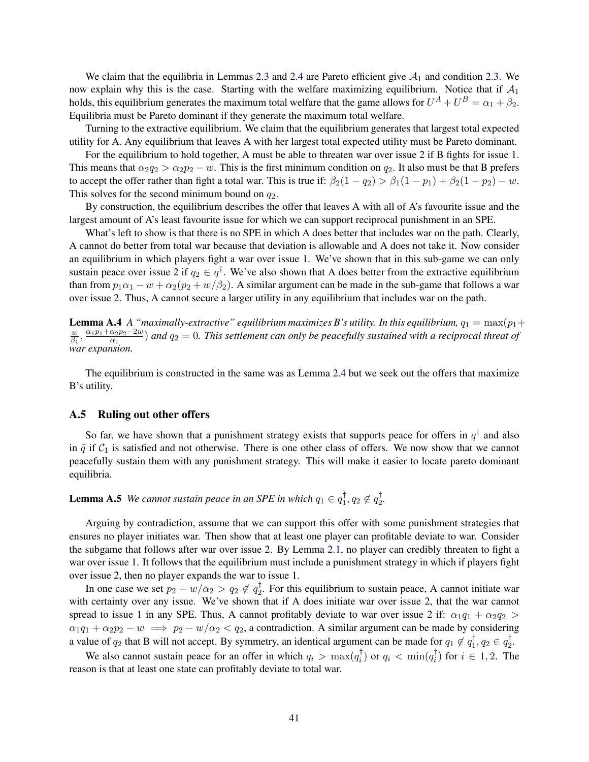We claim that the equilibria in Lemmas [2.3](#page-10-2) and [2.4](#page-10-3) are Pareto efficient give  $A_1$  and condition [2.3.](#page-10-2) We now explain why this is the case. Starting with the welfare maximizing equilibrium. Notice that if  $A_1$ holds, this equilibrium generates the maximum total welfare that the game allows for  $U^A + U^B = \alpha_1 + \beta_2$ . Equilibria must be Pareto dominant if they generate the maximum total welfare.

Turning to the extractive equilibrium. We claim that the equilibrium generates that largest total expected utility for A. Any equilibrium that leaves A with her largest total expected utility must be Pareto dominant.

For the equilibrium to hold together, A must be able to threaten war over issue 2 if B fights for issue 1. This means that  $\alpha_2q_2 > \alpha_2p_2 - w$ . This is the first minimum condition on  $q_2$ . It also must be that B prefers to accept the offer rather than fight a total war. This is true if:  $\beta_2(1-q_2) > \beta_1(1-p_1) + \beta_2(1-p_2) - w$ . This solves for the second minimum bound on  $q_2$ .

By construction, the equilibrium describes the offer that leaves A with all of A's favourite issue and the largest amount of A's least favourite issue for which we can support reciprocal punishment in an SPE.

What's left to show is that there is no SPE in which A does better that includes war on the path. Clearly, A cannot do better from total war because that deviation is allowable and A does not take it. Now consider an equilibrium in which players fight a war over issue 1. We've shown that in this sub-game we can only sustain peace over issue 2 if  $q_2 \in q^{\dagger}$ . We've also shown that A does better from the extractive equilibrium than from  $p_1\alpha_1 - w + \alpha_2(p_2 + w/\beta_2)$ . A similar argument can be made in the sub-game that follows a war over issue 2. Thus, A cannot secure a larger utility in any equilibrium that includes war on the path.

**Lemma A.4** *A "maximally-extractive" equilibrium maximizes B's utility. In this equilibrium,*  $q_1 = \max(p_1 + p_2)$ w  $\frac{w}{\beta_1}$ ,  $\frac{\alpha_1 p_1 + \alpha_2 p_2 - 2w}{\alpha_1}$  $\frac{\alpha_2 p_2 - 2w}{\alpha_1}$ ) and  $q_2 = 0$ . This settlement can only be peacefully sustained with a reciprocal threat of *war expansion.*

The equilibrium is constructed in the same was as Lemma [2.4](#page-10-3) but we seek out the offers that maximize B's utility.

#### A.5 Ruling out other offers

So far, we have shown that a punishment strategy exists that supports peace for offers in  $q^{\dagger}$  and also in  $\tilde{q}$  if  $C_1$  is satisfied and not otherwise. There is one other class of offers. We now show that we cannot peacefully sustain them with any punishment strategy. This will make it easier to locate pareto dominant equilibria.

**Lemma A.5** *We cannot sustain peace in an SPE in which*  $q_1 \in q_1^{\dagger}$  $\mathbf{1}^{\dagger}, q_2 \notin q_2^{\dagger}$ 2 *.*

Arguing by contradiction, assume that we can support this offer with some punishment strategies that ensures no player initiates war. Then show that at least one player can profitable deviate to war. Consider the subgame that follows after war over issue 2. By Lemma [2.1,](#page-9-1) no player can credibly threaten to fight a war over issue 1. It follows that the equilibrium must include a punishment strategy in which if players fight over issue 2, then no player expands the war to issue 1.

In one case we set  $p_2 - w/\alpha_2 > q_2 \notin q_2^{\dagger}$  $\frac{1}{2}$ . For this equilibrium to sustain peace, A cannot initiate war with certainty over any issue. We've shown that if A does initiate war over issue 2, that the war cannot spread to issue 1 in any SPE. Thus, A cannot profitably deviate to war over issue 2 if:  $\alpha_1q_1 + \alpha_2q_2$  $\alpha_1q_1 + \alpha_2p_2 - w \implies p_2 - w/\alpha_2 < q_2$ , a contradiction. A similar argument can be made by considering a value of  $q_2$  that B will not accept. By symmetry, an identical argument can be made for  $q_1 \not\in q_1^{\dagger}$  $\mathbf{1}^{\dagger}, q_2 \in q_2^{\dagger}$  $\frac{1}{2}$ 

We also cannot sustain peace for an offer in which  $q_i > \max(q_i^{\dagger})$  $\phi_i^{\dagger}$ ) or  $q_i < \min(q_i^{\dagger})$  $(i)$  for  $i \in 1, 2$ . The reason is that at least one state can profitably deviate to total war.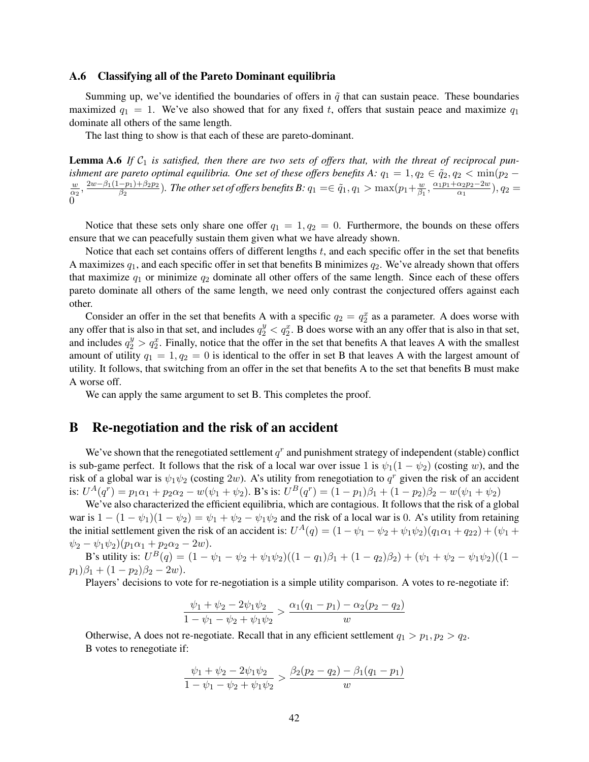# <span id="page-42-0"></span>A.6 Classifying all of the Pareto Dominant equilibria

Summing up, we've identified the boundaries of offers in  $\tilde{q}$  that can sustain peace. These boundaries maximized  $q_1 = 1$ . We've also showed that for any fixed t, offers that sustain peace and maximize  $q_1$ dominate all others of the same length.

The last thing to show is that each of these are pareto-dominant.

**Lemma A.6** If  $C_1$  is satisfied, then there are two sets of offers that, with the threat of reciprocal pun*ishment are pareto optimal equilibria. One set of these offers benefits A:*  $q_1 = 1, q_2 \in \tilde{q}_2, q_2 < \min(p_2 - \tilde{p}_1)$ w  $\frac{w}{\alpha_2}$ ,  $\frac{2w-\beta_1(1-p_1)+\beta_2p_2}{\beta_2}$  $\frac{(p- p_1) + \beta_2 p_2}{\beta_2}).$  The other set of offers benefits B:  $q_1 = \in \widetilde{q}_1, q_1 > \max(p_1 + \frac{w_2}{\beta_1})$  $\frac{w}{\beta_1}$ ,  $\frac{\alpha_1 p_1 + \alpha_2 p_2 - 2w}{\alpha_1}$  $\frac{\alpha_2 p_2 - 2w}{\alpha_1}, q_2 =$  $\overline{0}$ 

Notice that these sets only share one offer  $q_1 = 1, q_2 = 0$ . Furthermore, the bounds on these offers ensure that we can peacefully sustain them given what we have already shown.

Notice that each set contains offers of different lengths t, and each specific offer in the set that benefits A maximizes  $q_1$ , and each specific offer in set that benefits B minimizes  $q_2$ . We've already shown that offers that maximize  $q_1$  or minimize  $q_2$  dominate all other offers of the same length. Since each of these offers pareto dominate all others of the same length, we need only contrast the conjectured offers against each other.

Consider an offer in the set that benefits A with a specific  $q_2 = q_2^x$  as a parameter. A does worse with any offer that is also in that set, and includes  $q_2^y < q_2^x$ . B does worse with an any offer that is also in that set, and includes  $q_2^y > q_2^x$ . Finally, notice that the offer in the set that benefits A that leaves A with the smallest amount of utility  $q_1 = 1, q_2 = 0$  is identical to the offer in set B that leaves A with the largest amount of utility. It follows, that switching from an offer in the set that benefits A to the set that benefits B must make A worse off.

We can apply the same argument to set B. This completes the proof.

# <span id="page-42-1"></span>B Re-negotiation and the risk of an accident

We've shown that the renegotiated settlement  $q<sup>r</sup>$  and punishment strategy of independent (stable) conflict is sub-game perfect. It follows that the risk of a local war over issue 1 is  $\psi_1(1 - \psi_2)$  (costing w), and the risk of a global war is  $\psi_1 \psi_2$  (costing  $2w$ ). A's utility from renegotiation to  $q^r$  given the risk of an accident is:  $U^A(q^r) = p_1\alpha_1 + p_2\alpha_2 - w(\psi_1 + \psi_2)$ . B's is:  $U^B(q^r) = (1 - p_1)\beta_1 + (1 - p_2)\beta_2 - w(\psi_1 + \psi_2)$ 

We've also characterized the efficient equilibria, which are contagious. It follows that the risk of a global war is  $1 - (1 - \psi_1)(1 - \psi_2) = \psi_1 + \psi_2 - \psi_1 \psi_2$  and the risk of a local war is 0. A's utility from retaining the initial settlement given the risk of an accident is:  $U^A(q) = (1 - \psi_1 - \psi_2 + \psi_1\psi_2)(q_1\alpha_1 + q_{22}) + (\psi_1 +$  $\psi_2 - \psi_1 \psi_2 (p_1 \alpha_1 + p_2 \alpha_2 - 2w).$ 

B's utility is:  $U^B(q) = (1 - \psi_1 - \psi_2 + \psi_1 \psi_2)((1 - q_1)\beta_1 + (1 - q_2)\beta_2) + (\psi_1 + \psi_2 - \psi_1 \psi_2)((1 - \psi_1 + \psi_2 + \psi_2))$  $p_1)\beta_1 + (1-p_2)\beta_2 - 2w$ .

Players' decisions to vote for re-negotiation is a simple utility comparison. A votes to re-negotiate if:

$$
\frac{\psi_1 + \psi_2 - 2\psi_1\psi_2}{1 - \psi_1 - \psi_2 + \psi_1\psi_2} > \frac{\alpha_1(q_1 - p_1) - \alpha_2(p_2 - q_2)}{w}
$$

Otherwise, A does not re-negotiate. Recall that in any efficient settlement  $q_1 > p_1, p_2 > q_2$ . B votes to renegotiate if:

$$
\frac{\psi_1 + \psi_2 - 2\psi_1\psi_2}{1 - \psi_1 - \psi_2 + \psi_1\psi_2} > \frac{\beta_2(p_2 - q_2) - \beta_1(q_1 - p_1)}{w}
$$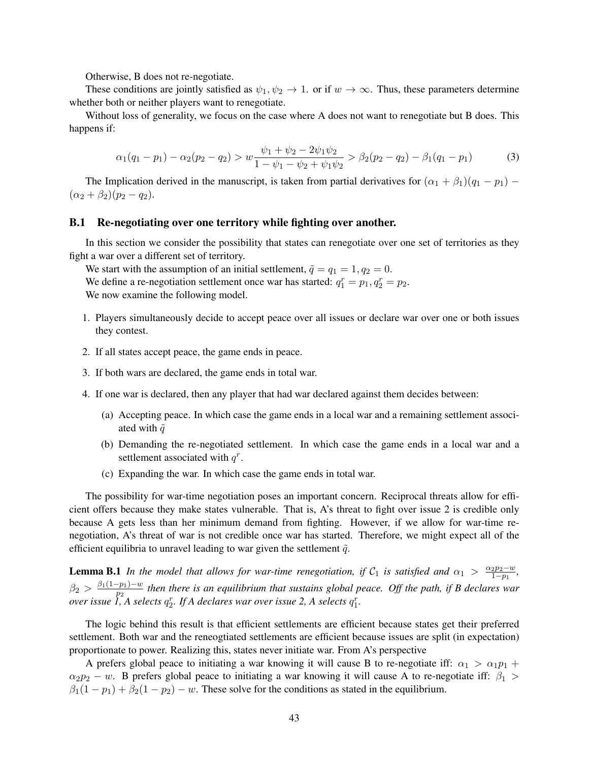Otherwise, B does not re-negotiate.

These conditions are jointly satisfied as  $\psi_1, \psi_2 \to 1$ . or if  $w \to \infty$ . Thus, these parameters determine whether both or neither players want to renegotiate.

Without loss of generality, we focus on the case where A does not want to renegotiate but B does. This happens if:

$$
\alpha_1(q_1 - p_1) - \alpha_2(p_2 - q_2) > w \frac{\psi_1 + \psi_2 - 2\psi_1 \psi_2}{1 - \psi_1 - \psi_2 + \psi_1 \psi_2} > \beta_2(p_2 - q_2) - \beta_1(q_1 - p_1) \tag{3}
$$

The Implication derived in the manuscript, is taken from partial derivatives for  $(\alpha_1 + \beta_1)(q_1 - p_1)$  –  $(\alpha_2 + \beta_2)(p_2 - q_2).$ 

# <span id="page-43-0"></span>B.1 Re-negotiating over one territory while fighting over another.

In this section we consider the possibility that states can renegotiate over one set of territories as they fight a war over a different set of territory.

We start with the assumption of an initial settlement,  $\tilde{q} = q_1 = 1, q_2 = 0$ . We define a re-negotiation settlement once war has started:  $q_1^r = p_1, q_2^r = p_2$ . We now examine the following model.

- 1. Players simultaneously decide to accept peace over all issues or declare war over one or both issues they contest.
- 2. If all states accept peace, the game ends in peace.
- 3. If both wars are declared, the game ends in total war.
- 4. If one war is declared, then any player that had war declared against them decides between:
	- (a) Accepting peace. In which case the game ends in a local war and a remaining settlement associated with  $\tilde{q}$
	- (b) Demanding the re-negotiated settlement. In which case the game ends in a local war and a settlement associated with  $q^r$ .
	- (c) Expanding the war. In which case the game ends in total war.

The possibility for war-time negotiation poses an important concern. Reciprocal threats allow for efficient offers because they make states vulnerable. That is, A's threat to fight over issue 2 is credible only because A gets less than her minimum demand from fighting. However, if we allow for war-time renegotiation, A's threat of war is not credible once war has started. Therefore, we might expect all of the efficient equilibria to unravel leading to war given the settlement  $\tilde{q}$ .

<span id="page-43-1"></span>**Lemma B.1** In the model that allows for war-time renegotiation, if  $C_1$  is satisfied and  $\alpha_1 > \frac{\alpha_2 p_2 - w_1}{1 - p_1}$  $\frac{2p_2-w}{1-p_1}$  $\beta_2 > \frac{\beta_1(1-p_1)-w}{p_2}$  $\frac{p_1-p_1-w}{p_2}$  then there is an equilibrium that sustains global peace. Off the path, if B declares war *over issue*  $\hat{I}$ ,  $\hat{A}$  selects  $q_L^r$ . If  $A$  declares war over issue 2,  $A$  selects  $q_1^r$ .

The logic behind this result is that efficient settlements are efficient because states get their preferred settlement. Both war and the reneogtiated settlements are efficient because issues are split (in expectation) proportionate to power. Realizing this, states never initiate war. From A's perspective

A prefers global peace to initiating a war knowing it will cause B to re-negotiate iff:  $\alpha_1 > \alpha_1 p_1 + \cdots$  $\alpha_2 p_2 - w$ . B prefers global peace to initiating a war knowing it will cause A to re-negotiate iff:  $\beta_1 >$  $\beta_1(1-p_1)+\beta_2(1-p_2)-w$ . These solve for the conditions as stated in the equilibrium.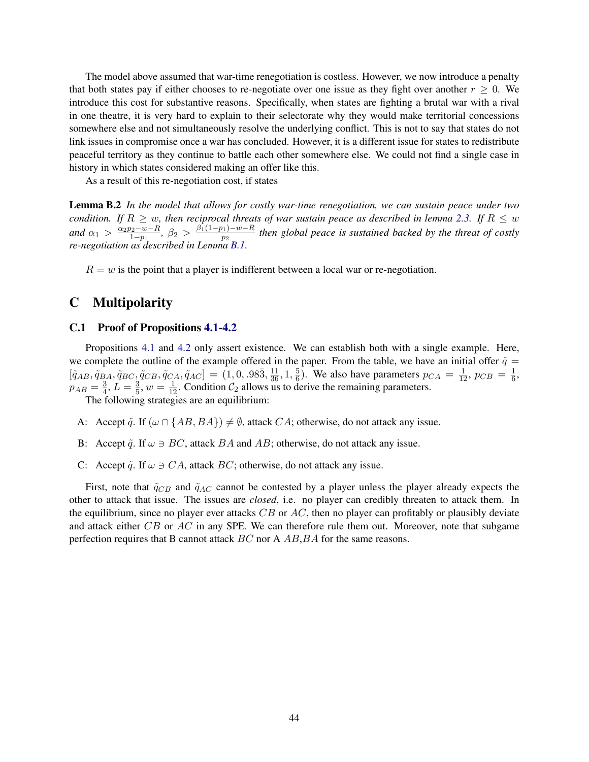The model above assumed that war-time renegotiation is costless. However, we now introduce a penalty that both states pay if either chooses to re-negotiate over one issue as they fight over another  $r \geq 0$ . We introduce this cost for substantive reasons. Specifically, when states are fighting a brutal war with a rival in one theatre, it is very hard to explain to their selectorate why they would make territorial concessions somewhere else and not simultaneously resolve the underlying conflict. This is not to say that states do not link issues in compromise once a war has concluded. However, it is a different issue for states to redistribute peaceful territory as they continue to battle each other somewhere else. We could not find a single case in history in which states considered making an offer like this.

As a result of this re-negotiation cost, if states

Lemma B.2 *In the model that allows for costly war-time renegotiation, we can sustain peace under two condition. If*  $R \geq w$ *, then reciprocal threats of war sustain peace as described in lemma [2.3.](#page-10-2) If*  $R \leq w$ *and*  $\alpha_1 > \frac{\alpha_2 p_2 - w - R}{1 - p_1}$  $\frac{\beta_2-w-R}{1-p_1}, \ \beta_2 > \frac{\beta_1(1-p_1)-w-R}{p_2}$  $\frac{p_1 - p_2 - k}{p_2}$  then global peace is sustained backed by the threat of costly *re-negotiation as described in Lemma [B.1.](#page-43-1)*

 $R = w$  is the point that a player is indifferent between a local war or re-negotiation.

# C Multipolarity

### <span id="page-44-0"></span>C.1 Proof of Propositions [4.1](#page-17-0)[-4.2](#page-17-1)

Propositions [4.1](#page-17-0) and [4.2](#page-17-1) only assert existence. We can establish both with a single example. Here, we complete the outline of the example offered in the paper. From the table, we have an initial offer  $\tilde{q} =$  $[\tilde{q}_{AB}, \tilde{q}_{BA}, \tilde{q}_{BC}, \tilde{q}_{CB}, \tilde{q}_{CA}, \tilde{q}_{AC}] = (1, 0, .98\overline{3}, \frac{11}{36}, 1, \frac{5}{6})$  $\frac{5}{6}$ ). We also have parameters  $p_{CA} = \frac{1}{12}$ ,  $p_{CB} = \frac{1}{6}$  $\frac{1}{6}$ ,  $p_{AB}=\frac{3}{4}$  $\frac{3}{4}$ ,  $L = \frac{3}{5}$  $\frac{3}{5}$ ,  $w = \frac{1}{12}$ . Condition  $C_2$  allows us to derive the remaining parameters.

The following strategies are an equilibrium:

- A: Accept  $\tilde{q}$ . If  $(\omega \cap \{AB, BA\}) \neq \emptyset$ , attack CA; otherwise, do not attack any issue.
- B: Accept  $\tilde{q}$ . If  $\omega \ni BC$ , attack BA and AB; otherwise, do not attack any issue.
- C: Accept  $\tilde{q}$ . If  $\omega \ni CA$ , attack BC; otherwise, do not attack any issue.

First, note that  $\tilde{q}_{CB}$  and  $\tilde{q}_{AC}$  cannot be contested by a player unless the player already expects the other to attack that issue. The issues are *closed*, i.e. no player can credibly threaten to attack them. In the equilibrium, since no player ever attacks  $CB$  or  $AC$ , then no player can profitably or plausibly deviate and attack either CB or AC in any SPE. We can therefore rule them out. Moreover, note that subgame perfection requires that B cannot attack BC nor A AB, BA for the same reasons.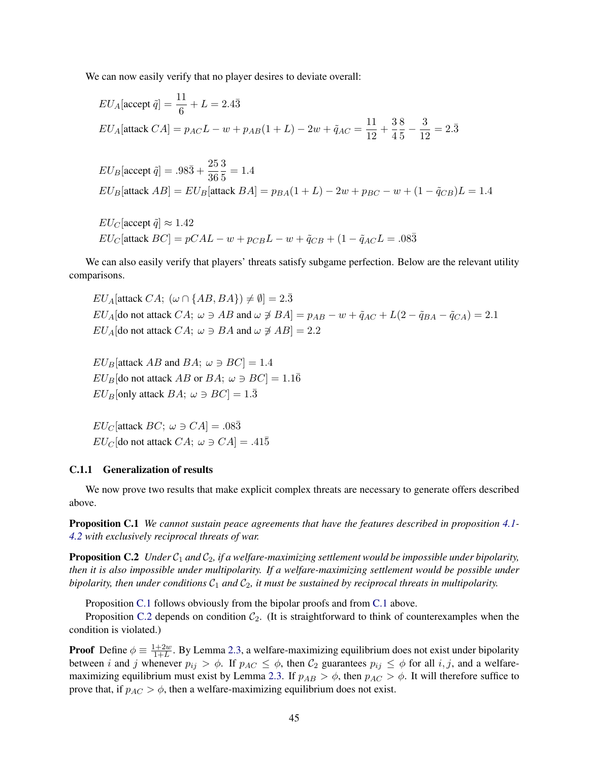We can now easily verify that no player desires to deviate overall:

$$
EU_A[\text{accept } \tilde{q}] = \frac{11}{6} + L = 2.4\bar{3}
$$
  

$$
EU_A[\text{attack } CA] = p_{AC}L - w + p_{AB}(1 + L) - 2w + \tilde{q}_{AC} = \frac{11}{12} + \frac{3}{4}\frac{8}{5} - \frac{3}{12} = 2.\bar{3}
$$

$$
EU_B[\text{accept } \tilde{q}] = .98\bar{3} + \frac{25}{36}\frac{3}{5} = 1.4
$$
  

$$
EU_B[\text{attack } AB] = EU_B[\text{attack } BA] = p_{BA}(1 + L) - 2w + p_{BC} - w + (1 - \tilde{q}_{CB})L = 1.4
$$

$$
EU_C[\text{accept} \ \tilde{q}] \approx 1.42
$$
  

$$
EU_C[\text{attack} \ BC] = pCAL - w + p_{CB}L - w + \tilde{q}_{CB} + (1 - \tilde{q}_{AC}L = .08\bar{3})
$$

We can also easily verify that players' threats satisfy subgame perfection. Below are the relevant utility comparisons.

 $EU_A$ [attack  $CA$ ;  $(\omega \cap \{AB, BA\}) \neq \emptyset$ ] = 2. $\overline{3}$  $EU_A$ [do not attack  $CA; \omega \ni AB$  and  $\omega \not\ni BA$ ] =  $p_{AB} - w + \tilde{q}_{AC} + L(2 - \tilde{q}_{BA} - \tilde{q}_{CA}) = 2.1$  $EU_A$ [do not attack  $CA; \omega \ni BA$  and  $\omega \not\ni AB$ ] = 2.2

 $EU_B$ [attack AB and BA;  $\omega \ni BC$ ] = 1.4  $EU_B$ [do not attack AB or BA;  $\omega \ni BC$ ] = 1.1 $\overline{6}$  $EU_B$ [only attack  $BA$ ;  $\omega \ni BC$ ] = 1. $\overline{3}$ 

 $EU_C$ [attack  $BC$ ;  $\omega \ni CA$ ] = .08 $\bar{3}$  $EU_C$ [do not attack  $CA$ ;  $\omega \ni CA$ ] = .415

#### <span id="page-45-0"></span>C.1.1 Generalization of results

We now prove two results that make explicit complex threats are necessary to generate offers described above.

<span id="page-45-1"></span>Proposition C.1 *We cannot sustain peace agreements that have the features described in proposition [4.1-](#page-17-0) [4.2](#page-17-1) with exclusively reciprocal threats of war.*

<span id="page-45-2"></span>**Proposition C.2** *Under*  $C_1$  *and*  $C_2$ *, if a welfare-maximizing settlement would be impossible under bipolarity, then it is also impossible under multipolarity. If a welfare-maximizing settlement would be possible under bipolarity, then under conditions*  $C_1$  *and*  $C_2$ *, it must be sustained by reciprocal threats in multipolarity.* 

Proposition [C.1](#page-45-1) follows obviously from the bipolar proofs and from [C.1](#page-44-0) above.

Proposition [C.2](#page-45-2) depends on condition  $C_2$ . (It is straightforward to think of counterexamples when the condition is violated.)

**Proof** Define  $\phi \equiv \frac{1+2w}{1+L}$  $\frac{1+2w}{1+L}$ . By Lemma [2.3,](#page-10-2) a welfare-maximizing equilibrium does not exist under bipolarity between i and j whenever  $p_{ij} > \phi$ . If  $p_{AC} \leq \phi$ , then  $C_2$  guarantees  $p_{ij} \leq \phi$  for all i, j, and a welfare-maximizing equilibrium must exist by Lemma [2.3.](#page-10-2) If  $p_{AB} > \phi$ , then  $p_{AC} > \phi$ . It will therefore suffice to prove that, if  $p_{AC} > \phi$ , then a welfare-maximizing equilibrium does not exist.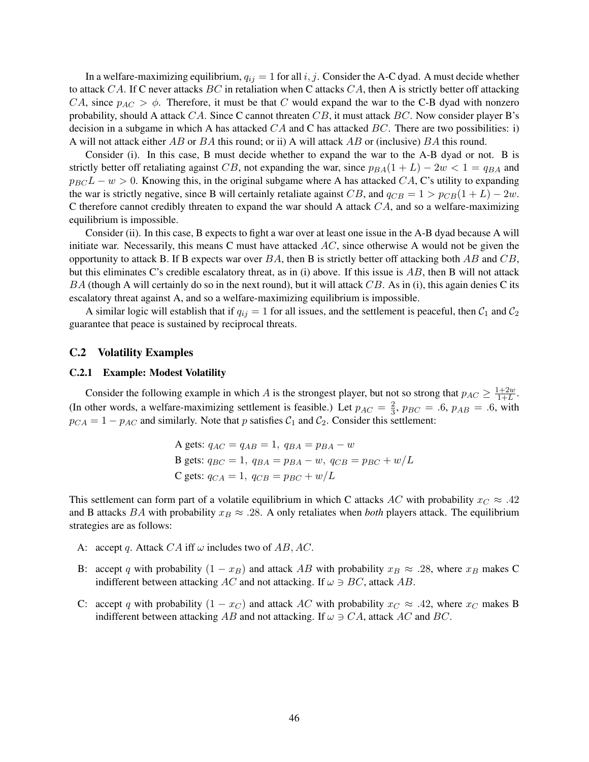In a welfare-maximizing equilibrium,  $q_{ij} = 1$  for all i, j. Consider the A-C dyad. A must decide whether to attack CA. If C never attacks  $BC$  in retaliation when C attacks  $CA$ , then A is strictly better off attacking CA, since  $p_{AC} > \phi$ . Therefore, it must be that C would expand the war to the C-B dyad with nonzero probability, should A attack  $CA$ . Since C cannot threaten  $CB$ , it must attack  $BC$ . Now consider player B's decision in a subgame in which A has attacked  $CA$  and C has attacked  $BC$ . There are two possibilities: i) A will not attack either AB or BA this round; or ii) A will attack AB or (inclusive) BA this round.

Consider (i). In this case, B must decide whether to expand the war to the A-B dyad or not. B is strictly better off retaliating against CB, not expanding the war, since  $p_{BA}(1 + L) - 2w < 1 = q_{BA}$  and  $p_{BC}L - w > 0$ . Knowing this, in the original subgame where A has attacked CA, C's utility to expanding the war is strictly negative, since B will certainly retaliate against CB, and  $q_{CB} = 1 > p_{CB}(1 + L) - 2w$ . C therefore cannot credibly threaten to expand the war should A attack  $CA$ , and so a welfare-maximizing equilibrium is impossible.

Consider (ii). In this case, B expects to fight a war over at least one issue in the A-B dyad because A will initiate war. Necessarily, this means C must have attacked  $AC$ , since otherwise A would not be given the opportunity to attack B. If B expects war over  $BA$ , then B is strictly better off attacking both  $AB$  and  $CB$ , but this eliminates C's credible escalatory threat, as in (i) above. If this issue is  $AB$ , then B will not attack  $BA$  (though A will certainly do so in the next round), but it will attack  $CB$ . As in (i), this again denies C its escalatory threat against A, and so a welfare-maximizing equilibrium is impossible.

A similar logic will establish that if  $q_{ij} = 1$  for all issues, and the settlement is peaceful, then  $C_1$  and  $C_2$ guarantee that peace is sustained by reciprocal threats.

### <span id="page-46-0"></span>C.2 Volatility Examples

#### C.2.1 Example: Modest Volatility

Consider the following example in which A is the strongest player, but not so strong that  $p_{AC} \geq \frac{1+2w}{1+L}$  $\frac{1+2w}{1+L}$ . (In other words, a welfare-maximizing settlement is feasible.) Let  $p_{AC} = \frac{2}{3}$  $\frac{2}{3}$ ,  $p_{BC} = .6$ ,  $p_{AB} = .6$ , with  $p_{CA} = 1 - p_{AC}$  and similarly. Note that p satisfies  $C_1$  and  $C_2$ . Consider this settlement:

> A gets:  $q_{AC} = q_{AB} = 1$ ,  $q_{BA} = p_{BA} - w$ B gets:  $q_{BC} = 1$ ,  $q_{BA} = p_{BA} - w$ ,  $q_{CB} = p_{BC} + w/L$ C gets:  $q_{CA} = 1$ ,  $q_{CB} = p_{BC} + w/L$

This settlement can form part of a volatile equilibrium in which C attacks AC with probability  $x_C \approx .42$ and B attacks BA with probability  $x_B \approx .28$ . A only retaliates when *both* players attack. The equilibrium strategies are as follows:

- A: accept q. Attack  $CA$  iff  $\omega$  includes two of  $AB, AC$ .
- B: accept q with probability  $(1 x_B)$  and attack AB with probability  $x_B \approx .28$ , where  $x_B$  makes C indifferent between attacking AC and not attacking. If  $\omega \ni BC$ , attack AB.
- C: accept q with probability  $(1 x_C)$  and attack AC with probability  $x_C \approx .42$ , where  $x_C$  makes B indifferent between attacking AB and not attacking. If  $\omega \ni CA$ , attack AC and BC.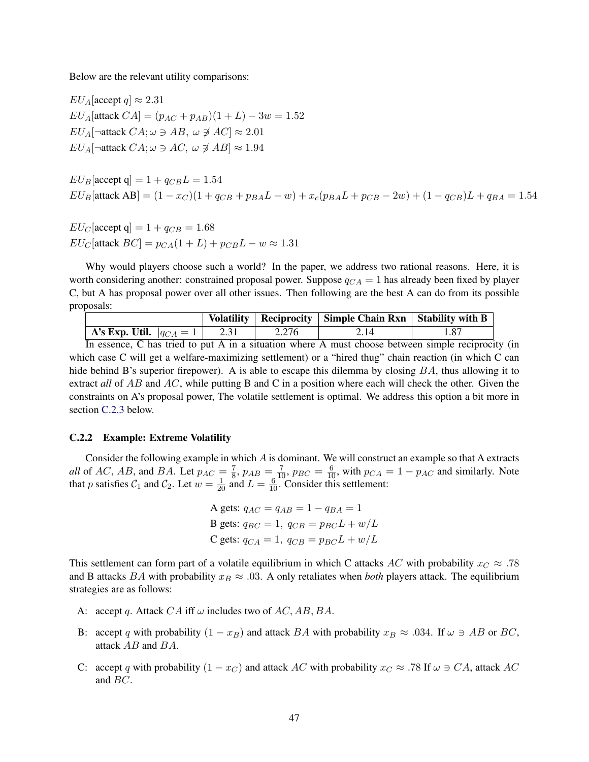Below are the relevant utility comparisons:

 $EU_A$ [accept  $q \approx 2.31$  $EU_A[\text{attack } CA] = (p_{AC} + p_{AB})(1 + L) - 3w = 1.52$  $EU_A[\neg$ attack  $CA; \omega \ni AB, \omega \not\ni AC] \approx 2.01$  $EU_A$ [ $\neg$ attack  $CA; \omega \ni AC, \omega \not\ni AB$ ]  $\approx 1.94$ 

 $EU_B$ [accept q] = 1 +  $q_{CB}L = 1.54$  $EU_B$ [attack AB] =  $(1-x_C)(1+q_{CB}+p_{BA}L-w)+x_c(p_{BA}L+p_{CB}-2w)+(1-q_{CB})L+q_{BA}=1.54$ 

 $EU_C$ [accept q] = 1 +  $q_{CB}$  = 1.68  $EU_C$ [attack  $BC$ ] =  $p_{CA}(1+L) + p_{CB}L - w \approx 1.31$ 

Why would players choose such a world? In the paper, we address two rational reasons. Here, it is worth considering another: constrained proposal power. Suppose  $q_{CA} = 1$  has already been fixed by player C, but A has proposal power over all other issues. Then following are the best A can do from its possible proposals:

|                                           |       | Volatility   Reciprocity   Simple Chain Rxn   Stability with B |      |
|-------------------------------------------|-------|----------------------------------------------------------------|------|
| <b>A's Exp. Util.</b> $ q_{CA} = 1 $ 2.31 | 2.276 | $\frac{2.14}{ }$                                               | 1.87 |
| --                                        |       |                                                                |      |

In essence, C has tried to put A in a situation where A must choose between simple reciprocity (in which case C will get a welfare-maximizing settlement) or a "hired thug" chain reaction (in which C can hide behind B's superior firepower). A is able to escape this dilemma by closing BA, thus allowing it to extract *all* of AB and AC, while putting B and C in a position where each will check the other. Given the constraints on A's proposal power, The volatile settlement is optimal. We address this option a bit more in section [C.2.3](#page-48-0) below.

### C.2.2 Example: Extreme Volatility

Consider the following example in which A is dominant. We will construct an example so that A extracts *all* of AC, AB, and BA. Let  $p_{AC} = \frac{7}{8}$  $\frac{7}{8}$ ,  $p_{AB} = \frac{7}{10}$ ,  $p_{BC} = \frac{6}{10}$ , with  $p_{CA} = 1 - p_{AC}$  and similarly. Note that p satisfies  $C_1$  and  $C_2$ . Let  $w = \frac{1}{20}$  and  $L = \frac{6}{10}$ . Consider this settlement:

```
A gets: q_{AC} = q_{AB} = 1 - q_{BA} = 1B gets: q_{BC} = 1, q_{CB} = p_{BC}L + w/LC gets: q_{CA} = 1, q_{CB} = p_{BC}L + w/L
```
This settlement can form part of a volatile equilibrium in which C attacks AC with probability  $x_C \approx .78$ and B attacks BA with probability  $x_B \approx .03$ . A only retaliates when *both* players attack. The equilibrium strategies are as follows:

- A: accept q. Attack  $CA$  iff  $\omega$  includes two of AC, AB, BA.
- B: accept q with probability  $(1 x_B)$  and attack BA with probability  $x_B \approx .034$ . If  $\omega \ni AB$  or BC, attack AB and BA.
- C: accept q with probability  $(1 x_C)$  and attack AC with probability  $x_C \approx .78$  If  $\omega \ni CA$ , attack AC and BC.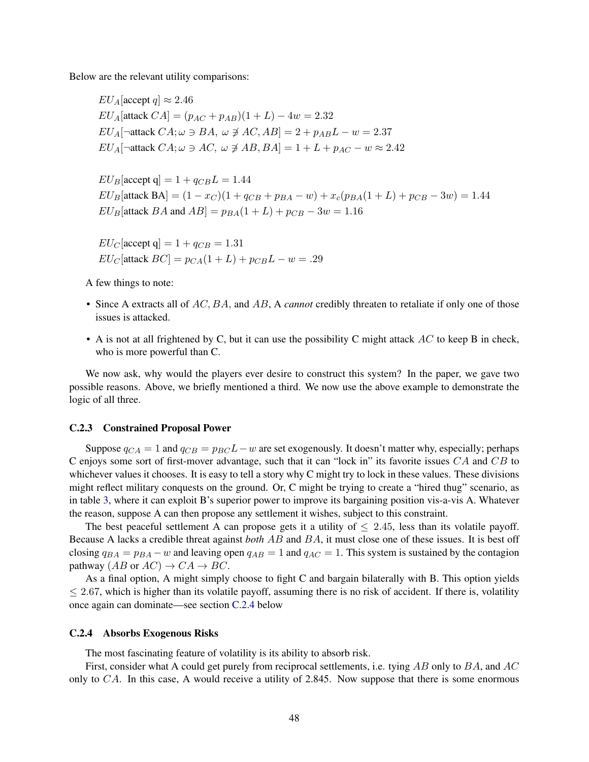Below are the relevant utility comparisons:

 $EU_A$ [accept  $q \approx 2.46$  $EU_A$ [attack  $CA$ ] =  $(p_{AC} + p_{AB})(1 + L) - 4w = 2.32$  $EU_A[\neg$ attack  $CA; \omega \ni BA, \omega \not\supseteq AC, AB] = 2 + p_{AB}L - w = 2.37$  $EU_A[\neg$ attack  $CA; \omega \ni AC, \omega \not \ni AB, BA] = 1 + L + p_{AC} - w \approx 2.42$ 

 $EU_B$ [accept q] = 1 +  $q_{CB}L = 1.44$  $EU_B$ [attack BA] =  $(1-x_C)(1+q_{CB}+p_{BA}-w)+x_c(p_{BA}(1+L)+p_{CB}-3w)=1.44$  $EU_B$ [attack BA and AB] =  $p_{BA}(1 + L) + p_{CB} - 3w = 1.16$ 

 $EU_C$ [accept q] = 1 +  $q_{CB}$  = 1.31  $EU_C$ [attack  $BC$ ] =  $p_{CA}(1+L) + p_{CB}L - w = .29$ 

A few things to note:

- Since A extracts all of AC, BA, and AB, A *cannot* credibly threaten to retaliate if only one of those issues is attacked.
- A is not at all frightened by C, but it can use the possibility C might attack  $AC$  to keep B in check, who is more powerful than C.

We now ask, why would the players ever desire to construct this system? In the paper, we gave two possible reasons. Above, we briefly mentioned a third. We now use the above example to demonstrate the logic of all three.

### <span id="page-48-0"></span>C.2.3 Constrained Proposal Power

Suppose  $q_{CA} = 1$  and  $q_{CB} = p_{BC}L - w$  are set exogenously. It doesn't matter why, especially; perhaps C enjoys some sort of first-mover advantage, such that it can "lock in" its favorite issues  $CA$  and  $CB$  to whichever values it chooses. It is easy to tell a story why C might try to lock in these values. These divisions might reflect military conquests on the ground. Or, C might be trying to create a "hired thug" scenario, as in table [3,](#page-20-0) where it can exploit B's superior power to improve its bargaining position vis-a-vis A. Whatever the reason, suppose A can then propose any settlement it wishes, subject to this constraint.

The best peaceful settlement A can propose gets it a utility of  $\leq 2.45$ , less than its volatile payoff. Because A lacks a credible threat against *both* AB and BA, it must close one of these issues. It is best off closing  $q_{BA} = p_{BA} - w$  and leaving open  $q_{AB} = 1$  and  $q_{AC} = 1$ . This system is sustained by the contagion pathway  $(AB \text{ or } AC) \rightarrow CA \rightarrow BC$ .

As a final option, A might simply choose to fight C and bargain bilaterally with B. This option yields  $\leq$  2.67, which is higher than its volatile payoff, assuming there is no risk of accident. If there is, volatility once again can dominate—see section [C.2.4](#page-48-1) below

#### <span id="page-48-1"></span>C.2.4 Absorbs Exogenous Risks

The most fascinating feature of volatility is its ability to absorb risk.

First, consider what A could get purely from reciprocal settlements, i.e. tying AB only to BA, and AC only to  $CA$ . In this case, A would receive a utility of 2.845. Now suppose that there is some enormous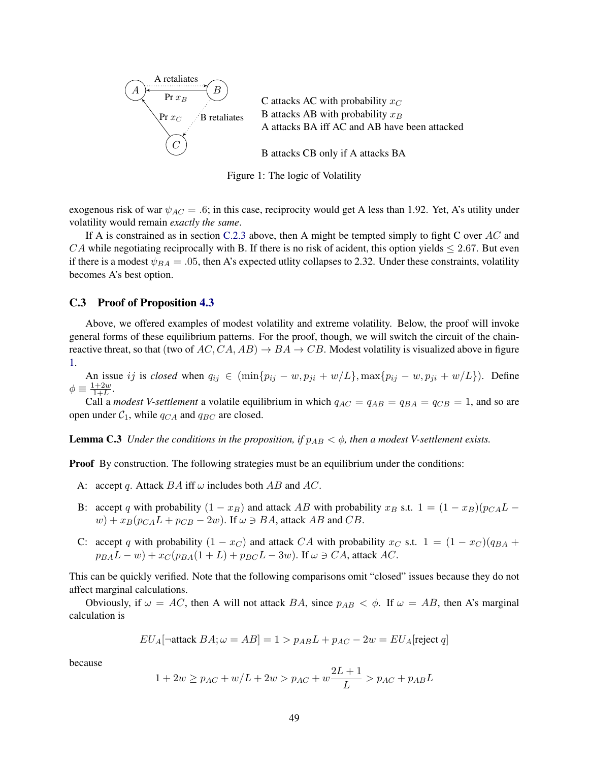<span id="page-49-0"></span>

C attacks AC with probability  $x_C$ B attacks AB with probability  $x_B$ A attacks BA iff AC and AB have been attacked

B attacks CB only if A attacks BA

Figure 1: The logic of Volatility

exogenous risk of war  $\psi_{AC} = .6$ ; in this case, reciprocity would get A less than 1.92. Yet, A's utility under volatility would remain *exactly the same*.

If A is constrained as in section [C.2.3](#page-48-0) above, then A might be tempted simply to fight C over AC and CA while negotiating reciprocally with B. If there is no risk of acident, this option yields  $\leq 2.67$ . But even if there is a modest  $\psi_{BA} = .05$ , then A's expected utlity collapses to 2.32. Under these constraints, volatility becomes A's best option.

### C.3 Proof of Proposition [4.3](#page-20-2)

Above, we offered examples of modest volatility and extreme volatility. Below, the proof will invoke general forms of these equilibrium patterns. For the proof, though, we will switch the circuit of the chainreactive threat, so that (two of  $AC, CA, AB$ )  $\rightarrow BA \rightarrow CB$ . Modest volatility is visualized above in figure [1.](#page-49-0)

An issue ij is *closed* when  $q_{ij} \in (\min\{p_{ij} - w, p_{ji} + w/L\}, \max\{p_{ij} - w, p_{ji} + w/L\})$ . Define  $\phi \equiv \frac{1+2w}{1+L}$  $\frac{1+2w}{1+L}$ .

Call a *modest V-settlement* a volatile equilibrium in which  $q_{AC} = q_{AB} = q_{BA} = q_{CB} = 1$ , and so are open under  $C_1$ , while  $q_{CA}$  and  $q_{BC}$  are closed.

<span id="page-49-1"></span>**Lemma C.3** *Under the conditions in the proposition, if*  $p_{AB} < \phi$ *, then a modest V-settlement exists.* 

**Proof** By construction. The following strategies must be an equilibrium under the conditions:

- A: accept q. Attack  $BA$  iff  $\omega$  includes both  $AB$  and  $AC$ .
- B: accept q with probability  $(1 x_B)$  and attack AB with probability  $x_B$  s.t.  $1 = (1 x_B)(p_{CA}L$  $w) + x_B(p_{CA}L + p_{CB} - 2w)$ . If  $\omega \ni BA$ , attack AB and CB.
- C: accept q with probability  $(1 x_C)$  and attack CA with probability  $x_C$  s.t.  $1 = (1 x_C)(q_{BA} + q_C)$  $p_{BA}L - w$ ) +  $x_C(p_{BA}(1 + L) + p_{BC}L - 3w)$ . If  $\omega \ni CA$ , attack AC.

This can be quickly verified. Note that the following comparisons omit "closed" issues because they do not affect marginal calculations.

Obviously, if  $\omega = AC$ , then A will not attack BA, since  $p_{AB} < \phi$ . If  $\omega = AB$ , then A's marginal calculation is

$$
EU_A[\neg \text{attack } BA; \omega = AB] = 1 > p_{AB}L + p_{AC} - 2w = EU_A[\text{reject } q]
$$

because

$$
1 + 2w \ge p_{AC} + w/L + 2w > p_{AC} + w\frac{2L+1}{L} > p_{AC} + p_{AB}L
$$